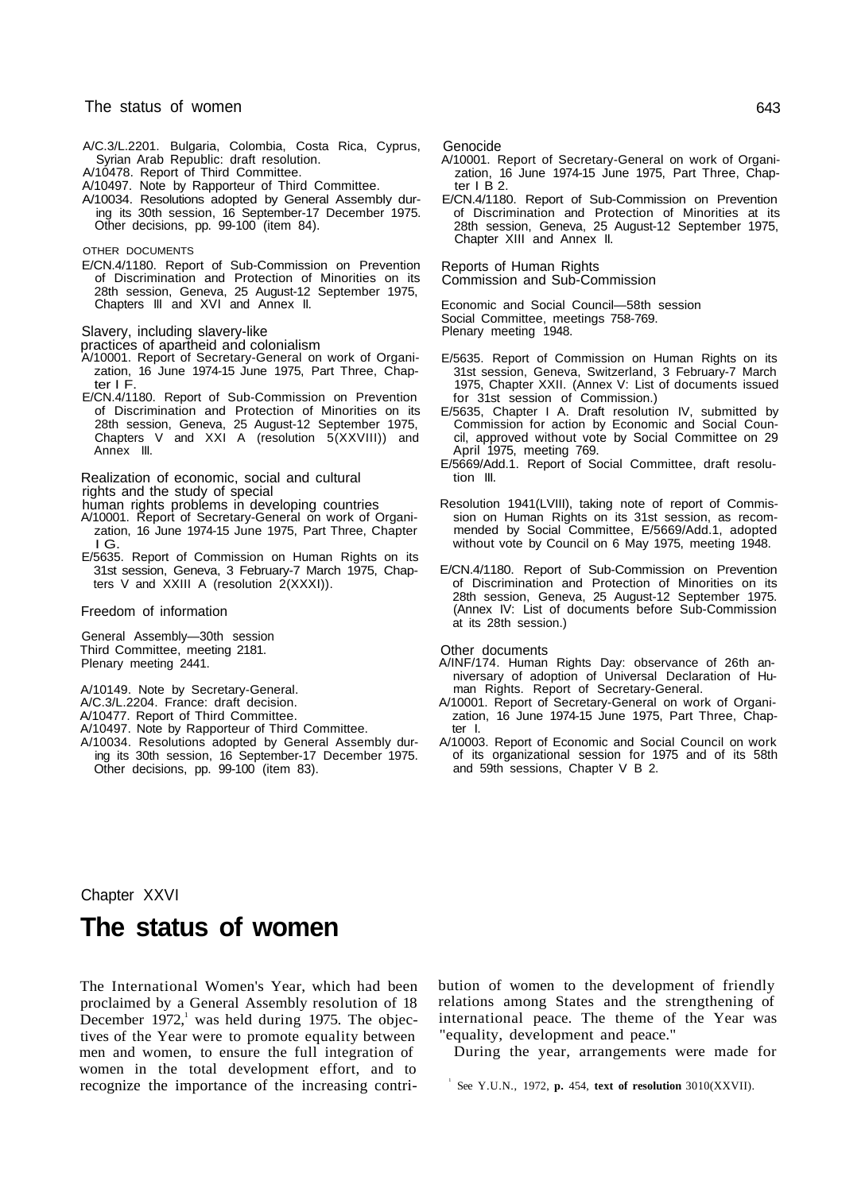# Chapter XXVI **The status of women**

The International Women's Year, which had been proclaimed by a General Assembly resolution of 18 December  $1972$ , was held during 1975. The objectives of the Year were to promote equality between men and women, to ensure the full integration of women in the total development effort, and to recognize the importance of the increasing contri-

bution of women to the development of friendly relations among States and the strengthening of international peace. The theme of the Year was "equality, development and peace."

During the year, arrangements were made for

See Y.U.N., 1972, **p.** 454, **text of resolution** 3010(XXVII).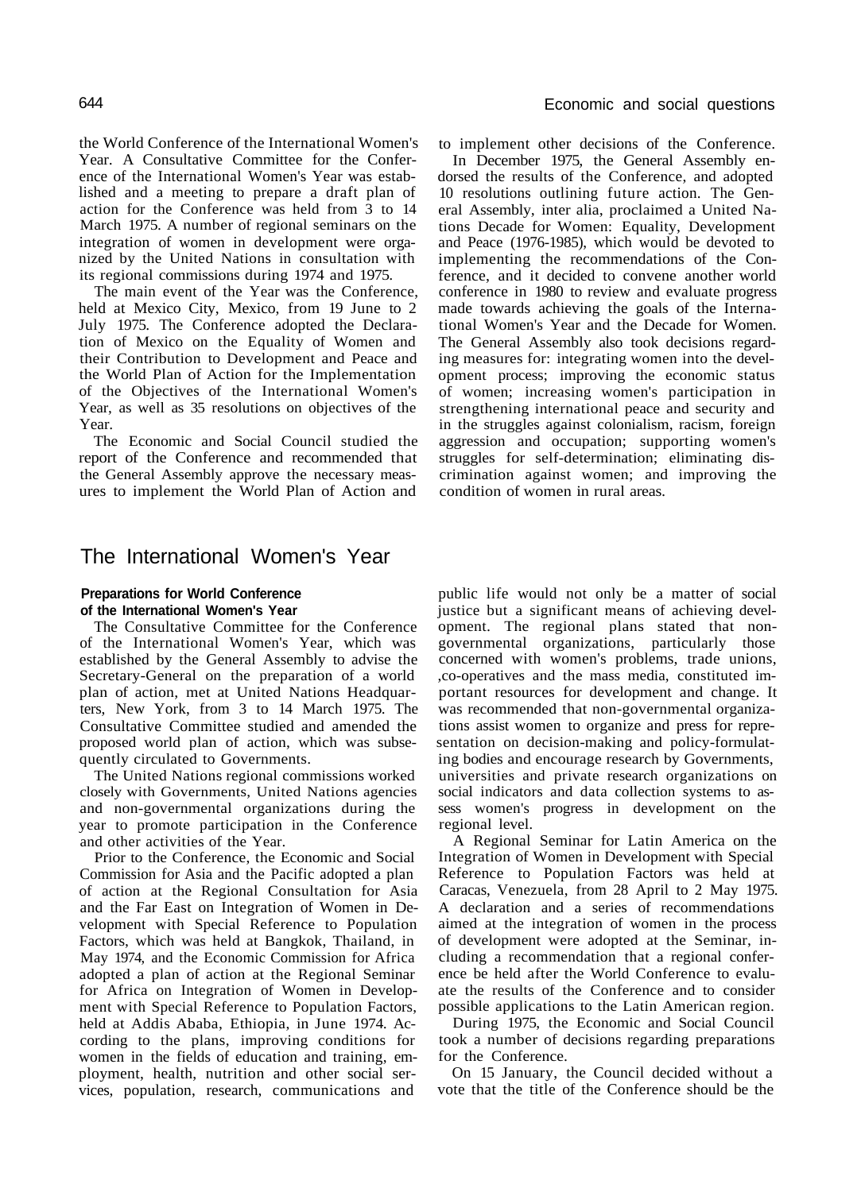the World Conference of the International Women's Year. A Consultative Committee for the Conference of the International Women's Year was established and a meeting to prepare a draft plan of action for the Conference was held from 3 to 14 March 1975. A number of regional seminars on the integration of women in development were organized by the United Nations in consultation with its regional commissions during 1974 and 1975.

The main event of the Year was the Conference, held at Mexico City, Mexico, from 19 June to 2 July 1975. The Conference adopted the Declaration of Mexico on the Equality of Women and their Contribution to Development and Peace and the World Plan of Action for the Implementation of the Objectives of the International Women's Year, as well as 35 resolutions on objectives of the Year.

The Economic and Social Council studied the report of the Conference and recommended that the General Assembly approve the necessary measures to implement the World Plan of Action and

# The International Women's Year

# **Preparations for World Conference of the International Women's Year**

The Consultative Committee for the Conference of the International Women's Year, which was established by the General Assembly to advise the Secretary-General on the preparation of a world plan of action, met at United Nations Headquarters, New York, from 3 to 14 March 1975. The Consultative Committee studied and amended the proposed world plan of action, which was subsequently circulated to Governments.

The United Nations regional commissions worked closely with Governments, United Nations agencies and non-governmental organizations during the year to promote participation in the Conference and other activities of the Year.

Prior to the Conference, the Economic and Social Commission for Asia and the Pacific adopted a plan of action at the Regional Consultation for Asia and the Far East on Integration of Women in Development with Special Reference to Population Factors, which was held at Bangkok, Thailand, in May 1974, and the Economic Commission for Africa adopted a plan of action at the Regional Seminar for Africa on Integration of Women in Development with Special Reference to Population Factors, held at Addis Ababa, Ethiopia, in June 1974. According to the plans, improving conditions for women in the fields of education and training, employment, health, nutrition and other social services, population, research, communications and

to implement other decisions of the Conference.

In December 1975, the General Assembly endorsed the results of the Conference, and adopted 10 resolutions outlining future action. The General Assembly, inter alia, proclaimed a United Nations Decade for Women: Equality, Development and Peace (1976-1985), which would be devoted to implementing the recommendations of the Conference, and it decided to convene another world conference in 1980 to review and evaluate progress made towards achieving the goals of the International Women's Year and the Decade for Women. The General Assembly also took decisions regarding measures for: integrating women into the development process; improving the economic status of women; increasing women's participation in strengthening international peace and security and in the struggles against colonialism, racism, foreign aggression and occupation; supporting women's struggles for self-determination; eliminating discrimination against women; and improving the condition of women in rural areas.

public life would not only be a matter of social justice but a significant means of achieving development. The regional plans stated that nongovernmental organizations, particularly those concerned with women's problems, trade unions, ,co-operatives and the mass media, constituted important resources for development and change. It was recommended that non-governmental organizations assist women to organize and press for representation on decision-making and policy-formulating bodies and encourage research by Governments, universities and private research organizations on social indicators and data collection systems to assess women's progress in development on the regional level.

A Regional Seminar for Latin America on the Integration of Women in Development with Special Reference to Population Factors was held at Caracas, Venezuela, from 28 April to 2 May 1975. A declaration and a series of recommendations aimed at the integration of women in the process of development were adopted at the Seminar, including a recommendation that a regional conference be held after the World Conference to evaluate the results of the Conference and to consider possible applications to the Latin American region.

During 1975, the Economic and Social Council took a number of decisions regarding preparations for the Conference.

On 15 January, the Council decided without a vote that the title of the Conference should be the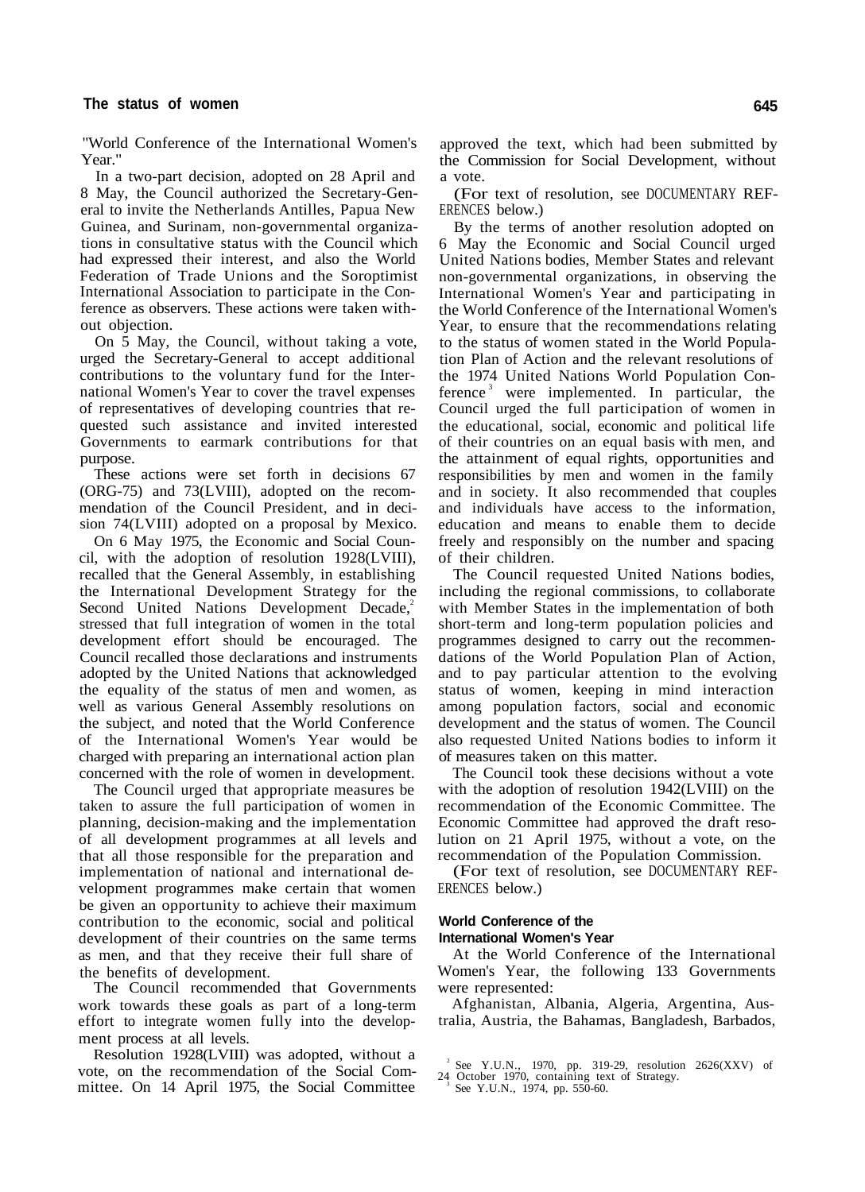"World Conference of the International Women's Year."

In a two-part decision, adopted on 28 April and 8 May, the Council authorized the Secretary-General to invite the Netherlands Antilles, Papua New Guinea, and Surinam, non-governmental organizations in consultative status with the Council which had expressed their interest, and also the World Federation of Trade Unions and the Soroptimist International Association to participate in the Conference as observers. These actions were taken without objection.

On 5 May, the Council, without taking a vote, urged the Secretary-General to accept additional contributions to the voluntary fund for the International Women's Year to cover the travel expenses of representatives of developing countries that requested such assistance and invited interested Governments to earmark contributions for that purpose.

These actions were set forth in decisions 67 (ORG-75) and 73(LVIII), adopted on the recommendation of the Council President, and in decision 74(LVIII) adopted on a proposal by Mexico.

On 6 May 1975, the Economic and Social Council, with the adoption of resolution 1928(LVIII), recalled that the General Assembly, in establishing the International Development Strategy for the Second United Nations Development Decade,<sup>2</sup> stressed that full integration of women in the total development effort should be encouraged. The Council recalled those declarations and instruments adopted by the United Nations that acknowledged the equality of the status of men and women, as well as various General Assembly resolutions on the subject, and noted that the World Conference of the International Women's Year would be charged with preparing an international action plan concerned with the role of women in development.

The Council urged that appropriate measures be taken to assure the full participation of women in planning, decision-making and the implementation of all development programmes at all levels and that all those responsible for the preparation and implementation of national and international development programmes make certain that women be given an opportunity to achieve their maximum contribution to the economic, social and political development of their countries on the same terms as men, and that they receive their full share of the benefits of development.

The Council recommended that Governments work towards these goals as part of a long-term effort to integrate women fully into the development process at all levels.

Resolution 1928(LVIII) was adopted, without a vote, on the recommendation of the Social Committee. On 14 April 1975, the Social Committee

approved the text, which had been submitted by the Commission for Social Development, without a vote.

(For text of resolution, see DOCUMENTARY REF-ERENCES below.)

By the terms of another resolution adopted on 6 May the Economic and Social Council urged United Nations bodies, Member States and relevant non-governmental organizations, in observing the International Women's Year and participating in the World Conference of the International Women's Year, to ensure that the recommendations relating to the status of women stated in the World Population Plan of Action and the relevant resolutions of the 1974 United Nations World Population Conference<sup>3</sup> were implemented. In particular, the Council urged the full participation of women in the educational, social, economic and political life of their countries on an equal basis with men, and the attainment of equal rights, opportunities and responsibilities by men and women in the family and in society. It also recommended that couples and individuals have access to the information, education and means to enable them to decide freely and responsibly on the number and spacing of their children.

The Council requested United Nations bodies, including the regional commissions, to collaborate with Member States in the implementation of both short-term and long-term population policies and programmes designed to carry out the recommendations of the World Population Plan of Action, and to pay particular attention to the evolving status of women, keeping in mind interaction among population factors, social and economic development and the status of women. The Council also requested United Nations bodies to inform it of measures taken on this matter.

The Council took these decisions without a vote with the adoption of resolution 1942(LVIII) on the recommendation of the Economic Committee. The Economic Committee had approved the draft resolution on 21 April 1975, without a vote, on the recommendation of the Population Commission.

(For text of resolution, see DOCUMENTARY REF-ERENCES below.)

#### **World Conference of the International Women's Year**

At the World Conference of the International Women's Year, the following 133 Governments were represented:

Afghanistan, Albania, Algeria, Argentina, Australia, Austria, the Bahamas, Bangladesh, Barbados,

<sup>&</sup>lt;sup>2</sup> See Y.U.N., 1970, pp. 319-29, resolution 2626(XXV) of 24 October 1970, containing text of Strategy.

See Y.U.N., 1974, pp. 550-60.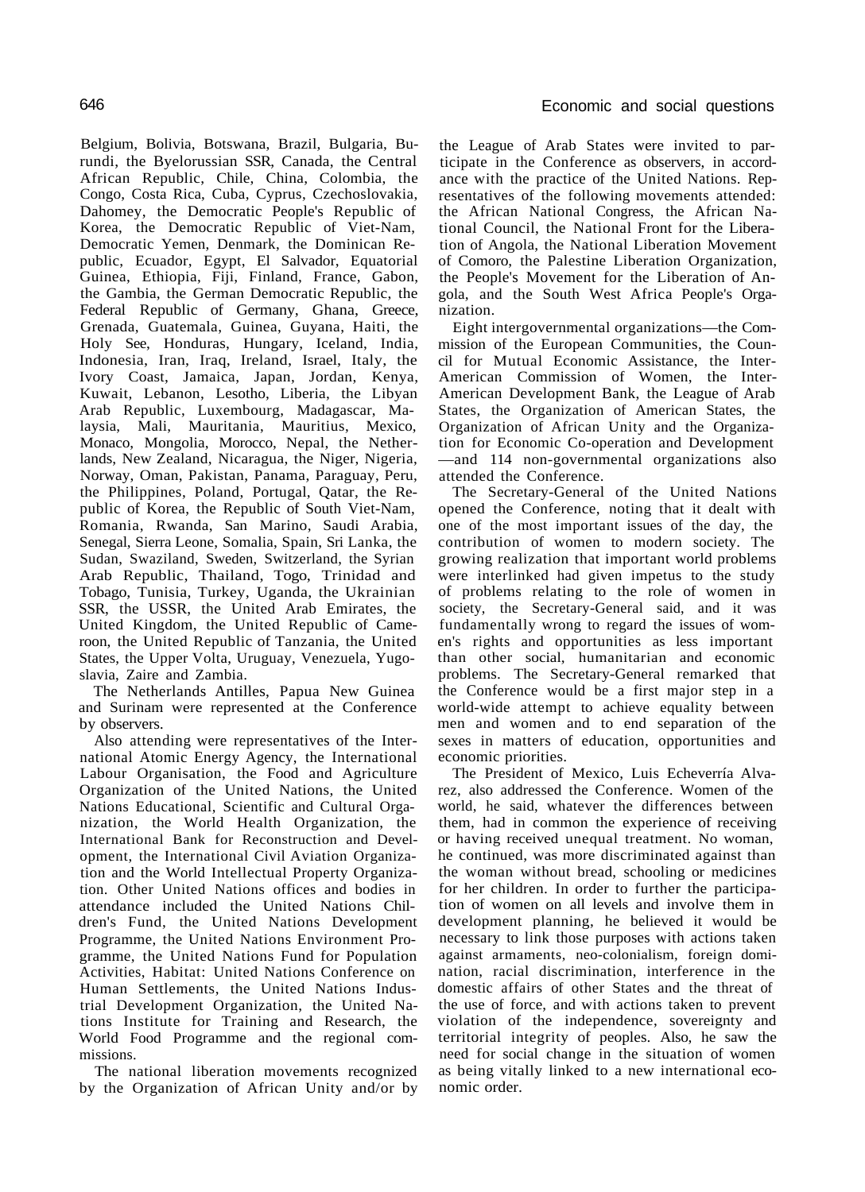Belgium, Bolivia, Botswana, Brazil, Bulgaria, Burundi, the Byelorussian SSR, Canada, the Central African Republic, Chile, China, Colombia, the Congo, Costa Rica, Cuba, Cyprus, Czechoslovakia, Dahomey, the Democratic People's Republic of Korea, the Democratic Republic of Viet-Nam, Democratic Yemen, Denmark, the Dominican Republic, Ecuador, Egypt, El Salvador, Equatorial Guinea, Ethiopia, Fiji, Finland, France, Gabon, the Gambia, the German Democratic Republic, the Federal Republic of Germany, Ghana, Greece, Grenada, Guatemala, Guinea, Guyana, Haiti, the Holy See, Honduras, Hungary, Iceland, India, Indonesia, Iran, Iraq, Ireland, Israel, Italy, the Ivory Coast, Jamaica, Japan, Jordan, Kenya, Kuwait, Lebanon, Lesotho, Liberia, the Libyan Arab Republic, Luxembourg, Madagascar, Malaysia, Mali, Mauritania, Mauritius, Mexico, Monaco, Mongolia, Morocco, Nepal, the Netherlands, New Zealand, Nicaragua, the Niger, Nigeria, Norway, Oman, Pakistan, Panama, Paraguay, Peru, the Philippines, Poland, Portugal, Qatar, the Republic of Korea, the Republic of South Viet-Nam, Romania, Rwanda, San Marino, Saudi Arabia, Senegal, Sierra Leone, Somalia, Spain, Sri Lanka, the Sudan, Swaziland, Sweden, Switzerland, the Syrian Arab Republic, Thailand, Togo, Trinidad and Tobago, Tunisia, Turkey, Uganda, the Ukrainian SSR, the USSR, the United Arab Emirates, the United Kingdom, the United Republic of Cameroon, the United Republic of Tanzania, the United States, the Upper Volta, Uruguay, Venezuela, Yugoslavia, Zaire and Zambia.

The Netherlands Antilles, Papua New Guinea and Surinam were represented at the Conference by observers.

Also attending were representatives of the International Atomic Energy Agency, the International Labour Organisation, the Food and Agriculture Organization of the United Nations, the United Nations Educational, Scientific and Cultural Organization, the World Health Organization, the International Bank for Reconstruction and Development, the International Civil Aviation Organization and the World Intellectual Property Organization. Other United Nations offices and bodies in attendance included the United Nations Children's Fund, the United Nations Development Programme, the United Nations Environment Programme, the United Nations Fund for Population Activities, Habitat: United Nations Conference on Human Settlements, the United Nations Industrial Development Organization, the United Nations Institute for Training and Research, the World Food Programme and the regional commissions.

The national liberation movements recognized by the Organization of African Unity and/or by the League of Arab States were invited to participate in the Conference as observers, in accordance with the practice of the United Nations. Representatives of the following movements attended: the African National Congress, the African National Council, the National Front for the Liberation of Angola, the National Liberation Movement of Comoro, the Palestine Liberation Organization, the People's Movement for the Liberation of Angola, and the South West Africa People's Organization.

Eight intergovernmental organizations—the Commission of the European Communities, the Council for Mutual Economic Assistance, the Inter-American Commission of Women, the Inter-American Development Bank, the League of Arab States, the Organization of American States, the Organization of African Unity and the Organization for Economic Co-operation and Development —and 114 non-governmental organizations also attended the Conference.

The Secretary-General of the United Nations opened the Conference, noting that it dealt with one of the most important issues of the day, the contribution of women to modern society. The growing realization that important world problems were interlinked had given impetus to the study of problems relating to the role of women in society, the Secretary-General said, and it was fundamentally wrong to regard the issues of women's rights and opportunities as less important than other social, humanitarian and economic problems. The Secretary-General remarked that the Conference would be a first major step in a world-wide attempt to achieve equality between men and women and to end separation of the sexes in matters of education, opportunities and economic priorities.

The President of Mexico, Luis Echeverría Alvarez, also addressed the Conference. Women of the world, he said, whatever the differences between them, had in common the experience of receiving or having received unequal treatment. No woman, he continued, was more discriminated against than the woman without bread, schooling or medicines for her children. In order to further the participation of women on all levels and involve them in development planning, he believed it would be necessary to link those purposes with actions taken against armaments, neo-colonialism, foreign domination, racial discrimination, interference in the domestic affairs of other States and the threat of the use of force, and with actions taken to prevent violation of the independence, sovereignty and territorial integrity of peoples. Also, he saw the need for social change in the situation of women as being vitally linked to a new international economic order.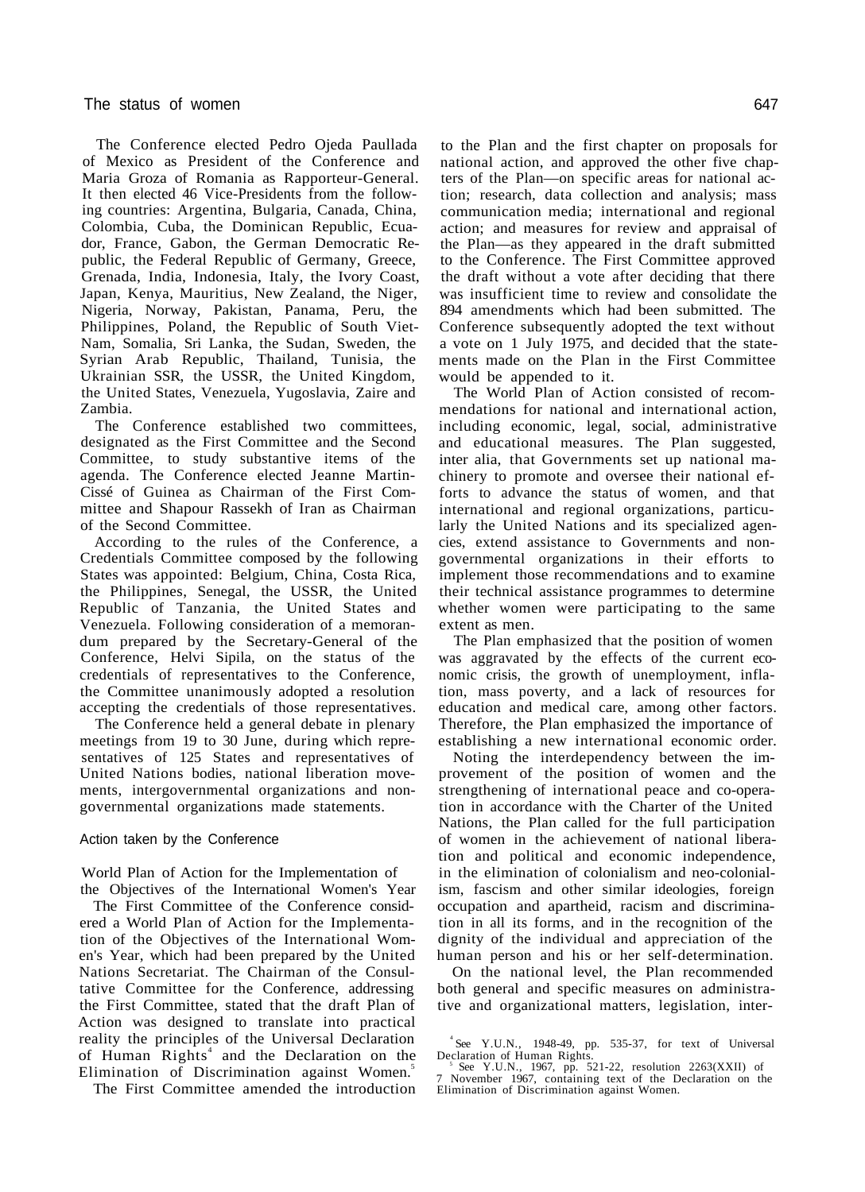The Conference elected Pedro Ojeda Paullada of Mexico as President of the Conference and Maria Groza of Romania as Rapporteur-General. It then elected 46 Vice-Presidents from the following countries: Argentina, Bulgaria, Canada, China, Colombia, Cuba, the Dominican Republic, Ecuador, France, Gabon, the German Democratic Republic, the Federal Republic of Germany, Greece, Grenada, India, Indonesia, Italy, the Ivory Coast, Japan, Kenya, Mauritius, New Zealand, the Niger, Nigeria, Norway, Pakistan, Panama, Peru, the Philippines, Poland, the Republic of South Viet-Nam, Somalia, Sri Lanka, the Sudan, Sweden, the Syrian Arab Republic, Thailand, Tunisia, the Ukrainian SSR, the USSR, the United Kingdom, the United States, Venezuela, Yugoslavia, Zaire and Zambia.

The Conference established two committees, designated as the First Committee and the Second Committee, to study substantive items of the agenda. The Conference elected Jeanne Martin-Cissé of Guinea as Chairman of the First Committee and Shapour Rassekh of Iran as Chairman of the Second Committee.

According to the rules of the Conference, a Credentials Committee composed by the following States was appointed: Belgium, China, Costa Rica, the Philippines, Senegal, the USSR, the United Republic of Tanzania, the United States and Venezuela. Following consideration of a memorandum prepared by the Secretary-General of the Conference, Helvi Sipila, on the status of the credentials of representatives to the Conference, the Committee unanimously adopted a resolution accepting the credentials of those representatives.

The Conference held a general debate in plenary meetings from 19 to 30 June, during which representatives of 125 States and representatives of United Nations bodies, national liberation movements, intergovernmental organizations and nongovernmental organizations made statements.

#### Action taken by the Conference

World Plan of Action for the Implementation of the Objectives of the International Women's Year

The First Committee of the Conference considered a World Plan of Action for the Implementation of the Objectives of the International Women's Year, which had been prepared by the United Nations Secretariat. The Chairman of the Consultative Committee for the Conference, addressing the First Committee, stated that the draft Plan of Action was designed to translate into practical reality the principles of the Universal Declaration of Human Rights<sup>4</sup> and the Declaration on the Elimination of Discrimination against Women.<sup>5</sup>

The First Committee amended the introduction

to the Plan and the first chapter on proposals for national action, and approved the other five chapters of the Plan—on specific areas for national action; research, data collection and analysis; mass communication media; international and regional action; and measures for review and appraisal of the Plan—as they appeared in the draft submitted to the Conference. The First Committee approved the draft without a vote after deciding that there was insufficient time to review and consolidate the 894 amendments which had been submitted. The Conference subsequently adopted the text without a vote on 1 July 1975, and decided that the statements made on the Plan in the First Committee would be appended to it.

The World Plan of Action consisted of recommendations for national and international action, including economic, legal, social, administrative and educational measures. The Plan suggested, inter alia, that Governments set up national machinery to promote and oversee their national efforts to advance the status of women, and that international and regional organizations, particularly the United Nations and its specialized agencies, extend assistance to Governments and nongovernmental organizations in their efforts to implement those recommendations and to examine their technical assistance programmes to determine whether women were participating to the same extent as men.

The Plan emphasized that the position of women was aggravated by the effects of the current economic crisis, the growth of unemployment, inflation, mass poverty, and a lack of resources for education and medical care, among other factors. Therefore, the Plan emphasized the importance of establishing a new international economic order.

Noting the interdependency between the improvement of the position of women and the strengthening of international peace and co-operation in accordance with the Charter of the United Nations, the Plan called for the full participation of women in the achievement of national liberation and political and economic independence, in the elimination of colonialism and neo-colonialism, fascism and other similar ideologies, foreign occupation and apartheid, racism and discrimination in all its forms, and in the recognition of the dignity of the individual and appreciation of the human person and his or her self-determination.

On the national level, the Plan recommended both general and specific measures on administrative and organizational matters, legislation, inter-

<sup>&</sup>lt;sup>4</sup> See Y.U.N., 1948-49, pp. 535-37, for text of Universal<br>Declaration of Human Rights.<br><sup>5</sup> See Y.U.N. 1067, pp. 531.32, resolution 2363(YYU) of

<sup>&</sup>lt;sup>5</sup> See Y.U.N., 1967, pp. 521-22, resolution 2263(XXII) of 7 November 1967, containing text of the Declaration on the Elimination of Discrimination against Women.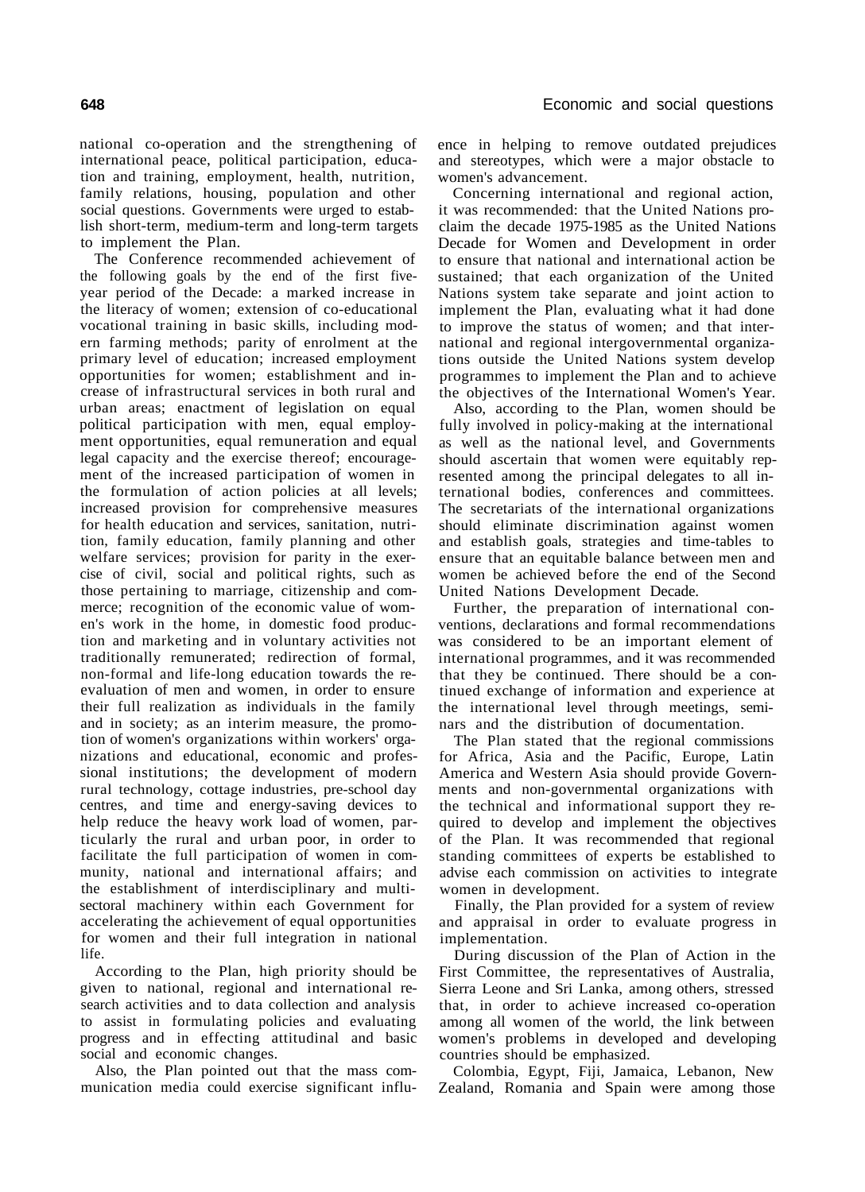national co-operation and the strengthening of international peace, political participation, education and training, employment, health, nutrition, family relations, housing, population and other social questions. Governments were urged to establish short-term, medium-term and long-term targets to implement the Plan.

The Conference recommended achievement of the following goals by the end of the first fiveyear period of the Decade: a marked increase in the literacy of women; extension of co-educational vocational training in basic skills, including modern farming methods; parity of enrolment at the primary level of education; increased employment opportunities for women; establishment and increase of infrastructural services in both rural and urban areas; enactment of legislation on equal political participation with men, equal employment opportunities, equal remuneration and equal legal capacity and the exercise thereof; encouragement of the increased participation of women in the formulation of action policies at all levels; increased provision for comprehensive measures for health education and services, sanitation, nutrition, family education, family planning and other welfare services; provision for parity in the exercise of civil, social and political rights, such as those pertaining to marriage, citizenship and commerce; recognition of the economic value of women's work in the home, in domestic food production and marketing and in voluntary activities not traditionally remunerated; redirection of formal, non-formal and life-long education towards the reevaluation of men and women, in order to ensure their full realization as individuals in the family and in society; as an interim measure, the promotion of women's organizations within workers' organizations and educational, economic and professional institutions; the development of modern rural technology, cottage industries, pre-school day centres, and time and energy-saving devices to help reduce the heavy work load of women, particularly the rural and urban poor, in order to facilitate the full participation of women in community, national and international affairs; and the establishment of interdisciplinary and multisectoral machinery within each Government for accelerating the achievement of equal opportunities for women and their full integration in national life.

According to the Plan, high priority should be given to national, regional and international research activities and to data collection and analysis to assist in formulating policies and evaluating progress and in effecting attitudinal and basic social and economic changes.

Also, the Plan pointed out that the mass communication media could exercise significant influence in helping to remove outdated prejudices and stereotypes, which were a major obstacle to women's advancement.

Concerning international and regional action, it was recommended: that the United Nations proclaim the decade 1975-1985 as the United Nations Decade for Women and Development in order to ensure that national and international action be sustained; that each organization of the United Nations system take separate and joint action to implement the Plan, evaluating what it had done to improve the status of women; and that international and regional intergovernmental organizations outside the United Nations system develop programmes to implement the Plan and to achieve the objectives of the International Women's Year.

Also, according to the Plan, women should be fully involved in policy-making at the international as well as the national level, and Governments should ascertain that women were equitably represented among the principal delegates to all international bodies, conferences and committees. The secretariats of the international organizations should eliminate discrimination against women and establish goals, strategies and time-tables to ensure that an equitable balance between men and women be achieved before the end of the Second United Nations Development Decade.

Further, the preparation of international conventions, declarations and formal recommendations was considered to be an important element of international programmes, and it was recommended that they be continued. There should be a continued exchange of information and experience at the international level through meetings, seminars and the distribution of documentation.

The Plan stated that the regional commissions for Africa, Asia and the Pacific, Europe, Latin America and Western Asia should provide Governments and non-governmental organizations with the technical and informational support they required to develop and implement the objectives of the Plan. It was recommended that regional standing committees of experts be established to advise each commission on activities to integrate women in development.

Finally, the Plan provided for a system of review and appraisal in order to evaluate progress in implementation.

During discussion of the Plan of Action in the First Committee, the representatives of Australia, Sierra Leone and Sri Lanka, among others, stressed that, in order to achieve increased co-operation among all women of the world, the link between women's problems in developed and developing countries should be emphasized.

Colombia, Egypt, Fiji, Jamaica, Lebanon, New Zealand, Romania and Spain were among those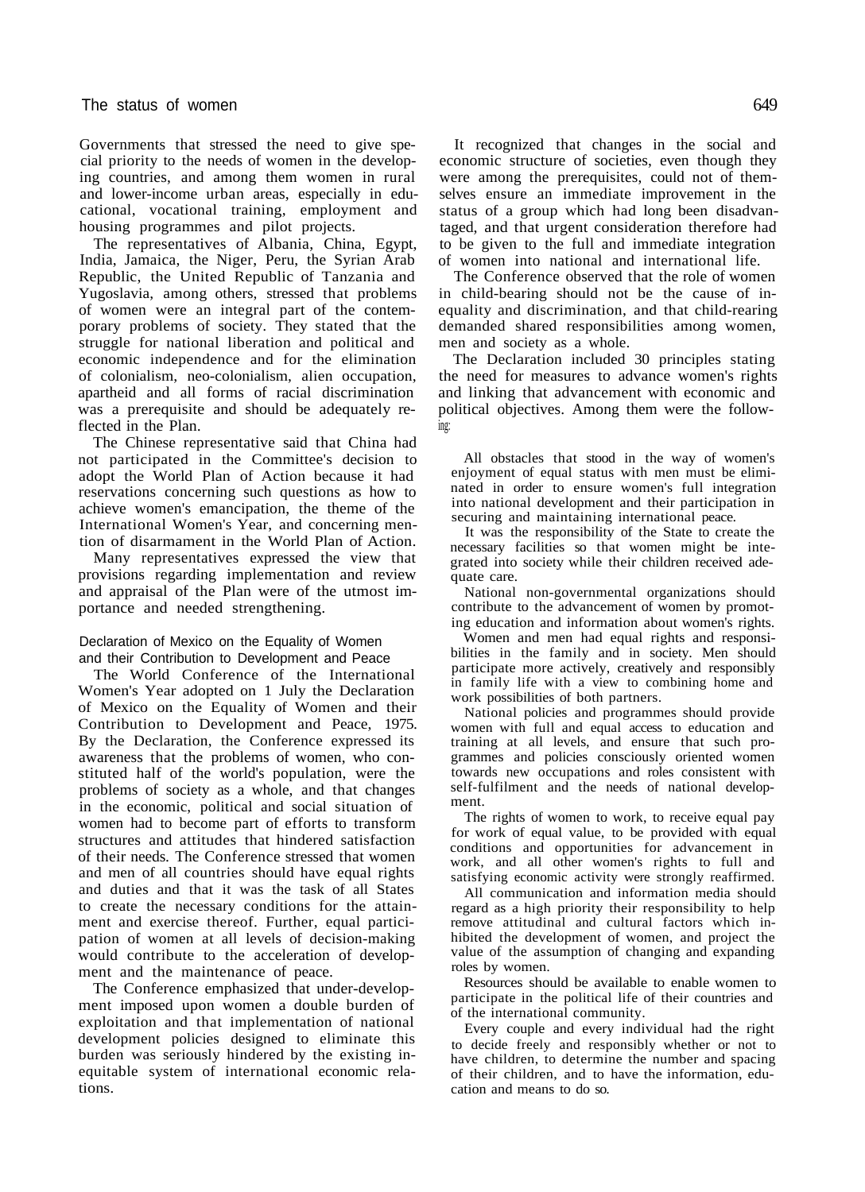Governments that stressed the need to give special priority to the needs of women in the developing countries, and among them women in rural and lower-income urban areas, especially in educational, vocational training, employment and housing programmes and pilot projects.

The representatives of Albania, China, Egypt, India, Jamaica, the Niger, Peru, the Syrian Arab Republic, the United Republic of Tanzania and Yugoslavia, among others, stressed that problems of women were an integral part of the contemporary problems of society. They stated that the struggle for national liberation and political and economic independence and for the elimination of colonialism, neo-colonialism, alien occupation, apartheid and all forms of racial discrimination was a prerequisite and should be adequately reflected in the Plan.

The Chinese representative said that China had not participated in the Committee's decision to adopt the World Plan of Action because it had reservations concerning such questions as how to achieve women's emancipation, the theme of the International Women's Year, and concerning mention of disarmament in the World Plan of Action.

Many representatives expressed the view that provisions regarding implementation and review and appraisal of the Plan were of the utmost importance and needed strengthening.

Declaration of Mexico on the Equality of Women and their Contribution to Development and Peace

The World Conference of the International Women's Year adopted on 1 July the Declaration of Mexico on the Equality of Women and their Contribution to Development and Peace, 1975. By the Declaration, the Conference expressed its awareness that the problems of women, who constituted half of the world's population, were the problems of society as a whole, and that changes in the economic, political and social situation of women had to become part of efforts to transform structures and attitudes that hindered satisfaction of their needs. The Conference stressed that women and men of all countries should have equal rights and duties and that it was the task of all States to create the necessary conditions for the attainment and exercise thereof. Further, equal participation of women at all levels of decision-making would contribute to the acceleration of development and the maintenance of peace.

The Conference emphasized that under-development imposed upon women a double burden of exploitation and that implementation of national development policies designed to eliminate this burden was seriously hindered by the existing inequitable system of international economic relations.

It recognized that changes in the social and economic structure of societies, even though they were among the prerequisites, could not of themselves ensure an immediate improvement in the status of a group which had long been disadvantaged, and that urgent consideration therefore had to be given to the full and immediate integration of women into national and international life.

The Conference observed that the role of women in child-bearing should not be the cause of inequality and discrimination, and that child-rearing demanded shared responsibilities among women, men and society as a whole.

The Declaration included 30 principles stating the need for measures to advance women's rights and linking that advancement with economic and political objectives. Among them were the following:

All obstacles that stood in the way of women's enjoyment of equal status with men must be eliminated in order to ensure women's full integration into national development and their participation in securing and maintaining international peace.

It was the responsibility of the State to create the necessary facilities so that women might be integrated into society while their children received adequate care.

National non-governmental organizations should contribute to the advancement of women by promoting education and information about women's rights.

Women and men had equal rights and responsibilities in the family and in society. Men should participate more actively, creatively and responsibly in family life with a view to combining home and work possibilities of both partners.

National policies and programmes should provide women with full and equal access to education and training at all levels, and ensure that such programmes and policies consciously oriented women towards new occupations and roles consistent with self-fulfilment and the needs of national development.

The rights of women to work, to receive equal pay for work of equal value, to be provided with equal conditions and opportunities for advancement in work, and all other women's rights to full and satisfying economic activity were strongly reaffirmed.

All communication and information media should regard as a high priority their responsibility to help remove attitudinal and cultural factors which inhibited the development of women, and project the value of the assumption of changing and expanding roles by women.

Resources should be available to enable women to participate in the political life of their countries and of the international community.

Every couple and every individual had the right to decide freely and responsibly whether or not to have children, to determine the number and spacing of their children, and to have the information, education and means to do so.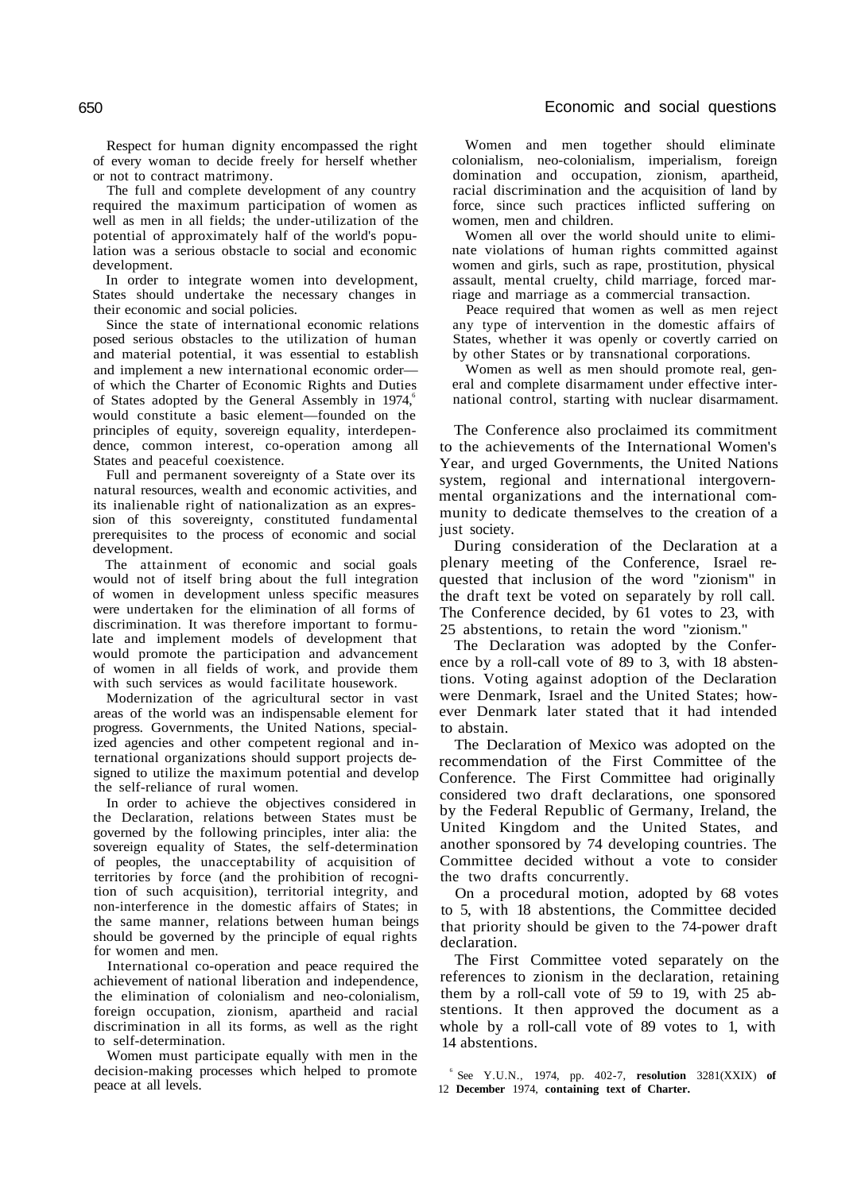Respect for human dignity encompassed the right of every woman to decide freely for herself whether or not to contract matrimony.

The full and complete development of any country required the maximum participation of women as well as men in all fields; the under-utilization of the potential of approximately half of the world's population was a serious obstacle to social and economic development.

In order to integrate women into development, States should undertake the necessary changes in their economic and social policies.

Since the state of international economic relations posed serious obstacles to the utilization of human and material potential, it was essential to establish and implement a new international economic order of which the Charter of Economic Rights and Duties of States adopted by the General Assembly in 1974,<sup>6</sup> would constitute a basic element—founded on the principles of equity, sovereign equality, interdependence, common interest, co-operation among all States and peaceful coexistence.

Full and permanent sovereignty of a State over its natural resources, wealth and economic activities, and its inalienable right of nationalization as an expression of this sovereignty, constituted fundamental prerequisites to the process of economic and social development.

The attainment of economic and social goals would not of itself bring about the full integration of women in development unless specific measures were undertaken for the elimination of all forms of discrimination. It was therefore important to formulate and implement models of development that would promote the participation and advancement of women in all fields of work, and provide them with such services as would facilitate housework.

Modernization of the agricultural sector in vast areas of the world was an indispensable element for progress. Governments, the United Nations, specialized agencies and other competent regional and international organizations should support projects designed to utilize the maximum potential and develop the self-reliance of rural women.

In order to achieve the objectives considered in the Declaration, relations between States must be governed by the following principles, inter alia: the sovereign equality of States, the self-determination of peoples, the unacceptability of acquisition of territories by force (and the prohibition of recognition of such acquisition), territorial integrity, and non-interference in the domestic affairs of States; in the same manner, relations between human beings should be governed by the principle of equal rights for women and men.

International co-operation and peace required the achievement of national liberation and independence, the elimination of colonialism and neo-colonialism, foreign occupation, zionism, apartheid and racial discrimination in all its forms, as well as the right to self-determination.

Women must participate equally with men in the decision-making processes which helped to promote peace at all levels.

Women and men together should eliminate colonialism, neo-colonialism, imperialism, foreign domination and occupation, zionism, apartheid, racial discrimination and the acquisition of land by force, since such practices inflicted suffering on women, men and children.

Women all over the world should unite to eliminate violations of human rights committed against women and girls, such as rape, prostitution, physical assault, mental cruelty, child marriage, forced marriage and marriage as a commercial transaction.

Peace required that women as well as men reject any type of intervention in the domestic affairs of States, whether it was openly or covertly carried on by other States or by transnational corporations.

Women as well as men should promote real, general and complete disarmament under effective international control, starting with nuclear disarmament.

The Conference also proclaimed its commitment to the achievements of the International Women's Year, and urged Governments, the United Nations system, regional and international intergovernmental organizations and the international community to dedicate themselves to the creation of a just society.

During consideration of the Declaration at a plenary meeting of the Conference, Israel requested that inclusion of the word "zionism" in the draft text be voted on separately by roll call. The Conference decided, by 61 votes to 23, with 25 abstentions, to retain the word "zionism."

The Declaration was adopted by the Conference by a roll-call vote of 89 to 3, with 18 abstentions. Voting against adoption of the Declaration were Denmark, Israel and the United States; however Denmark later stated that it had intended to abstain.

The Declaration of Mexico was adopted on the recommendation of the First Committee of the Conference. The First Committee had originally considered two draft declarations, one sponsored by the Federal Republic of Germany, Ireland, the United Kingdom and the United States, and another sponsored by 74 developing countries. The Committee decided without a vote to consider the two drafts concurrently.

On a procedural motion, adopted by 68 votes to 5, with 18 abstentions, the Committee decided that priority should be given to the 74-power draft declaration.

The First Committee voted separately on the references to zionism in the declaration, retaining them by a roll-call vote of 59 to 19, with 25 abstentions. It then approved the document as a whole by a roll-call vote of 89 votes to 1, with 14 abstentions.

<sup>6</sup> See Y.U.N., 1974, pp. 402-7, **resolution** 3281(XXIX) **of** 12 **December** 1974, **containing text of Charter.**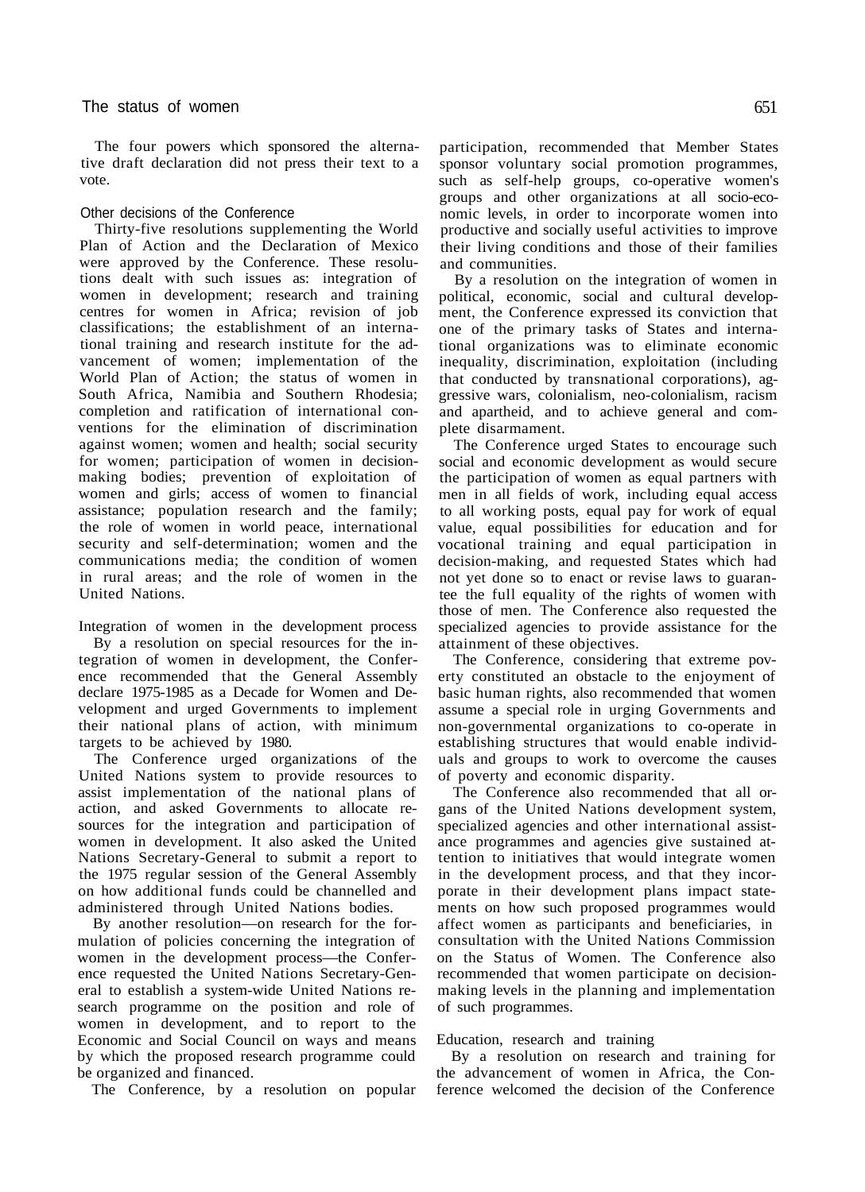The four powers which sponsored the alternative draft declaration did not press their text to a vote.

# Other decisions of the Conference

Thirty-five resolutions supplementing the World Plan of Action and the Declaration of Mexico were approved by the Conference. These resolutions dealt with such issues as: integration of women in development; research and training centres for women in Africa; revision of job classifications; the establishment of an international training and research institute for the advancement of women; implementation of the World Plan of Action; the status of women in South Africa, Namibia and Southern Rhodesia; completion and ratification of international conventions for the elimination of discrimination against women; women and health; social security for women; participation of women in decisionmaking bodies; prevention of exploitation of women and girls; access of women to financial assistance; population research and the family; the role of women in world peace, international security and self-determination; women and the communications media; the condition of women in rural areas; and the role of women in the United Nations.

Integration of women in the development process By a resolution on special resources for the integration of women in development, the Conference recommended that the General Assembly declare 1975-1985 as a Decade for Women and Development and urged Governments to implement their national plans of action, with minimum targets to be achieved by 1980.

The Conference urged organizations of the United Nations system to provide resources to assist implementation of the national plans of action, and asked Governments to allocate resources for the integration and participation of women in development. It also asked the United Nations Secretary-General to submit a report to the 1975 regular session of the General Assembly on how additional funds could be channelled and administered through United Nations bodies.

By another resolution—on research for the formulation of policies concerning the integration of women in the development process—the Conference requested the United Nations Secretary-General to establish a system-wide United Nations research programme on the position and role of women in development, and to report to the Economic and Social Council on ways and means by which the proposed research programme could be organized and financed.

The Conference, by a resolution on popular

participation, recommended that Member States sponsor voluntary social promotion programmes, such as self-help groups, co-operative women's groups and other organizations at all socio-economic levels, in order to incorporate women into productive and socially useful activities to improve their living conditions and those of their families and communities.

By a resolution on the integration of women in political, economic, social and cultural development, the Conference expressed its conviction that one of the primary tasks of States and international organizations was to eliminate economic inequality, discrimination, exploitation (including that conducted by transnational corporations), aggressive wars, colonialism, neo-colonialism, racism and apartheid, and to achieve general and complete disarmament.

The Conference urged States to encourage such social and economic development as would secure the participation of women as equal partners with men in all fields of work, including equal access to all working posts, equal pay for work of equal value, equal possibilities for education and for vocational training and equal participation in decision-making, and requested States which had not yet done so to enact or revise laws to guarantee the full equality of the rights of women with those of men. The Conference also requested the specialized agencies to provide assistance for the attainment of these objectives.

The Conference, considering that extreme poverty constituted an obstacle to the enjoyment of basic human rights, also recommended that women assume a special role in urging Governments and non-governmental organizations to co-operate in establishing structures that would enable individuals and groups to work to overcome the causes of poverty and economic disparity.

The Conference also recommended that all organs of the United Nations development system, specialized agencies and other international assistance programmes and agencies give sustained attention to initiatives that would integrate women in the development process, and that they incorporate in their development plans impact statements on how such proposed programmes would affect women as participants and beneficiaries, in consultation with the United Nations Commission on the Status of Women. The Conference also recommended that women participate on decisionmaking levels in the planning and implementation of such programmes.

#### Education, research and training

By a resolution on research and training for the advancement of women in Africa, the Conference welcomed the decision of the Conference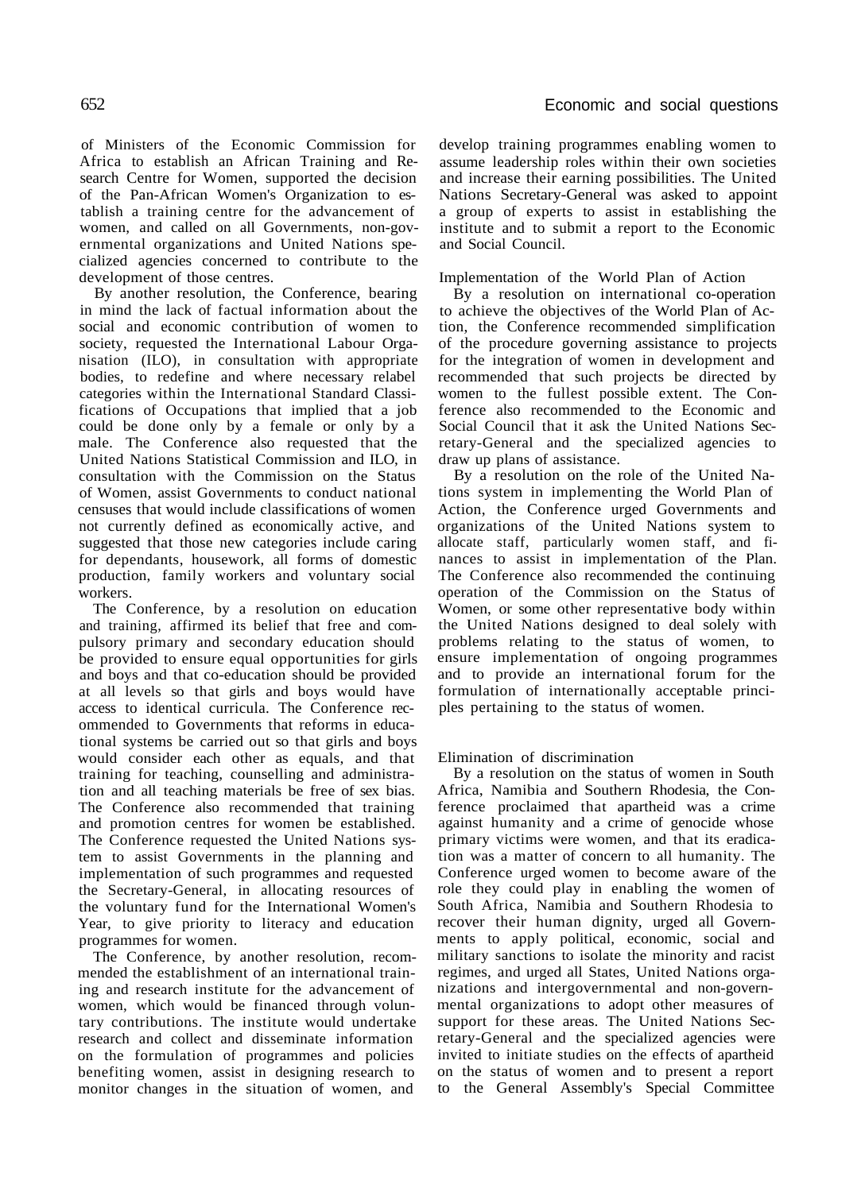of Ministers of the Economic Commission for Africa to establish an African Training and Research Centre for Women, supported the decision of the Pan-African Women's Organization to establish a training centre for the advancement of women, and called on all Governments, non-governmental organizations and United Nations specialized agencies concerned to contribute to the development of those centres.

By another resolution, the Conference, bearing in mind the lack of factual information about the social and economic contribution of women to society, requested the International Labour Organisation (ILO), in consultation with appropriate bodies, to redefine and where necessary relabel categories within the International Standard Classifications of Occupations that implied that a job could be done only by a female or only by a male. The Conference also requested that the United Nations Statistical Commission and ILO, in consultation with the Commission on the Status of Women, assist Governments to conduct national censuses that would include classifications of women not currently defined as economically active, and suggested that those new categories include caring for dependants, housework, all forms of domestic production, family workers and voluntary social workers.

The Conference, by a resolution on education and training, affirmed its belief that free and compulsory primary and secondary education should be provided to ensure equal opportunities for girls and boys and that co-education should be provided at all levels so that girls and boys would have access to identical curricula. The Conference recommended to Governments that reforms in educational systems be carried out so that girls and boys would consider each other as equals, and that training for teaching, counselling and administration and all teaching materials be free of sex bias. The Conference also recommended that training and promotion centres for women be established. The Conference requested the United Nations system to assist Governments in the planning and implementation of such programmes and requested the Secretary-General, in allocating resources of the voluntary fund for the International Women's Year, to give priority to literacy and education programmes for women.

The Conference, by another resolution, recommended the establishment of an international training and research institute for the advancement of women, which would be financed through voluntary contributions. The institute would undertake research and collect and disseminate information on the formulation of programmes and policies benefiting women, assist in designing research to monitor changes in the situation of women, and

develop training programmes enabling women to assume leadership roles within their own societies and increase their earning possibilities. The United Nations Secretary-General was asked to appoint a group of experts to assist in establishing the institute and to submit a report to the Economic and Social Council.

Implementation of the World Plan of Action

By a resolution on international co-operation to achieve the objectives of the World Plan of Action, the Conference recommended simplification of the procedure governing assistance to projects for the integration of women in development and recommended that such projects be directed by women to the fullest possible extent. The Conference also recommended to the Economic and Social Council that it ask the United Nations Secretary-General and the specialized agencies to draw up plans of assistance.

By a resolution on the role of the United Nations system in implementing the World Plan of Action, the Conference urged Governments and organizations of the United Nations system to allocate staff, particularly women staff, and finances to assist in implementation of the Plan. The Conference also recommended the continuing operation of the Commission on the Status of Women, or some other representative body within the United Nations designed to deal solely with problems relating to the status of women, to ensure implementation of ongoing programmes and to provide an international forum for the formulation of internationally acceptable principles pertaining to the status of women.

#### Elimination of discrimination

By a resolution on the status of women in South Africa, Namibia and Southern Rhodesia, the Conference proclaimed that apartheid was a crime against humanity and a crime of genocide whose primary victims were women, and that its eradication was a matter of concern to all humanity. The Conference urged women to become aware of the role they could play in enabling the women of South Africa, Namibia and Southern Rhodesia to recover their human dignity, urged all Governments to apply political, economic, social and military sanctions to isolate the minority and racist regimes, and urged all States, United Nations organizations and intergovernmental and non-governmental organizations to adopt other measures of support for these areas. The United Nations Secretary-General and the specialized agencies were invited to initiate studies on the effects of apartheid on the status of women and to present a report to the General Assembly's Special Committee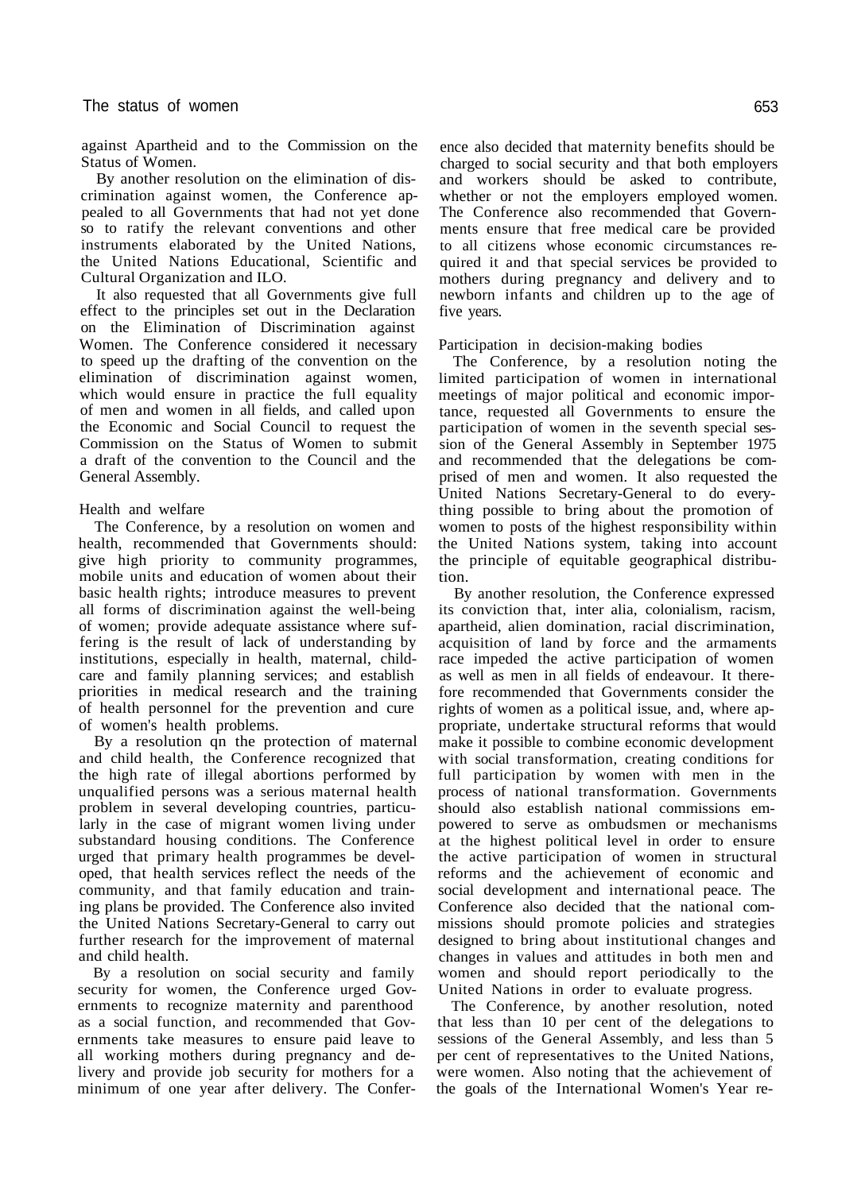against Apartheid and to the Commission on the Status of Women.

By another resolution on the elimination of discrimination against women, the Conference appealed to all Governments that had not yet done so to ratify the relevant conventions and other instruments elaborated by the United Nations, the United Nations Educational, Scientific and Cultural Organization and ILO.

It also requested that all Governments give full effect to the principles set out in the Declaration on the Elimination of Discrimination against Women. The Conference considered it necessary to speed up the drafting of the convention on the elimination of discrimination against women, which would ensure in practice the full equality of men and women in all fields, and called upon the Economic and Social Council to request the Commission on the Status of Women to submit a draft of the convention to the Council and the General Assembly.

### Health and welfare

The Conference, by a resolution on women and health, recommended that Governments should: give high priority to community programmes, mobile units and education of women about their basic health rights; introduce measures to prevent all forms of discrimination against the well-being of women; provide adequate assistance where suffering is the result of lack of understanding by institutions, especially in health, maternal, childcare and family planning services; and establish priorities in medical research and the training of health personnel for the prevention and cure of women's health problems.

By a resolution qn the protection of maternal and child health, the Conference recognized that the high rate of illegal abortions performed by unqualified persons was a serious maternal health problem in several developing countries, particularly in the case of migrant women living under substandard housing conditions. The Conference urged that primary health programmes be developed, that health services reflect the needs of the community, and that family education and training plans be provided. The Conference also invited the United Nations Secretary-General to carry out further research for the improvement of maternal and child health.

By a resolution on social security and family security for women, the Conference urged Governments to recognize maternity and parenthood as a social function, and recommended that Governments take measures to ensure paid leave to all working mothers during pregnancy and delivery and provide job security for mothers for a minimum of one year after delivery. The Conference also decided that maternity benefits should be charged to social security and that both employers and workers should be asked to contribute, whether or not the employers employed women. The Conference also recommended that Governments ensure that free medical care be provided to all citizens whose economic circumstances required it and that special services be provided to mothers during pregnancy and delivery and to newborn infants and children up to the age of five years.

#### Participation in decision-making bodies

The Conference, by a resolution noting the limited participation of women in international meetings of major political and economic importance, requested all Governments to ensure the participation of women in the seventh special session of the General Assembly in September 1975 and recommended that the delegations be comprised of men and women. It also requested the United Nations Secretary-General to do everything possible to bring about the promotion of women to posts of the highest responsibility within the United Nations system, taking into account the principle of equitable geographical distribution.

By another resolution, the Conference expressed its conviction that, inter alia, colonialism, racism, apartheid, alien domination, racial discrimination, acquisition of land by force and the armaments race impeded the active participation of women as well as men in all fields of endeavour. It therefore recommended that Governments consider the rights of women as a political issue, and, where appropriate, undertake structural reforms that would make it possible to combine economic development with social transformation, creating conditions for full participation by women with men in the process of national transformation. Governments should also establish national commissions empowered to serve as ombudsmen or mechanisms at the highest political level in order to ensure the active participation of women in structural reforms and the achievement of economic and social development and international peace. The Conference also decided that the national commissions should promote policies and strategies designed to bring about institutional changes and changes in values and attitudes in both men and women and should report periodically to the United Nations in order to evaluate progress.

The Conference, by another resolution, noted that less than 10 per cent of the delegations to sessions of the General Assembly, and less than 5 per cent of representatives to the United Nations, were women. Also noting that the achievement of the goals of the International Women's Year re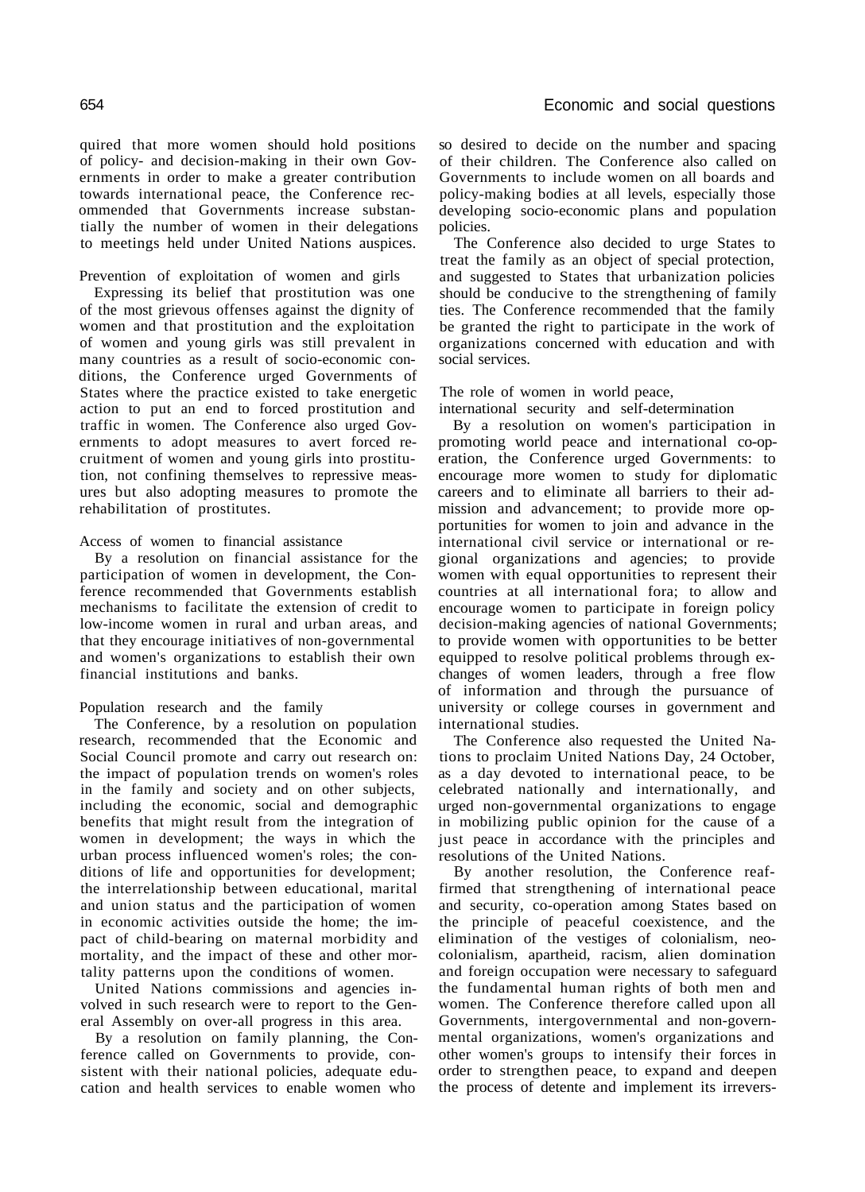quired that more women should hold positions of policy- and decision-making in their own Governments in order to make a greater contribution towards international peace, the Conference recommended that Governments increase substantially the number of women in their delegations to meetings held under United Nations auspices.

Prevention of exploitation of women and girls

Expressing its belief that prostitution was one of the most grievous offenses against the dignity of women and that prostitution and the exploitation of women and young girls was still prevalent in many countries as a result of socio-economic conditions, the Conference urged Governments of States where the practice existed to take energetic action to put an end to forced prostitution and traffic in women. The Conference also urged Governments to adopt measures to avert forced recruitment of women and young girls into prostitution, not confining themselves to repressive measures but also adopting measures to promote the rehabilitation of prostitutes.

#### Access of women to financial assistance

By a resolution on financial assistance for the participation of women in development, the Conference recommended that Governments establish mechanisms to facilitate the extension of credit to low-income women in rural and urban areas, and that they encourage initiatives of non-governmental and women's organizations to establish their own financial institutions and banks.

#### Population research and the family

The Conference, by a resolution on population research, recommended that the Economic and Social Council promote and carry out research on: the impact of population trends on women's roles in the family and society and on other subjects, including the economic, social and demographic benefits that might result from the integration of women in development; the ways in which the urban process influenced women's roles; the conditions of life and opportunities for development; the interrelationship between educational, marital and union status and the participation of women in economic activities outside the home; the impact of child-bearing on maternal morbidity and mortality, and the impact of these and other mortality patterns upon the conditions of women.

United Nations commissions and agencies involved in such research were to report to the General Assembly on over-all progress in this area.

By a resolution on family planning, the Conference called on Governments to provide, consistent with their national policies, adequate education and health services to enable women who so desired to decide on the number and spacing of their children. The Conference also called on Governments to include women on all boards and policy-making bodies at all levels, especially those developing socio-economic plans and population policies.

The Conference also decided to urge States to treat the family as an object of special protection, and suggested to States that urbanization policies should be conducive to the strengthening of family ties. The Conference recommended that the family be granted the right to participate in the work of organizations concerned with education and with social services.

The role of women in world peace,

international security and self-determination

By a resolution on women's participation in promoting world peace and international co-operation, the Conference urged Governments: to encourage more women to study for diplomatic careers and to eliminate all barriers to their admission and advancement; to provide more opportunities for women to join and advance in the international civil service or international or regional organizations and agencies; to provide women with equal opportunities to represent their countries at all international fora; to allow and encourage women to participate in foreign policy decision-making agencies of national Governments; to provide women with opportunities to be better equipped to resolve political problems through exchanges of women leaders, through a free flow of information and through the pursuance of university or college courses in government and international studies.

The Conference also requested the United Nations to proclaim United Nations Day, 24 October, as a day devoted to international peace, to be celebrated nationally and internationally, and urged non-governmental organizations to engage in mobilizing public opinion for the cause of a just peace in accordance with the principles and resolutions of the United Nations.

By another resolution, the Conference reaffirmed that strengthening of international peace and security, co-operation among States based on the principle of peaceful coexistence, and the elimination of the vestiges of colonialism, neocolonialism, apartheid, racism, alien domination and foreign occupation were necessary to safeguard the fundamental human rights of both men and women. The Conference therefore called upon all Governments, intergovernmental and non-governmental organizations, women's organizations and other women's groups to intensify their forces in order to strengthen peace, to expand and deepen the process of detente and implement its irrevers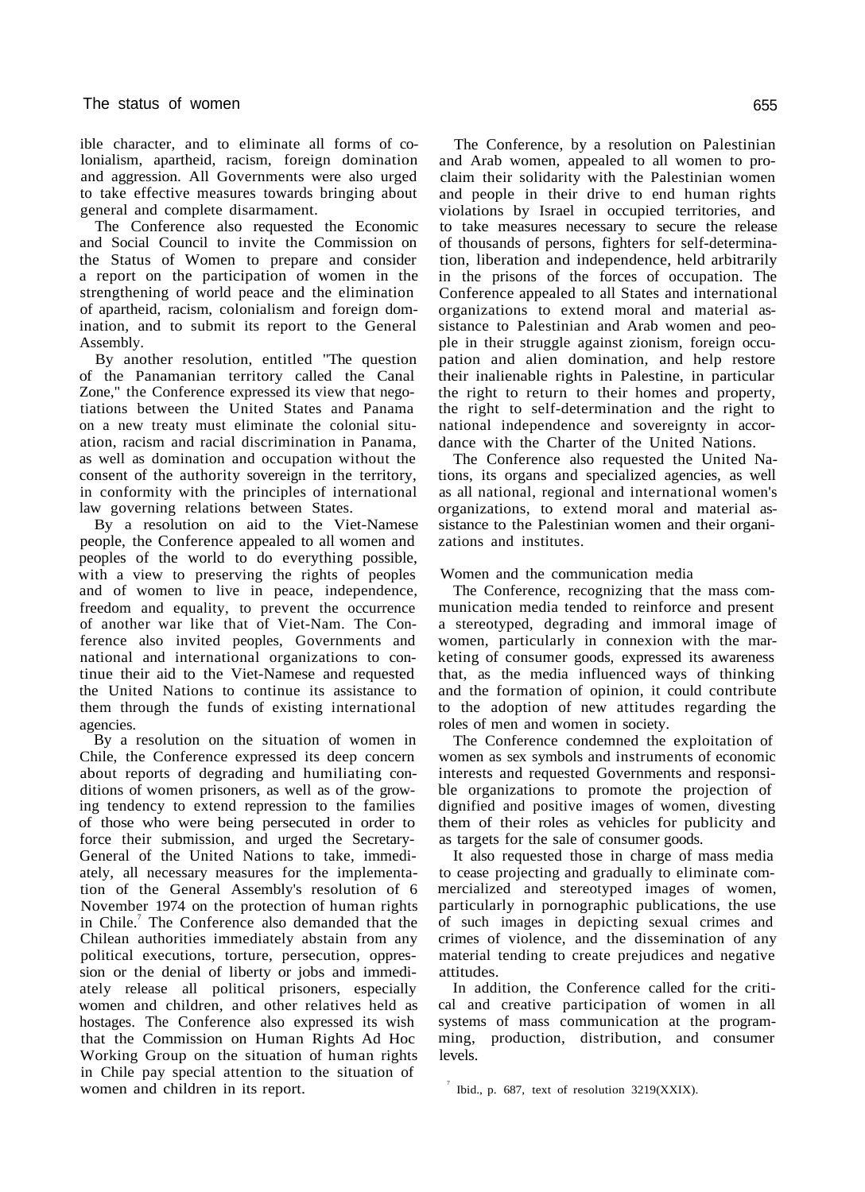ible character, and to eliminate all forms of colonialism, apartheid, racism, foreign domination and aggression. All Governments were also urged to take effective measures towards bringing about general and complete disarmament.

The Conference also requested the Economic and Social Council to invite the Commission on the Status of Women to prepare and consider a report on the participation of women in the strengthening of world peace and the elimination of apartheid, racism, colonialism and foreign domination, and to submit its report to the General Assembly.

By another resolution, entitled "The question of the Panamanian territory called the Canal Zone," the Conference expressed its view that negotiations between the United States and Panama on a new treaty must eliminate the colonial situation, racism and racial discrimination in Panama, as well as domination and occupation without the consent of the authority sovereign in the territory, in conformity with the principles of international law governing relations between States.

By a resolution on aid to the Viet-Namese people, the Conference appealed to all women and peoples of the world to do everything possible, with a view to preserving the rights of peoples and of women to live in peace, independence, freedom and equality, to prevent the occurrence of another war like that of Viet-Nam. The Conference also invited peoples, Governments and national and international organizations to continue their aid to the Viet-Namese and requested the United Nations to continue its assistance to them through the funds of existing international agencies.

By a resolution on the situation of women in Chile, the Conference expressed its deep concern about reports of degrading and humiliating conditions of women prisoners, as well as of the growing tendency to extend repression to the families of those who were being persecuted in order to force their submission, and urged the Secretary-General of the United Nations to take, immediately, all necessary measures for the implementation of the General Assembly's resolution of 6 November 1974 on the protection of human rights in Chile.<sup>7</sup> The Conference also demanded that the Chilean authorities immediately abstain from any political executions, torture, persecution, oppression or the denial of liberty or jobs and immediately release all political prisoners, especially women and children, and other relatives held as hostages. The Conference also expressed its wish that the Commission on Human Rights Ad Hoc Working Group on the situation of human rights in Chile pay special attention to the situation of women and children in its report.

The Conference, by a resolution on Palestinian and Arab women, appealed to all women to proclaim their solidarity with the Palestinian women and people in their drive to end human rights violations by Israel in occupied territories, and to take measures necessary to secure the release of thousands of persons, fighters for self-determination, liberation and independence, held arbitrarily in the prisons of the forces of occupation. The Conference appealed to all States and international organizations to extend moral and material assistance to Palestinian and Arab women and people in their struggle against zionism, foreign occupation and alien domination, and help restore their inalienable rights in Palestine, in particular the right to return to their homes and property, the right to self-determination and the right to national independence and sovereignty in accordance with the Charter of the United Nations.

The Conference also requested the United Nations, its organs and specialized agencies, as well as all national, regional and international women's organizations, to extend moral and material assistance to the Palestinian women and their organizations and institutes.

Women and the communication media

The Conference, recognizing that the mass communication media tended to reinforce and present a stereotyped, degrading and immoral image of women, particularly in connexion with the marketing of consumer goods, expressed its awareness that, as the media influenced ways of thinking and the formation of opinion, it could contribute to the adoption of new attitudes regarding the roles of men and women in society.

The Conference condemned the exploitation of women as sex symbols and instruments of economic interests and requested Governments and responsible organizations to promote the projection of dignified and positive images of women, divesting them of their roles as vehicles for publicity and as targets for the sale of consumer goods.

It also requested those in charge of mass media to cease projecting and gradually to eliminate commercialized and stereotyped images of women, particularly in pornographic publications, the use of such images in depicting sexual crimes and crimes of violence, and the dissemination of any material tending to create prejudices and negative attitudes.

In addition, the Conference called for the critical and creative participation of women in all systems of mass communication at the programming, production, distribution, and consumer levels.

<sup>7</sup> Ibid., p. 687, text of resolution 3219(XXIX).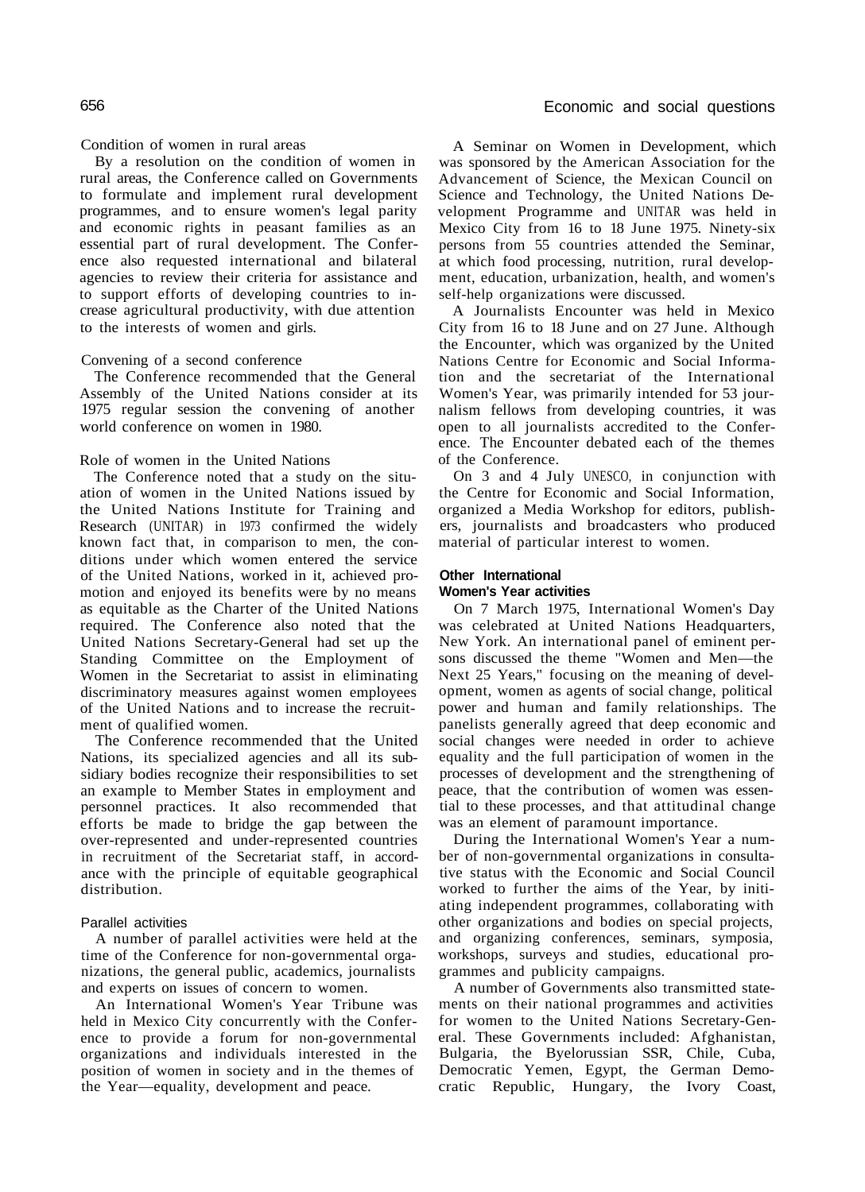Condition of women in rural areas

By a resolution on the condition of women in rural areas, the Conference called on Governments to formulate and implement rural development programmes, and to ensure women's legal parity and economic rights in peasant families as an essential part of rural development. The Conference also requested international and bilateral agencies to review their criteria for assistance and to support efforts of developing countries to increase agricultural productivity, with due attention to the interests of women and girls.

#### Convening of a second conference

The Conference recommended that the General Assembly of the United Nations consider at its 1975 regular session the convening of another world conference on women in 1980.

# Role of women in the United Nations

The Conference noted that a study on the situation of women in the United Nations issued by the United Nations Institute for Training and Research (UNITAR) in 1973 confirmed the widely known fact that, in comparison to men, the conditions under which women entered the service of the United Nations, worked in it, achieved promotion and enjoyed its benefits were by no means as equitable as the Charter of the United Nations required. The Conference also noted that the United Nations Secretary-General had set up the Standing Committee on the Employment of Women in the Secretariat to assist in eliminating discriminatory measures against women employees of the United Nations and to increase the recruitment of qualified women.

The Conference recommended that the United Nations, its specialized agencies and all its subsidiary bodies recognize their responsibilities to set an example to Member States in employment and personnel practices. It also recommended that efforts be made to bridge the gap between the over-represented and under-represented countries in recruitment of the Secretariat staff, in accordance with the principle of equitable geographical distribution.

### Parallel activities

A number of parallel activities were held at the time of the Conference for non-governmental organizations, the general public, academics, journalists and experts on issues of concern to women.

An International Women's Year Tribune was held in Mexico City concurrently with the Conference to provide a forum for non-governmental organizations and individuals interested in the position of women in society and in the themes of the Year—equality, development and peace.

A Seminar on Women in Development, which was sponsored by the American Association for the Advancement of Science, the Mexican Council on Science and Technology, the United Nations Development Programme and UNITAR was held in Mexico City from 16 to 18 June 1975. Ninety-six persons from 55 countries attended the Seminar, at which food processing, nutrition, rural development, education, urbanization, health, and women's self-help organizations were discussed.

A Journalists Encounter was held in Mexico City from 16 to 18 June and on 27 June. Although the Encounter, which was organized by the United Nations Centre for Economic and Social Information and the secretariat of the International Women's Year, was primarily intended for 53 journalism fellows from developing countries, it was open to all journalists accredited to the Conference. The Encounter debated each of the themes of the Conference.

On 3 and 4 July UNESCO, in conjunction with the Centre for Economic and Social Information, organized a Media Workshop for editors, publishers, journalists and broadcasters who produced material of particular interest to women.

# **Other International**

#### **Women's Year activities**

On 7 March 1975, International Women's Day was celebrated at United Nations Headquarters, New York. An international panel of eminent persons discussed the theme "Women and Men—the Next 25 Years," focusing on the meaning of development, women as agents of social change, political power and human and family relationships. The panelists generally agreed that deep economic and social changes were needed in order to achieve equality and the full participation of women in the processes of development and the strengthening of peace, that the contribution of women was essential to these processes, and that attitudinal change was an element of paramount importance.

During the International Women's Year a number of non-governmental organizations in consultative status with the Economic and Social Council worked to further the aims of the Year, by initiating independent programmes, collaborating with other organizations and bodies on special projects, and organizing conferences, seminars, symposia, workshops, surveys and studies, educational programmes and publicity campaigns.

A number of Governments also transmitted statements on their national programmes and activities for women to the United Nations Secretary-General. These Governments included: Afghanistan, Bulgaria, the Byelorussian SSR, Chile, Cuba, Democratic Yemen, Egypt, the German Democratic Republic, Hungary, the Ivory Coast,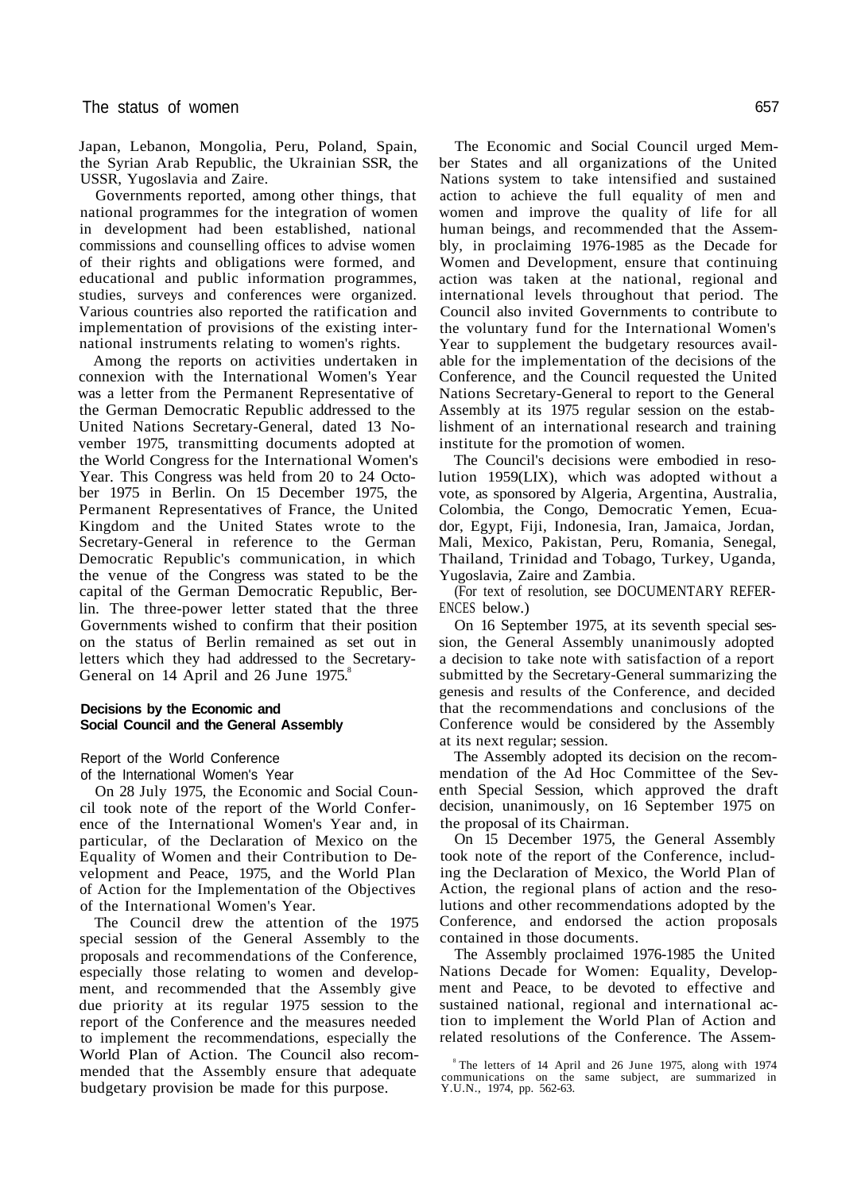Japan, Lebanon, Mongolia, Peru, Poland, Spain, the Syrian Arab Republic, the Ukrainian SSR, the USSR, Yugoslavia and Zaire.

Governments reported, among other things, that national programmes for the integration of women in development had been established, national commissions and counselling offices to advise women of their rights and obligations were formed, and educational and public information programmes, studies, surveys and conferences were organized. Various countries also reported the ratification and implementation of provisions of the existing international instruments relating to women's rights.

Among the reports on activities undertaken in connexion with the International Women's Year was a letter from the Permanent Representative of the German Democratic Republic addressed to the United Nations Secretary-General, dated 13 November 1975, transmitting documents adopted at the World Congress for the International Women's Year. This Congress was held from 20 to 24 October 1975 in Berlin. On 15 December 1975, the Permanent Representatives of France, the United Kingdom and the United States wrote to the Secretary-General in reference to the German Democratic Republic's communication, in which the venue of the Congress was stated to be the capital of the German Democratic Republic, Berlin. The three-power letter stated that the three Governments wished to confirm that their position on the status of Berlin remained as set out in letters which they had addressed to the Secretary-General on 14 April and 26 June 1975.<sup>8</sup>

### **Decisions by the Economic and Social Council and the General Assembly**

Report of the World Conference of the International Women's Year

On 28 July 1975, the Economic and Social Council took note of the report of the World Conference of the International Women's Year and, in particular, of the Declaration of Mexico on the Equality of Women and their Contribution to Development and Peace, 1975, and the World Plan of Action for the Implementation of the Objectives of the International Women's Year.

The Council drew the attention of the 1975 special session of the General Assembly to the proposals and recommendations of the Conference, especially those relating to women and development, and recommended that the Assembly give due priority at its regular 1975 session to the report of the Conference and the measures needed to implement the recommendations, especially the World Plan of Action. The Council also recommended that the Assembly ensure that adequate budgetary provision be made for this purpose.

The Economic and Social Council urged Member States and all organizations of the United Nations system to take intensified and sustained action to achieve the full equality of men and women and improve the quality of life for all human beings, and recommended that the Assembly, in proclaiming 1976-1985 as the Decade for Women and Development, ensure that continuing action was taken at the national, regional and international levels throughout that period. The Council also invited Governments to contribute to the voluntary fund for the International Women's Year to supplement the budgetary resources available for the implementation of the decisions of the Conference, and the Council requested the United Nations Secretary-General to report to the General Assembly at its 1975 regular session on the establishment of an international research and training institute for the promotion of women.

The Council's decisions were embodied in resolution 1959(LIX), which was adopted without a vote, as sponsored by Algeria, Argentina, Australia, Colombia, the Congo, Democratic Yemen, Ecuador, Egypt, Fiji, Indonesia, Iran, Jamaica, Jordan, Mali, Mexico, Pakistan, Peru, Romania, Senegal, Thailand, Trinidad and Tobago, Turkey, Uganda, Yugoslavia, Zaire and Zambia.

(For text of resolution, see DOCUMENTARY REFER-ENCES below.)

On 16 September 1975, at its seventh special session, the General Assembly unanimously adopted a decision to take note with satisfaction of a report submitted by the Secretary-General summarizing the genesis and results of the Conference, and decided that the recommendations and conclusions of the Conference would be considered by the Assembly at its next regular; session.

The Assembly adopted its decision on the recommendation of the Ad Hoc Committee of the Seventh Special Session, which approved the draft decision, unanimously, on 16 September 1975 on the proposal of its Chairman.

On 15 December 1975, the General Assembly took note of the report of the Conference, including the Declaration of Mexico, the World Plan of Action, the regional plans of action and the resolutions and other recommendations adopted by the Conference, and endorsed the action proposals contained in those documents.

The Assembly proclaimed 1976-1985 the United Nations Decade for Women: Equality, Development and Peace, to be devoted to effective and sustained national, regional and international action to implement the World Plan of Action and related resolutions of the Conference. The Assem-

<sup>8</sup> The letters of 14 April and 26 June 1975, along with 1974 communications on the same subject, are summarized in Y.U.N., 1974, pp. 562-63.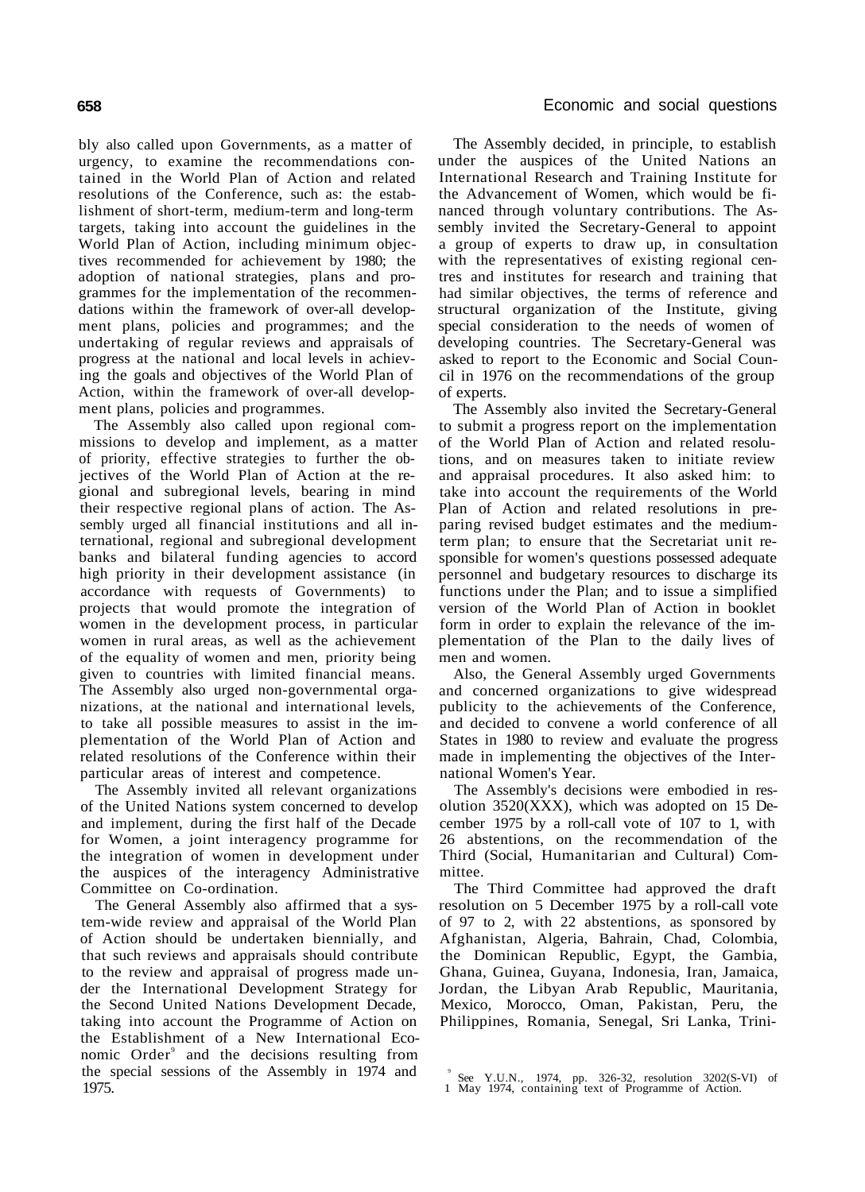bly also called upon Governments, as a matter of urgency, to examine the recommendations contained in the World Plan of Action and related resolutions of the Conference, such as: the establishment of short-term, medium-term and long-term targets, taking into account the guidelines in the World Plan of Action, including minimum objectives recommended for achievement by 1980; the adoption of national strategies, plans and programmes for the implementation of the recommendations within the framework of over-all development plans, policies and programmes; and the undertaking of regular reviews and appraisals of progress at the national and local levels in achieving the goals and objectives of the World Plan of Action, within the framework of over-all development plans, policies and programmes.

The Assembly also called upon regional commissions to develop and implement, as a matter of priority, effective strategies to further the objectives of the World Plan of Action at the regional and subregional levels, bearing in mind their respective regional plans of action. The Assembly urged all financial institutions and all international, regional and subregional development banks and bilateral funding agencies to accord high priority in their development assistance (in accordance with requests of Governments) to projects that would promote the integration of women in the development process, in particular women in rural areas, as well as the achievement of the equality of women and men, priority being given to countries with limited financial means. The Assembly also urged non-governmental organizations, at the national and international levels, to take all possible measures to assist in the implementation of the World Plan of Action and related resolutions of the Conference within their particular areas of interest and competence.

The Assembly invited all relevant organizations of the United Nations system concerned to develop and implement, during the first half of the Decade for Women, a joint interagency programme for the integration of women in development under the auspices of the interagency Administrative Committee on Co-ordination.

The General Assembly also affirmed that a system-wide review and appraisal of the World Plan of Action should be undertaken biennially, and that such reviews and appraisals should contribute to the review and appraisal of progress made under the International Development Strategy for the Second United Nations Development Decade, taking into account the Programme of Action on the Establishment of a New International Economic Order<sup>9</sup> and the decisions resulting from the special sessions of the Assembly in 1974 and 1975.

The Assembly decided, in principle, to establish under the auspices of the United Nations an International Research and Training Institute for the Advancement of Women, which would be financed through voluntary contributions. The Assembly invited the Secretary-General to appoint a group of experts to draw up, in consultation with the representatives of existing regional centres and institutes for research and training that had similar objectives, the terms of reference and structural organization of the Institute, giving special consideration to the needs of women of developing countries. The Secretary-General was asked to report to the Economic and Social Council in 1976 on the recommendations of the group of experts.

The Assembly also invited the Secretary-General to submit a progress report on the implementation of the World Plan of Action and related resolutions, and on measures taken to initiate review and appraisal procedures. It also asked him: to take into account the requirements of the World Plan of Action and related resolutions in preparing revised budget estimates and the mediumterm plan; to ensure that the Secretariat unit responsible for women's questions possessed adequate personnel and budgetary resources to discharge its functions under the Plan; and to issue a simplified version of the World Plan of Action in booklet form in order to explain the relevance of the implementation of the Plan to the daily lives of men and women.

Also, the General Assembly urged Governments and concerned organizations to give widespread publicity to the achievements of the Conference, and decided to convene a world conference of all States in 1980 to review and evaluate the progress made in implementing the objectives of the International Women's Year.

The Assembly's decisions were embodied in resolution  $3520(XXX)$ , which was adopted on 15 December 1975 by a roll-call vote of 107 to 1, with 26 abstentions, on the recommendation of the Third (Social, Humanitarian and Cultural) Committee.

The Third Committee had approved the draft resolution on 5 December 1975 by a roll-call vote of 97 to 2, with 22 abstentions, as sponsored by Afghanistan, Algeria, Bahrain, Chad, Colombia, the Dominican Republic, Egypt, the Gambia, Ghana, Guinea, Guyana, Indonesia, Iran, Jamaica, Jordan, the Libyan Arab Republic, Mauritania, Mexico, Morocco, Oman, Pakistan, Peru, the Philippines, Romania, Senegal, Sri Lanka, Trini-

<sup>9</sup> See Y.U.N., 1974, pp. 326-32, resolution 3202(S-VI) of 1 May 1974, containing text of Programme of Action.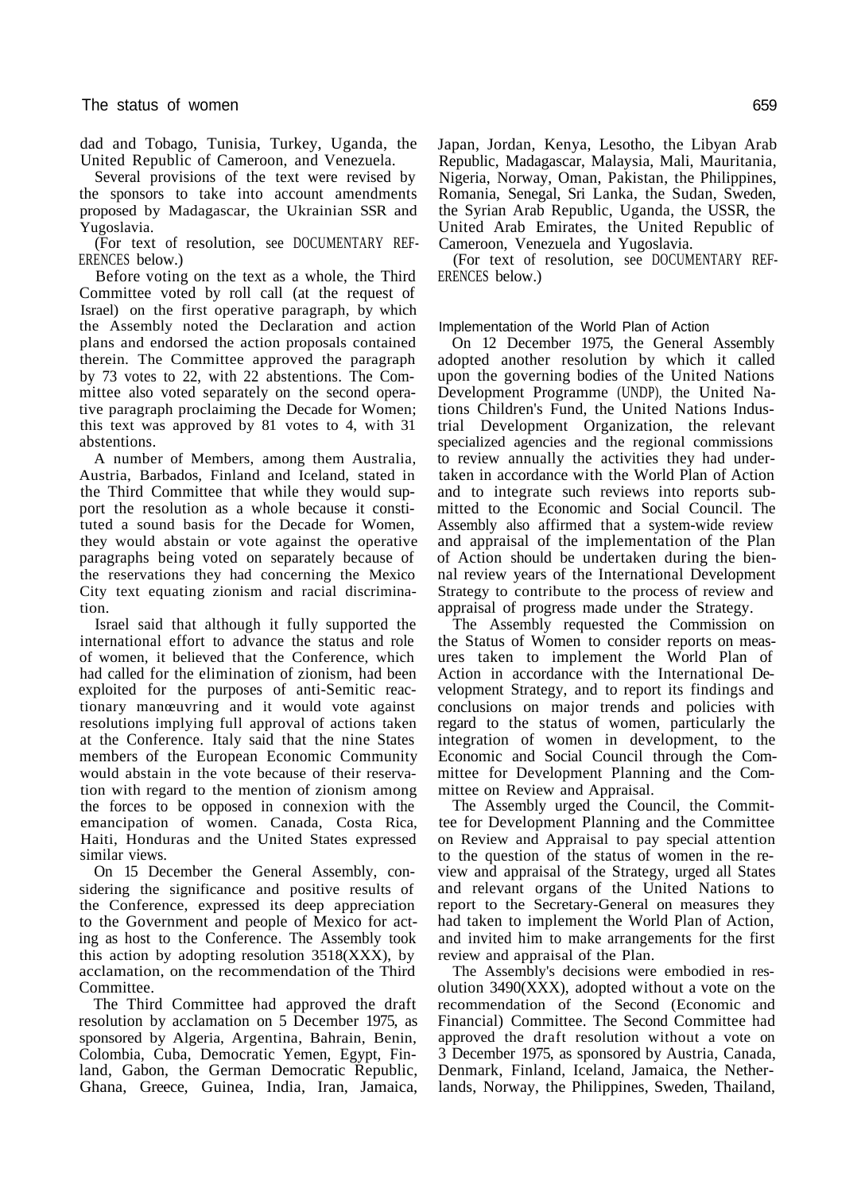dad and Tobago, Tunisia, Turkey, Uganda, the United Republic of Cameroon, and Venezuela.

Several provisions of the text were revised by the sponsors to take into account amendments proposed by Madagascar, the Ukrainian SSR and Yugoslavia.

(For text of resolution, see DOCUMENTARY REF-ERENCES below.)

Before voting on the text as a whole, the Third Committee voted by roll call (at the request of Israel) on the first operative paragraph, by which the Assembly noted the Declaration and action plans and endorsed the action proposals contained therein. The Committee approved the paragraph by 73 votes to 22, with 22 abstentions. The Committee also voted separately on the second operative paragraph proclaiming the Decade for Women; this text was approved by 81 votes to 4, with 31 abstentions.

A number of Members, among them Australia, Austria, Barbados, Finland and Iceland, stated in the Third Committee that while they would support the resolution as a whole because it constituted a sound basis for the Decade for Women, they would abstain or vote against the operative paragraphs being voted on separately because of the reservations they had concerning the Mexico City text equating zionism and racial discrimination.

Israel said that although it fully supported the international effort to advance the status and role of women, it believed that the Conference, which had called for the elimination of zionism, had been exploited for the purposes of anti-Semitic reactionary manœuvring and it would vote against resolutions implying full approval of actions taken at the Conference. Italy said that the nine States members of the European Economic Community would abstain in the vote because of their reservation with regard to the mention of zionism among the forces to be opposed in connexion with the emancipation of women. Canada, Costa Rica, Haiti, Honduras and the United States expressed similar views.

On 15 December the General Assembly, considering the significance and positive results of the Conference, expressed its deep appreciation to the Government and people of Mexico for acting as host to the Conference. The Assembly took this action by adopting resolution  $3518(XXX)$ , by acclamation, on the recommendation of the Third Committee.

The Third Committee had approved the draft resolution by acclamation on 5 December 1975, as sponsored by Algeria, Argentina, Bahrain, Benin, Colombia, Cuba, Democratic Yemen, Egypt, Finland, Gabon, the German Democratic Republic, Ghana, Greece, Guinea, India, Iran, Jamaica, Japan, Jordan, Kenya, Lesotho, the Libyan Arab Republic, Madagascar, Malaysia, Mali, Mauritania, Nigeria, Norway, Oman, Pakistan, the Philippines, Romania, Senegal, Sri Lanka, the Sudan, Sweden, the Syrian Arab Republic, Uganda, the USSR, the United Arab Emirates, the United Republic of Cameroon, Venezuela and Yugoslavia.

(For text of resolution, see DOCUMENTARY REF-ERENCES below.)

Implementation of the World Plan of Action

On 12 December 1975, the General Assembly adopted another resolution by which it called upon the governing bodies of the United Nations Development Programme (UNDP), the United Nations Children's Fund, the United Nations Industrial Development Organization, the relevant specialized agencies and the regional commissions to review annually the activities they had undertaken in accordance with the World Plan of Action and to integrate such reviews into reports submitted to the Economic and Social Council. The Assembly also affirmed that a system-wide review and appraisal of the implementation of the Plan of Action should be undertaken during the biennal review years of the International Development Strategy to contribute to the process of review and appraisal of progress made under the Strategy.

The Assembly requested the Commission on the Status of Women to consider reports on measures taken to implement the World Plan of Action in accordance with the International Development Strategy, and to report its findings and conclusions on major trends and policies with regard to the status of women, particularly the integration of women in development, to the Economic and Social Council through the Committee for Development Planning and the Committee on Review and Appraisal.

The Assembly urged the Council, the Committee for Development Planning and the Committee on Review and Appraisal to pay special attention to the question of the status of women in the review and appraisal of the Strategy, urged all States and relevant organs of the United Nations to report to the Secretary-General on measures they had taken to implement the World Plan of Action, and invited him to make arrangements for the first review and appraisal of the Plan.

The Assembly's decisions were embodied in resolution 3490(XXX), adopted without a vote on the recommendation of the Second (Economic and Financial) Committee. The Second Committee had approved the draft resolution without a vote on 3 December 1975, as sponsored by Austria, Canada, Denmark, Finland, Iceland, Jamaica, the Netherlands, Norway, the Philippines, Sweden, Thailand,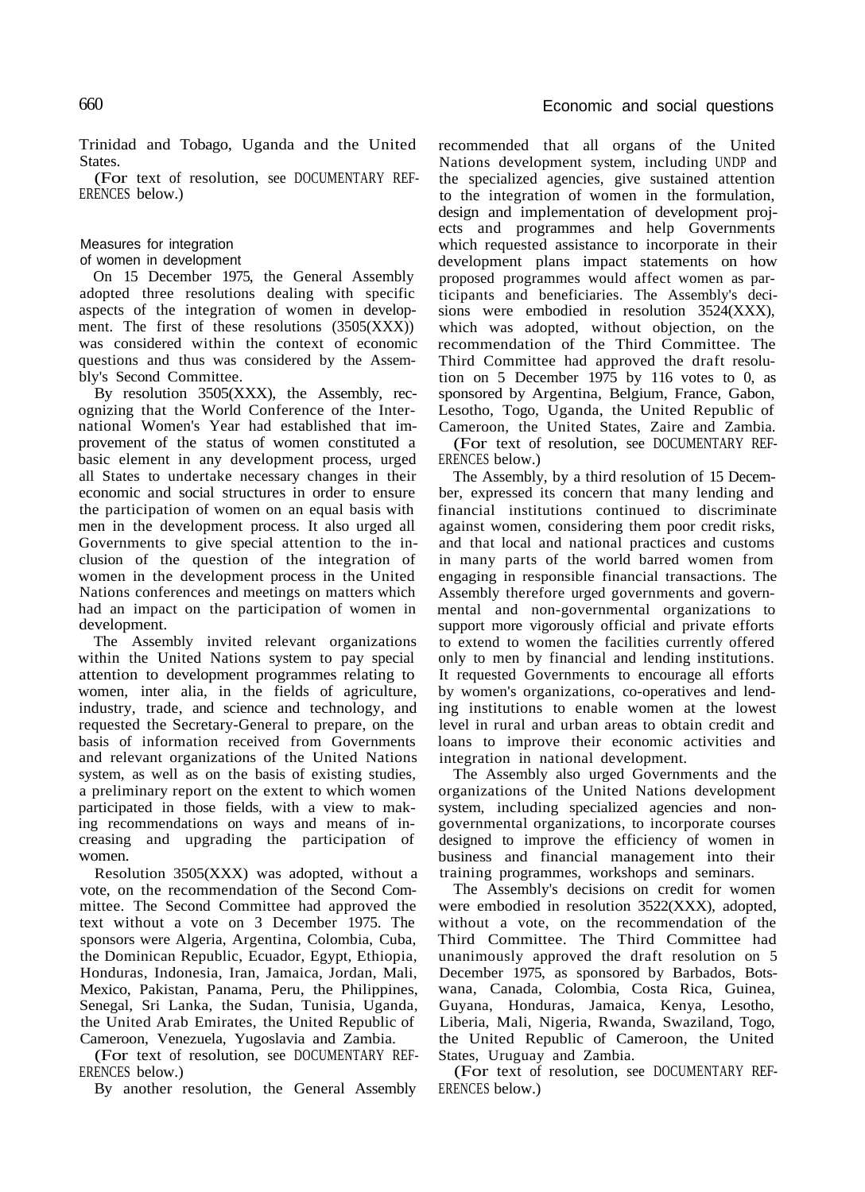Trinidad and Tobago, Uganda and the United States.

(For text of resolution, see DOCUMENTARY REF-ERENCES below.)

Measures for integration

of women in development

On 15 December 1975, the General Assembly adopted three resolutions dealing with specific aspects of the integration of women in development. The first of these resolutions (3505(XXX)) was considered within the context of economic questions and thus was considered by the Assembly's Second Committee.

By resolution 3505(XXX), the Assembly, recognizing that the World Conference of the International Women's Year had established that improvement of the status of women constituted a basic element in any development process, urged all States to undertake necessary changes in their economic and social structures in order to ensure the participation of women on an equal basis with men in the development process. It also urged all Governments to give special attention to the inclusion of the question of the integration of women in the development process in the United Nations conferences and meetings on matters which had an impact on the participation of women in development.

The Assembly invited relevant organizations within the United Nations system to pay special attention to development programmes relating to women, inter alia, in the fields of agriculture, industry, trade, and science and technology, and requested the Secretary-General to prepare, on the basis of information received from Governments and relevant organizations of the United Nations system, as well as on the basis of existing studies, a preliminary report on the extent to which women participated in those fields, with a view to making recommendations on ways and means of increasing and upgrading the participation of women.

Resolution 3505(XXX) was adopted, without a vote, on the recommendation of the Second Committee. The Second Committee had approved the text without a vote on 3 December 1975. The sponsors were Algeria, Argentina, Colombia, Cuba, the Dominican Republic, Ecuador, Egypt, Ethiopia, Honduras, Indonesia, Iran, Jamaica, Jordan, Mali, Mexico, Pakistan, Panama, Peru, the Philippines, Senegal, Sri Lanka, the Sudan, Tunisia, Uganda, the United Arab Emirates, the United Republic of Cameroon, Venezuela, Yugoslavia and Zambia.

(For text of resolution, see DOCUMENTARY REF-ERENCES below.)

By another resolution, the General Assembly

recommended that all organs of the United Nations development system, including UNDP and the specialized agencies, give sustained attention to the integration of women in the formulation, design and implementation of development projects and programmes and help Governments which requested assistance to incorporate in their development plans impact statements on how proposed programmes would affect women as participants and beneficiaries. The Assembly's decisions were embodied in resolution 3524(XXX), which was adopted, without objection, on the recommendation of the Third Committee. The Third Committee had approved the draft resolution on 5 December 1975 by 116 votes to 0, as sponsored by Argentina, Belgium, France, Gabon, Lesotho, Togo, Uganda, the United Republic of Cameroon, the United States, Zaire and Zambia.

(For text of resolution, see DOCUMENTARY REF-ERENCES below.)

The Assembly, by a third resolution of 15 December, expressed its concern that many lending and financial institutions continued to discriminate against women, considering them poor credit risks, and that local and national practices and customs in many parts of the world barred women from engaging in responsible financial transactions. The Assembly therefore urged governments and governmental and non-governmental organizations to support more vigorously official and private efforts to extend to women the facilities currently offered only to men by financial and lending institutions. It requested Governments to encourage all efforts by women's organizations, co-operatives and lending institutions to enable women at the lowest level in rural and urban areas to obtain credit and loans to improve their economic activities and integration in national development.

The Assembly also urged Governments and the organizations of the United Nations development system, including specialized agencies and nongovernmental organizations, to incorporate courses designed to improve the efficiency of women in business and financial management into their training programmes, workshops and seminars.

The Assembly's decisions on credit for women were embodied in resolution 3522(XXX), adopted, without a vote, on the recommendation of the Third Committee. The Third Committee had unanimously approved the draft resolution on 5 December 1975, as sponsored by Barbados, Botswana, Canada, Colombia, Costa Rica, Guinea, Guyana, Honduras, Jamaica, Kenya, Lesotho, Liberia, Mali, Nigeria, Rwanda, Swaziland, Togo, the United Republic of Cameroon, the United States, Uruguay and Zambia.

(For text of resolution, see DOCUMENTARY REF-ERENCES below.)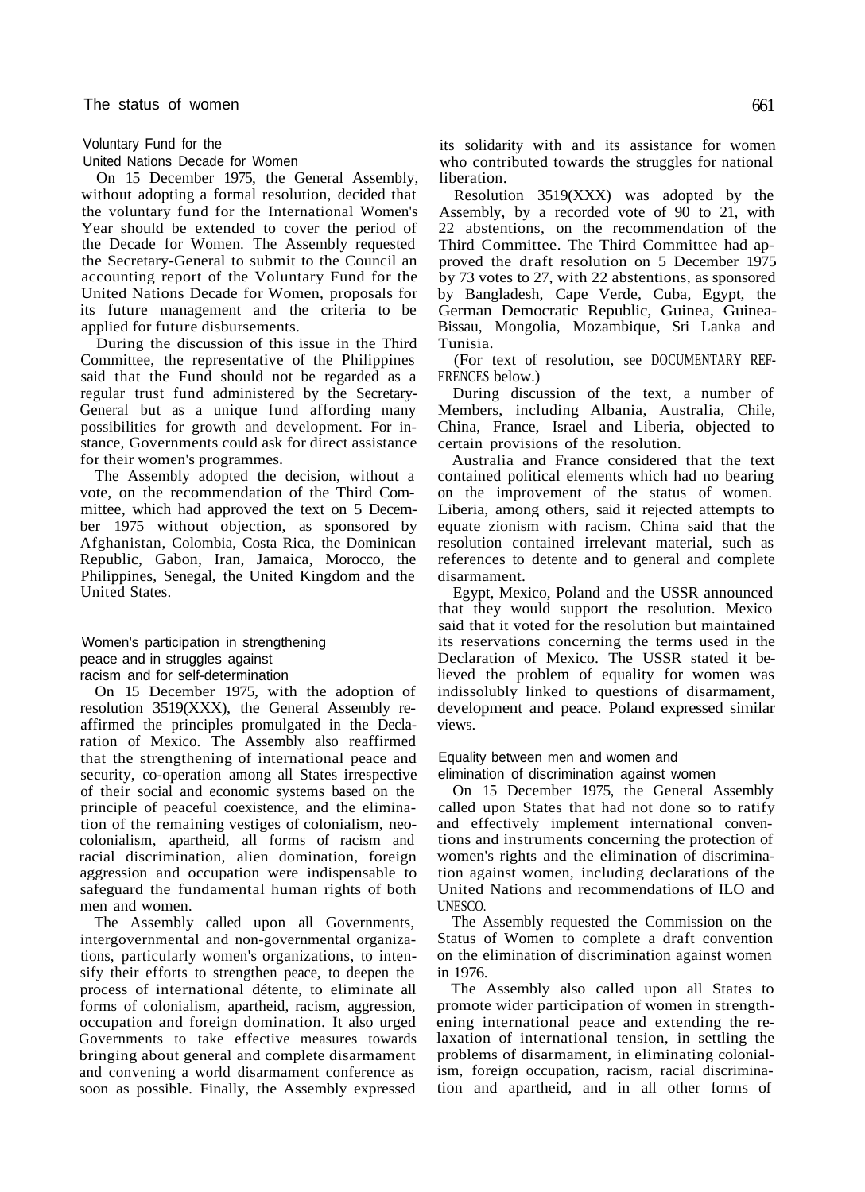# Voluntary Fund for the

United Nations Decade for Women

On 15 December 1975, the General Assembly, without adopting a formal resolution, decided that the voluntary fund for the International Women's Year should be extended to cover the period of the Decade for Women. The Assembly requested the Secretary-General to submit to the Council an accounting report of the Voluntary Fund for the United Nations Decade for Women, proposals for its future management and the criteria to be applied for future disbursements.

During the discussion of this issue in the Third Committee, the representative of the Philippines said that the Fund should not be regarded as a regular trust fund administered by the Secretary-General but as a unique fund affording many possibilities for growth and development. For instance, Governments could ask for direct assistance for their women's programmes.

The Assembly adopted the decision, without a vote, on the recommendation of the Third Committee, which had approved the text on 5 December 1975 without objection, as sponsored by Afghanistan, Colombia, Costa Rica, the Dominican Republic, Gabon, Iran, Jamaica, Morocco, the Philippines, Senegal, the United Kingdom and the United States.

# Women's participation in strengthening peace and in struggles against racism and for self-determination

On 15 December 1975, with the adoption of resolution 3519(XXX), the General Assembly reaffirmed the principles promulgated in the Declaration of Mexico. The Assembly also reaffirmed that the strengthening of international peace and security, co-operation among all States irrespective of their social and economic systems based on the principle of peaceful coexistence, and the elimination of the remaining vestiges of colonialism, neocolonialism, apartheid, all forms of racism and racial discrimination, alien domination, foreign aggression and occupation were indispensable to safeguard the fundamental human rights of both men and women.

The Assembly called upon all Governments, intergovernmental and non-governmental organizations, particularly women's organizations, to intensify their efforts to strengthen peace, to deepen the process of international détente, to eliminate all forms of colonialism, apartheid, racism, aggression, occupation and foreign domination. It also urged Governments to take effective measures towards bringing about general and complete disarmament and convening a world disarmament conference as soon as possible. Finally, the Assembly expressed its solidarity with and its assistance for women who contributed towards the struggles for national liberation.

Resolution 3519(XXX) was adopted by the Assembly, by a recorded vote of  $90$  to 21, with 22 abstentions, on the recommendation of the Third Committee. The Third Committee had approved the draft resolution on 5 December 1975 by 73 votes to 27, with 22 abstentions, as sponsored by Bangladesh, Cape Verde, Cuba, Egypt, the German Democratic Republic, Guinea, Guinea-Bissau, Mongolia, Mozambique, Sri Lanka and Tunisia.

(For text of resolution, see DOCUMENTARY REF-ERENCES below.)

During discussion of the text, a number of Members, including Albania, Australia, Chile, China, France, Israel and Liberia, objected to certain provisions of the resolution.

Australia and France considered that the text contained political elements which had no bearing on the improvement of the status of women. Liberia, among others, said it rejected attempts to equate zionism with racism. China said that the resolution contained irrelevant material, such as references to detente and to general and complete disarmament.

Egypt, Mexico, Poland and the USSR announced that they would support the resolution. Mexico said that it voted for the resolution but maintained its reservations concerning the terms used in the Declaration of Mexico. The USSR stated it believed the problem of equality for women was indissolubly linked to questions of disarmament, development and peace. Poland expressed similar views.

# Equality between men and women and

elimination of discrimination against women

On 15 December 1975, the General Assembly called upon States that had not done so to ratify and effectively implement international conventions and instruments concerning the protection of women's rights and the elimination of discrimination against women, including declarations of the United Nations and recommendations of ILO and **UNESCO.** 

The Assembly requested the Commission on the Status of Women to complete a draft convention on the elimination of discrimination against women in 1976.

The Assembly also called upon all States to promote wider participation of women in strengthening international peace and extending the relaxation of international tension, in settling the problems of disarmament, in eliminating colonialism, foreign occupation, racism, racial discrimination and apartheid, and in all other forms of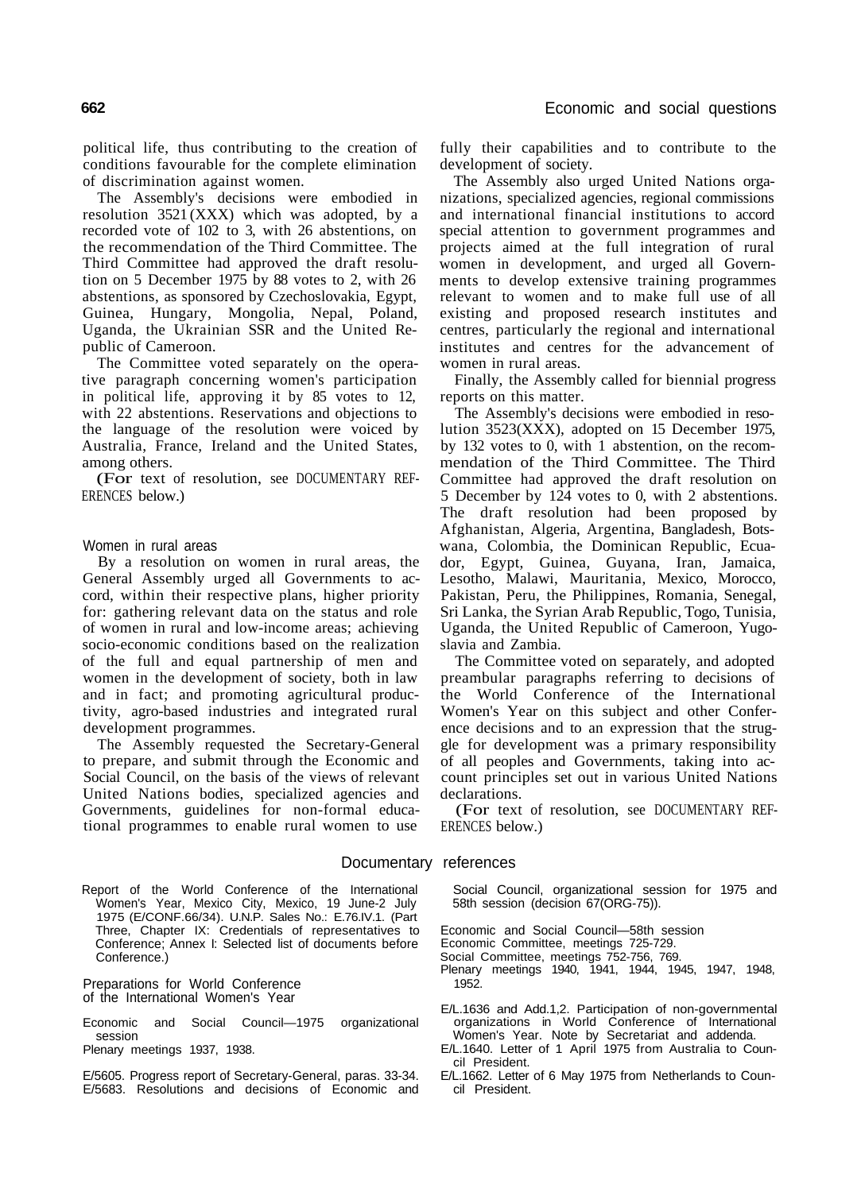political life, thus contributing to the creation of conditions favourable for the complete elimination of discrimination against women.

The Assembly's decisions were embodied in resolution 3521 (XXX) which was adopted, by a recorded vote of 102 to 3, with 26 abstentions, on the recommendation of the Third Committee. The Third Committee had approved the draft resolution on 5 December 1975 by 88 votes to 2, with 26 abstentions, as sponsored by Czechoslovakia, Egypt, Guinea, Hungary, Mongolia, Nepal, Poland, Uganda, the Ukrainian SSR and the United Republic of Cameroon.

The Committee voted separately on the operative paragraph concerning women's participation in political life, approving it by 85 votes to 12, with 22 abstentions. Reservations and objections to the language of the resolution were voiced by Australia, France, Ireland and the United States, among others.

(For text of resolution, see DOCUMENTARY REF-ERENCES below.)

# Women in rural areas

By a resolution on women in rural areas, the General Assembly urged all Governments to accord, within their respective plans, higher priority for: gathering relevant data on the status and role of women in rural and low-income areas; achieving socio-economic conditions based on the realization of the full and equal partnership of men and women in the development of society, both in law and in fact; and promoting agricultural productivity, agro-based industries and integrated rural development programmes.

The Assembly requested the Secretary-General to prepare, and submit through the Economic and Social Council, on the basis of the views of relevant United Nations bodies, specialized agencies and Governments, guidelines for non-formal educational programmes to enable rural women to use

fully their capabilities and to contribute to the development of society.

The Assembly also urged United Nations organizations, specialized agencies, regional commissions and international financial institutions to accord special attention to government programmes and projects aimed at the full integration of rural women in development, and urged all Governments to develop extensive training programmes relevant to women and to make full use of all existing and proposed research institutes and centres, particularly the regional and international institutes and centres for the advancement of women in rural areas.

Finally, the Assembly called for biennial progress reports on this matter.

The Assembly's decisions were embodied in resolution 3523(XXX), adopted on 15 December 1975, by 132 votes to 0, with 1 abstention, on the recommendation of the Third Committee. The Third Committee had approved the draft resolution on 5 December by 124 votes to 0, with 2 abstentions. The draft resolution had been proposed by Afghanistan, Algeria, Argentina, Bangladesh, Botswana, Colombia, the Dominican Republic, Ecuador, Egypt, Guinea, Guyana, Iran, Jamaica, Lesotho, Malawi, Mauritania, Mexico, Morocco, Pakistan, Peru, the Philippines, Romania, Senegal, Sri Lanka, the Syrian Arab Republic, Togo, Tunisia, Uganda, the United Republic of Cameroon, Yugoslavia and Zambia.

The Committee voted on separately, and adopted preambular paragraphs referring to decisions of the World Conference of the International Women's Year on this subject and other Conference decisions and to an expression that the struggle for development was a primary responsibility of all peoples and Governments, taking into account principles set out in various United Nations declarations.

(For text of resolution, see DOCUMENTARY REF-ERENCES below.)

#### Documentary references

Report of the World Conference of the International Women's Year, Mexico City, Mexico, 19 June-2 July 1975 (E/CONF.66/34). U.N.P. Sales No.: E.76.IV.1. (Part Three, Chapter IX: Credentials of representatives to Conference; Annex I: Selected list of documents before Conference.)

Preparations for World Conference of the International Women's Year

Economic and Social Council—1975 organizational session

Plenary meetings 1937, 1938.

E/5605. Progress report of Secretary-General, paras. 33-34. E/5683. Resolutions and decisions of Economic and Social Council, organizational session for 1975 and 58th session (decision 67(ORG-75)).

Economic and Social Council—58th session

Economic Committee, meetings 725-729.

Social Committee, meetings 752-756, 769.

Plenary meetings 1940, 1941, 1944, 1945, 1947, 1948, 1952.

- E/L.1636 and Add.1,2. Participation of non-governmental organizations in World Conference of International
- Women's Year. Note by Secretariat and addenda. E/L.1640. Letter of 1 April 1975 from Australia to Council President.
- E/L.1662. Letter of 6 May 1975 from Netherlands to Council President.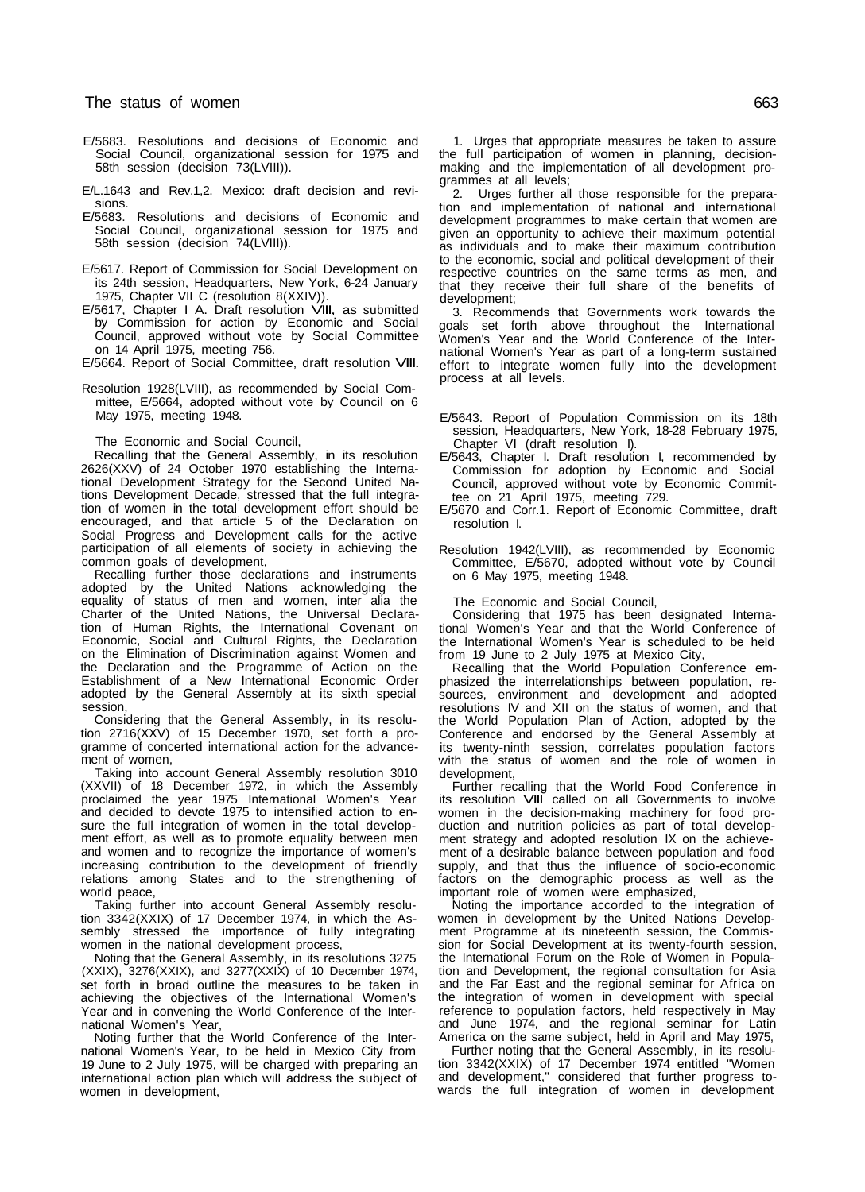- E/5683. Resolutions and decisions of Economic and Social Council, organizational session for 1975 and 58th session (decision 73(LVIII)).
- E/L.1643 and Rev.1,2. Mexico: draft decision and revisions.
- E/5683. Resolutions and decisions of Economic and Social Council, organizational session for 1975 and 58th session (decision 74(LVIII)).
- E/5617. Report of Commission for Social Development on its 24th session, Headquarters, New York, 6-24 January 1975, Chapter VII C (resolution 8(XXIV)).
- E/5617, Chapter I A. Draft resolution VIII, as submitted by Commission for action by Economic and Social Council, approved without vote by Social Committee on 14 April 1975, meeting 756.
- E/5664. Report of Social Committee, draft resolution VIII.
- Resolution 1928(LVIII), as recommended by Social Committee, E/5664, adopted without vote by Council on 6 May 1975, meeting 1948.

The Economic and Social Council,

Recalling that the General Assembly, in its resolution 2626(XXV) of 24 October 1970 establishing the International Development Strategy for the Second United Nations Development Decade, stressed that the full integration of women in the total development effort should be encouraged, and that article 5 of the Declaration on Social Progress and Development calls for the active participation of all elements of society in achieving the common goals of development,

Recalling further those declarations and instruments adopted by the United Nations acknowledging the equality of status of men and women, inter alia the Charter of the United Nations, the Universal Declaration of Human Rights, the International Covenant on Economic, Social and Cultural Rights, the Declaration on the Elimination of Discrimination against Women and the Declaration and the Programme of Action on the Establishment of a New International Economic Order adopted by the General Assembly at its sixth special session,

Considering that the General Assembly, in its resolution 2716(XXV) of 15 December 1970, set forth a programme of concerted international action for the advancement of women,

Taking into account General Assembly resolution 3010 (XXVII) of 18 December 1972, in which the Assembly proclaimed the year 1975 International Women's Year and decided to devote 1975 to intensified action to ensure the full integration of women in the total development effort, as well as to promote equality between men and women and to recognize the importance of women's increasing contribution to the development of friendly relations among States and to the strengthening of world peace,

Taking further into account General Assembly resolution 3342(XXIX) of 17 December 1974, in which the Assembly stressed the importance of fully integrating women in the national development process,

Noting that the General Assembly, in its resolutions 3275 (XXIX), 3276(XXIX), and 3277(XXIX) of 10 December 1974, set forth in broad outline the measures to be taken in achieving the objectives of the International Women's Year and in convening the World Conference of the International Women's Year,

Noting further that the World Conference of the International Women's Year, to be held in Mexico City from 19 June to 2 July 1975, will be charged with preparing an international action plan which will address the subject of women in development,

1. Urges that appropriate measures be taken to assure the full participation of women in planning, decisionmaking and the implementation of all development programmes at all levels;

2. Urges further all those responsible for the preparation and implementation of national and international development programmes to make certain that women are given an opportunity to achieve their maximum potential as individuals and to make their maximum contribution to the economic, social and political development of their respective countries on the same terms as men, and that they receive their full share of the benefits of development;

3. Recommends that Governments work towards the goals set forth above throughout the International Women's Year and the World Conference of the International Women's Year as part of a long-term sustained effort to integrate women fully into the development process at all levels.

- E/5643. Report of Population Commission on its 18th session, Headquarters, New York, 18-28 February 1975, Chapter VI (draft resolution I).
- E/5643, Chapter I. Draft resolution I, recommended by Commission for adoption by Economic and Social Council, approved without vote by Economic Committee on 21 April 1975, meeting 729.
- E/5670 and Corr.1. Report of Economic Committee, draft resolution I.

Resolution 1942(LVIII), as recommended by Economic Committee, E/5670, adopted without vote by Council on 6 May 1975, meeting 1948.

The Economic and Social Council,

Considering that 1975 has been designated International Women's Year and that the World Conference of the International Women's Year is scheduled to be held from 19 June to 2 July 1975 at Mexico City,

Recalling that the World Population Conference emphasized the interrelationships between population, resources, environment and development and adopted resolutions IV and XII on the status of women, and that the World Population Plan of Action, adopted by the Conference and endorsed by the General Assembly at its twenty-ninth session, correlates population factors with the status of women and the role of women in development,

Further recalling that the World Food Conference in its resolution VIII called on all Governments to involve women in the decision-making machinery for food production and nutrition policies as part of total development strategy and adopted resolution IX on the achievement of a desirable balance between population and food supply, and that thus the influence of socio-economic factors on the demographic process as well as the important role of women were emphasized,

Noting the importance accorded to the integration of women in development by the United Nations Development Programme at its nineteenth session, the Commission for Social Development at its twenty-fourth session, the International Forum on the Role of Women in Population and Development, the regional consultation for Asia and the Far East and the regional seminar for Africa on the integration of women in development with special reference to population factors, held respectively in May and June 1974, and the regional seminar for Latin America on the same subject, held in April and May 1975,

Further noting that the General Assembly, in its resolution 3342(XXIX) of 17 December 1974 entitled "Women and development," considered that further progress towards the full integration of women in development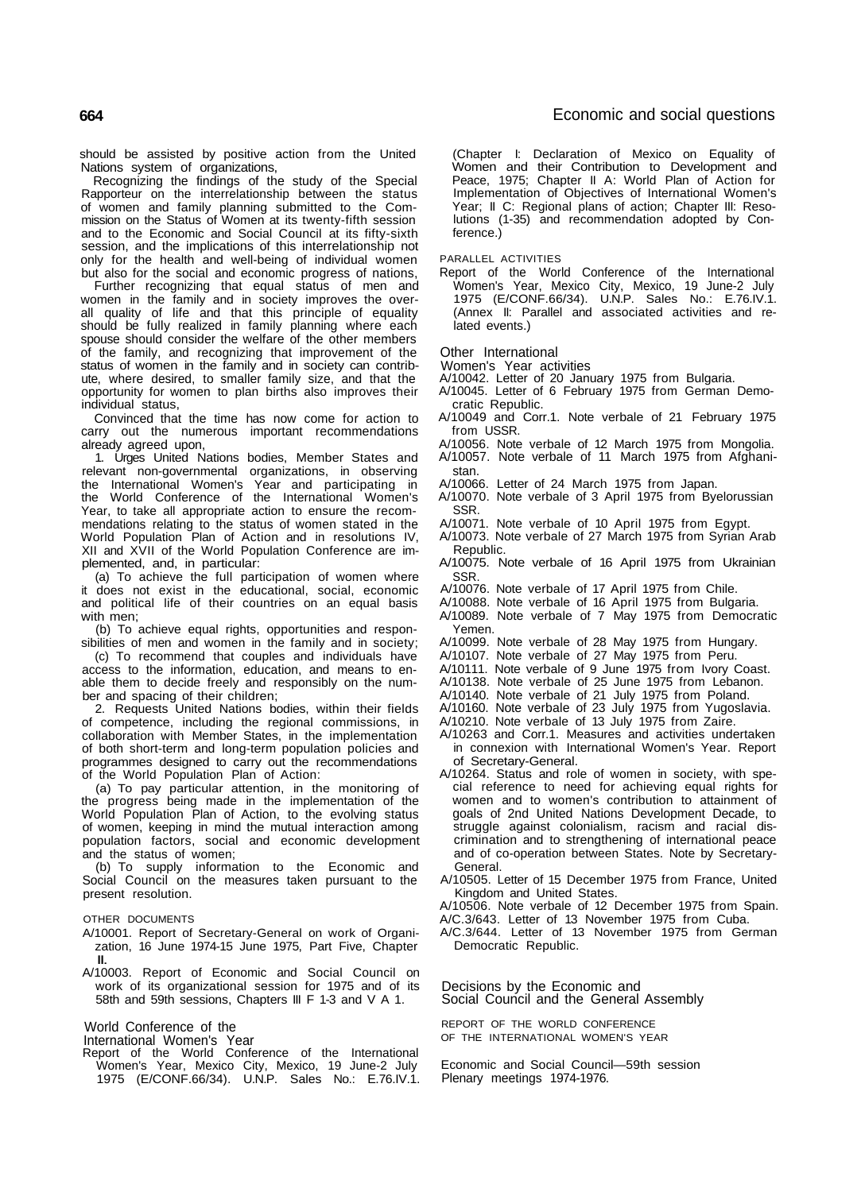Recognizing the findings of the study of the Special Rapporteur on the interrelationship between the status of women and family planning submitted to the Com-mission on the Status of Women at its twenty-fifth session and to the Economic and Social Council at its fifty-sixth session, and the implications of this interrelationship not only for the health and well-being of individual women but also for the social and economic progress of nations,

Further recognizing that equal status of men and women in the family and in society improves the overall quality of life and that this principle of equality should be fully realized in family planning where each spouse should consider the welfare of the other members of the family, and recognizing that improvement of the status of women in the family and in society can contribute, where desired, to smaller family size, and that the opportunity for women to plan births also improves their individual status,

Convinced that the time has now come for action to carry out the numerous important recommendations already agreed upon,

1. Urges United Nations bodies, Member States and relevant non-governmental organizations, in observing the International Women's Year and participating in the World Conference of the International Women's Year, to take all appropriate action to ensure the recommendations relating to the status of women stated in the World Population Plan of Action and in resolutions IV, XII and XVII of the World Population Conference are implemented, and, in particular:

(a) To achieve the full participation of women where it does not exist in the educational, social, economic and political life of their countries on an equal basis with men;

(b) To achieve equal rights, opportunities and responsibilities of men and women in the family and in society;

(c) To recommend that couples and individuals have access to the information, education, and means to enable them to decide freely and responsibly on the number and spacing of their children;

2. Requests United Nations bodies, within their fields of competence, including the regional commissions, in collaboration with Member States, in the implementation of both short-term and long-term population policies and programmes designed to carry out the recommendations of the World Population Plan of Action:

(a) To pay particular attention, in the monitoring of the progress being made in the implementation of the World Population Plan of Action, to the evolving status of women, keeping in mind the mutual interaction among population factors, social and economic development and the status of women;

(b) To supply information to the Economic and Social Council on the measures taken pursuant to the present resolution.

#### OTHER DOCUMENTS

- A/10001. Report of Secretary-General on work of Organization, 16 June 1974-15 June 1975, Part Five, Chapter II.
- A/10003. Report of Economic and Social Council on work of its organizational session for 1975 and of its 58th and 59th sessions, Chapters III F 1-3 and V A 1.

World Conference of the

International Women's Year Report of the World Conference of the International Women's Year, Mexico City, Mexico, 19 June-2 July 1975 (E/CONF.66/34). U.N.P. Sales No.: E.76.IV.1. (Chapter I: Declaration of Mexico on Equality of Women and their Contribution to Development and Peace, 1975; Chapter II A: World Plan of Action for Implementation of Objectives of International Women's Year; II C: Regional plans of action; Chapter III: Resolutions (1-35) and recommendation adopted by Conference.)

PARALLEL ACTIVITIES

Report of the World Conference of the International Women's Year, Mexico City, Mexico, 19 June-2 July 1975 (E/CONF.66/34). U.N.P. Sales No.: E.76.IV.1. (Annex II: Parallel and associated activities and related events.)

Other International

- Women's Year activities
- 
- A/10042. Letter of 20 January 1975 from Bulgaria. A/10045. Letter of 6 February 1975 from German Democratic Republic.
- A/10049 and Corr.1. Note verbale of 21 February 1975 from USSR.
- A/10056. Note verbale of 12 March 1975 from Mongolia.
- A/10057. Note verbale of 11 March 1975 from Afghanistan.
- A/10066. Letter of 24 March 1975 from Japan.
- A/10070. Note verbale of 3 April 1975 from Byelorussian SSR.
- A/10071. Note verbale of 10 April 1975 from Egypt.
- A/10073. Note verbale of 27 March 1975 from Syrian Arab Republic.
- A/10075. Note verbale of 16 April 1975 from Ukrainian SSR.
- A/10076. Note verbale of 17 April 1975 from Chile.
- A/10088. Note verbale of 16 April 1975 from Bulgaria.
- A/10089. Note verbale of 7 May 1975 from Democratic Yemen.
- A/10099. Note verbale of 28 May 1975 from Hungary.
- A/10107. Note verbale of 27 May 1975 from Peru.
- A/10111. Note verbale of 9 June 1975 from Ivory Coast.
- A/10138. Note verbale of 25 June 1975 from Lebanon.
- A/10140. Note verbale of 21 July 1975 from Poland.
- A/10160. Note verbale of 23 July 1975 from Yugoslavia.
- A/10210. Note verbale of 13 July 1975 from Zaire.
- A/10263 and Corr.1. Measures and activities undertaken in connexion with International Women's Year. Report of Secretary-General.
- A/10264. Status and role of women in society, with special reference to need for achieving equal rights for women and to women's contribution to attainment of goals of 2nd United Nations Development Decade, to struggle against colonialism, racism and racial discrimination and to strengthening of international peace and of co-operation between States. Note by Secretary-General.
- A/10505. Letter of 15 December 1975 from France, United Kingdom and United States.
- A/10506. Note verbale of 12 December 1975 from Spain.
- A/C.3/643. Letter of 13 November 1975 from Cuba.
- A/C.3/644. Letter of 13 November 1975 from German Democratic Republic.

Decisions by the Economic and Social Council and the General Assembly

REPORT OF THE WORLD CONFERENCE OF THE INTERNATIONAL WOMEN'S YEAR

Economic and Social Council—59th session Plenary meetings 1974-1976.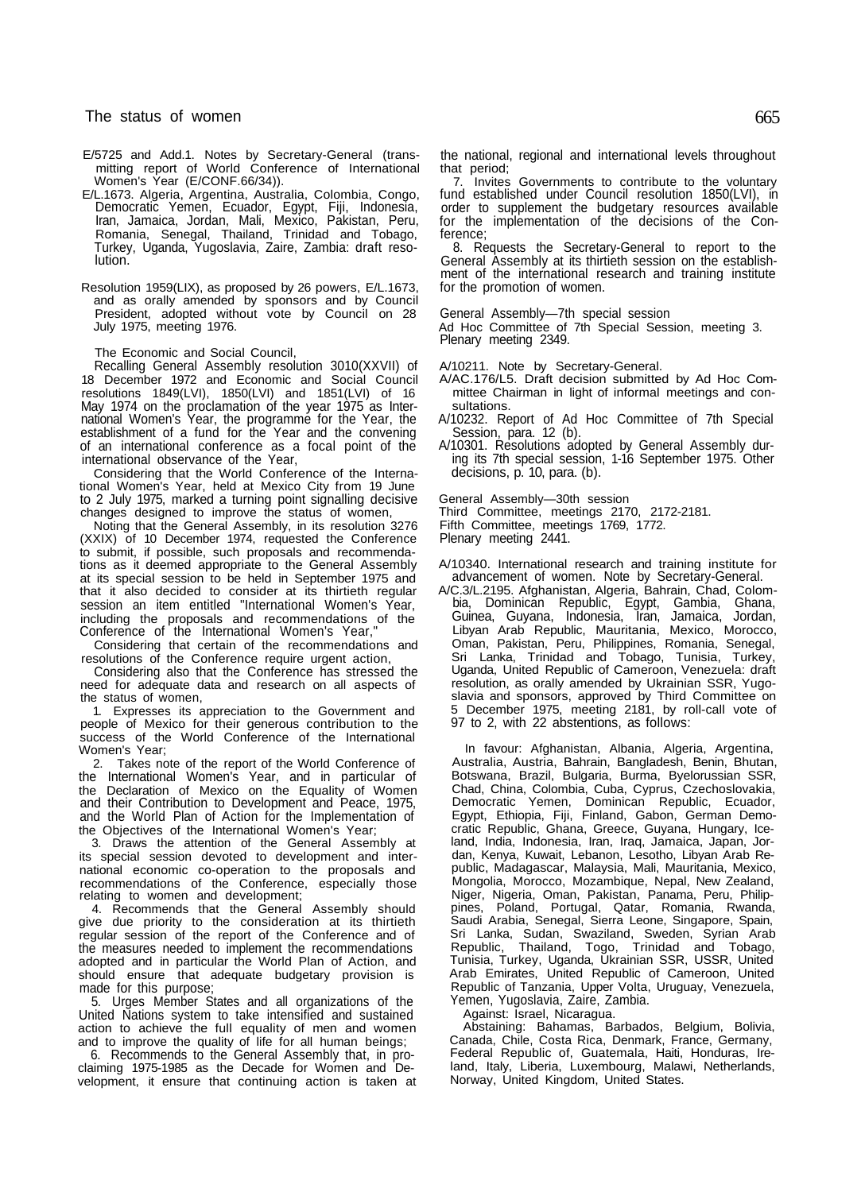# The status of women 665

- E/5725 and Add.1. Notes by Secretary-General (transmitting report of World Conference of International Women's Year (E/CONF.66/34)).
- E/L.1673. Algeria, Argentina, Australia, Colombia, Congo, Democratic Yemen, Ecuador, Egypt, Fiji, Indonesia, Iran, Jamaica, Jordan, Mali, Mexico, Pakistan, Peru, Romania, Senegal, Thailand, Trinidad and Tobago, Turkey, Uganda, Yugoslavia, Zaire, Zambia: draft reso- lution.
- Resolution 1959(LIX), as proposed by 26 powers, E/L.1673, and as orally amended by sponsors and by Council President, adopted without vote by Council on 28 July 1975, meeting 1976.

The Economic and Social Council,

Recalling General Assembly resolution 3010(XXVII) of 18 December 1972 and Economic and Social Council resolutions 1849(LVI), 1850(LVI) and 1851(LVI) of 16 May 1974 on the proclamation of the year 1975 as International Women's Year, the programme for the Year, the establishment of a fund for the Year and the convening of an international conference as a focal point of the international observance of the Year,

Considering that the World Conference of the Interna-tional Women's Year, held at Mexico City from 19 June to 2 July 1975, marked a turning point signalling decisive changes designed to improve the status of women,

Noting that the General Assembly, in its resolution 3276 (XXIX) of 10 December 1974, requested the Conference to submit, if possible, such proposals and recommendations as it deemed appropriate to the General Assembly at its special session to be held in September 1975 and that it also decided to consider at its thirtieth regular session an item entitled "International Women's Year, including the proposals and recommendations of the Conference of the International Women's Year,"

Considering that certain of the recommendations and resolutions of the Conference require urgent action,

Considering also that the Conference has stressed the need for adequate data and research on all aspects of the status of women,

1. Expresses its appreciation to the Government and people of Mexico for their generous contribution to the success of the World Conference of the International Women's Year;

2. Takes note of the report of the World Conference of the International Women's Year, and in particular of the Declaration of Mexico on the Equality of Women and their Contribution to Development and Peace, 1975, and the World Plan of Action for the Implementation of the Objectives of the International Women's Year;

3. Draws the attention of the General Assembly at its special session devoted to development and international economic co-operation to the proposals and recommendations of the Conference, especially those relating to women and development;

4. Recommends that the General Assembly should give due priority to the consideration at its thirtieth regular session of the report of the Conference and of the measures needed to implement the recommendations adopted and in particular the World Plan of Action, and should ensure that adequate budgetary provision is made for this purpose;

5. Urges Member States and all organizations of the United Nations system to take intensified and sustained action to achieve the full equality of men and women and to improve the quality of life for all human beings;

6. Recommends to the General Assembly that, in proclaiming 1975-1985 as the Decade for Women and Development, it ensure that continuing action is taken at the national, regional and international levels throughout that period;

7. Invites Governments to contribute to the voluntary fund established under Council resolution 1850(LVI), in order to supplement the budgetary resources available for the implementation of the decisions of the Conference;

8. Requests the Secretary-General to report to the General Assembly at its thirtieth session on the establishment of the international research and training institute for the promotion of women.

General Assembly—7th special session

Ad Hoc Committee of 7th Special Session, meeting 3. Plenary meeting 2349.

- A/10211. Note by Secretary-General. A/AC.176/L5. Draft decision submitted by Ad Hoc Committee Chairman in light of informal meetings and consultations.
- A/10232. Report of Ad Hoc Committee of 7th Special Session, para. 12 (b).
- A/10301. Resolutions adopted by General Assembly during its 7th special session, 1-16 September 1975. Other decisions, p. 10, para. (b).

General Assembly—30th session

Third Committee, meetings 2170, 2172-2181.

Fifth Committee, meetings 1769, 1772.

Plenary meeting 2441.

- A/10340. International research and training institute for advancement of women. Note by Secretary-General.
- A/C.3/L.2195. Afghanistan, Algeria, Bahrain, Chad, Colombia, Dominican Republic, Egypt, Gambia, Ghana, Guinea, Guyana, Indonesia, Iran, Jamaica, Jordan, Libyan Arab Republic, Mauritania, Mexico, Morocco, Oman, Pakistan, Peru, Philippines, Romania, Senegal, Sri Lanka, Trinidad and Tobago, Tunisia, Turkey, Uganda, United Republic of Cameroon, Venezuela: draft resolution, as orally amended by Ukrainian SSR, Yugoslavia and sponsors, approved by Third Committee on 5 December 1975, meeting 2181, by roll-call vote of 97 to 2, with 22 abstentions, as follows:

In favour: Afghanistan, Albania, Algeria, Argentina, Australia, Austria, Bahrain, Bangladesh, Benin, Bhutan, Botswana, Brazil, Bulgaria, Burma, Byelorussian SSR, Chad, China, Colombia, Cuba, Cyprus, Czechoslovakia, Democratic Yemen, Dominican Republic, Ecuador, Egypt, Ethiopia, Fiji, Finland, Gabon, German Democratic Republic, Ghana, Greece, Guyana, Hungary, Iceland, India, Indonesia, Iran, Iraq, Jamaica, Japan, Jordan, Kenya, Kuwait, Lebanon, Lesotho, Libyan Arab Republic, Madagascar, Malaysia, Mali, Mauritania, Mexico, Mongolia, Morocco, Mozambique, Nepal, New Zealand, Niger, Nigeria, Oman, Pakistan, Panama, Peru, Philippines, Poland, Portugal, Qatar, Romania, Rwanda, Saudi Arabia, Senegal, Sierra Leone, Singapore, Spain, Sri Lanka, Sudan, Swaziland, Sweden, Syrian Arab Republic, Thailand, Togo, Trinidad and Tobago, Tunisia, Turkey, Uganda, Ukrainian SSR, USSR, United Arab Emirates, United Republic of Cameroon, United Republic of Tanzania, Upper Volta, Uruguay, Venezuela, Yemen, Yugoslavia, Zaire, Zambia.

Against: Israel, Nicaragua.

Abstaining: Bahamas, Barbados, Belgium, Bolivia, Canada, Chile, Costa Rica, Denmark, France, Germany, Federal Republic of, Guatemala, Haiti, Honduras, Ireland, Italy, Liberia, Luxembourg, Malawi, Netherlands, Norway, United Kingdom, United States.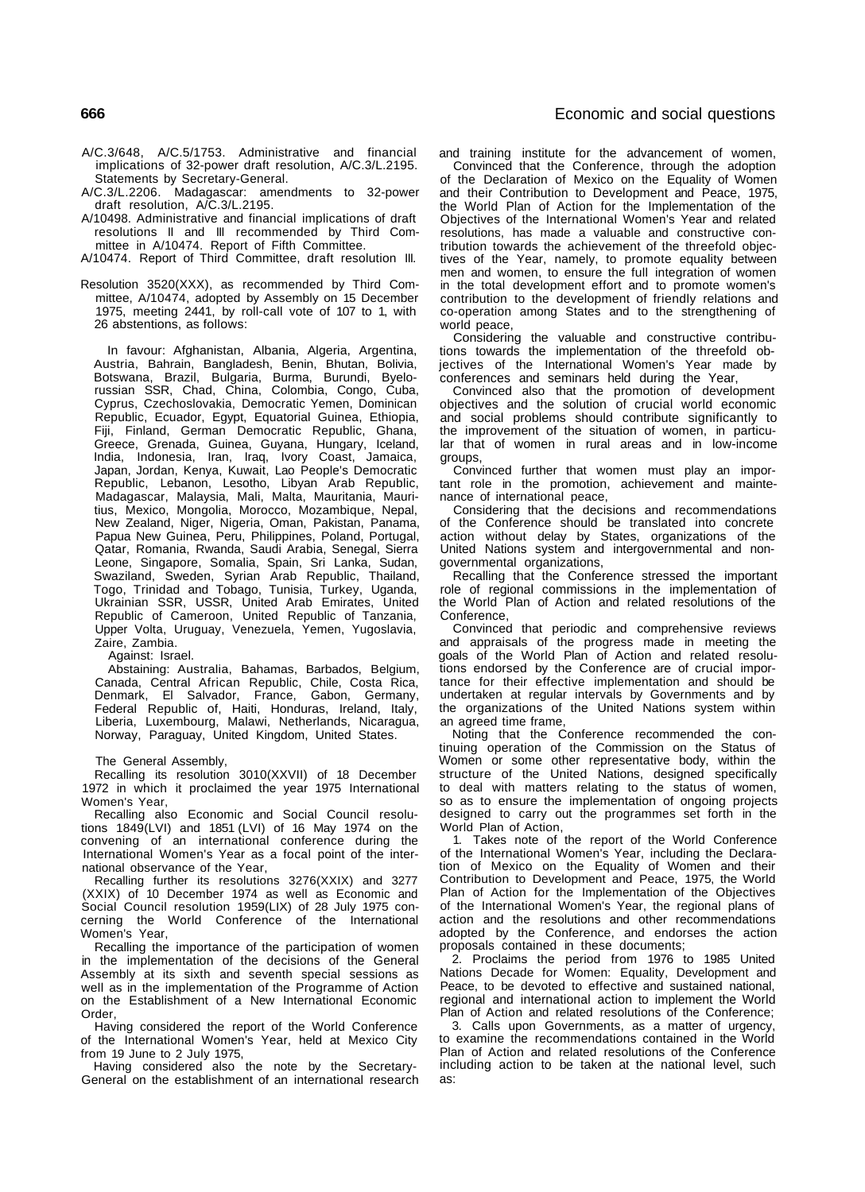A/C.3/L.2206. Madagascar: amendments to 32-power draft resolution, A/C.3/L.2195.

- A/10498. Administrative and financial implications of draft resolutions II and III recommended by Third Committee in A/10474. Report of Fifth Committee.
- A/10474. Report of Third Committee, draft resolution III.
- Resolution 3520(XXX), as recommended by Third Committee, A/10474, adopted by Assembly on 15 December 1975, meeting 2441, by roll-call vote of 107 to 1, with 26 abstentions, as follows:

In favour: Afghanistan, Albania, Algeria, Argentina, Austria, Bahrain, Bangladesh, Benin, Bhutan, Bolivia, Botswana, Brazil, Bulgaria, Burma, Burundi, Byelorussian SSR, Chad, China, Colombia, Congo, Cuba, Cyprus, Czechoslovakia, Democratic Yemen, Dominican Republic, Ecuador, Egypt, Equatorial Guinea, Ethiopia, Fiji, Finland, German Democratic Republic, Ghana, Greece, Grenada, Guinea, Guyana, Hungary, Iceland, India, Indonesia, Iran, Iraq, Ivory Coast, Jamaica, Japan, Jordan, Kenya, Kuwait, Lao People's Democratic Republic, Lebanon, Lesotho, Libyan Arab Republic, Madagascar, Malaysia, Mali, Malta, Mauritania, Mauritius, Mexico, Mongolia, Morocco, Mozambique, Nepal, New Zealand, Niger, Nigeria, Oman, Pakistan, Panama, Papua New Guinea, Peru, Philippines, Poland, Portugal, Qatar, Romania, Rwanda, Saudi Arabia, Senegal, Sierra Leone, Singapore, Somalia, Spain, Sri Lanka, Sudan, Swaziland, Sweden, Syrian Arab Republic, Thailand, Togo, Trinidad and Tobago, Tunisia, Turkey, Uganda, Ukrainian SSR, USSR, United Arab Emirates, United Republic of Cameroon, United Republic of Tanzania, Upper Volta, Uruguay, Venezuela, Yemen, Yugoslavia, Zaire, Zambia.

Against: Israel.

Abstaining: Australia, Bahamas, Barbados, Belgium, Canada, Central African Republic, Chile, Costa Rica, Denmark, El Salvador, France, Gabon, Germany, Federal Republic of, Haiti, Honduras, Ireland, Italy, Liberia, Luxembourg, Malawi, Netherlands, Nicaragua, Norway, Paraguay, United Kingdom, United States.

The General Assembly,

Recalling its resolution 3010(XXVII) of 18 December 1972 in which it proclaimed the year 1975 International Women's Year,

Recalling also Economic and Social Council resolutions 1849(LVI) and 1851 (LVI) of 16 May 1974 on the convening of an international conference during the International Women's Year as a focal point of the international observance of the Year,

Recalling further its resolutions 3276(XXIX) and 3277 (XXIX) of 10 December 1974 as well as Economic and Social Council resolution 1959(LIX) of 28 July 1975 concerning the World Conference of the International Women's Year,

Recalling the importance of the participation of women in the implementation of the decisions of the General Assembly at its sixth and seventh special sessions as well as in the implementation of the Programme of Action on the Establishment of a New International Economic Order,

Having considered the report of the World Conference of the International Women's Year, held at Mexico City from 19 June to 2 July 1975,

Having considered also the note by the Secretary-General on the establishment of an international research and training institute for the advancement of women, Convinced that the Conference, through the adoption of the Declaration of Mexico on the Equality of Women and their Contribution to Development and Peace, 1975, the World Plan of Action for the Implementation of the Objectives of the International Women's Year and related resolutions, has made a valuable and constructive contribution towards the achievement of the threefold objectives of the Year, namely, to promote equality between men and women, to ensure the full integration of women in the total development effort and to promote women's contribution to the development of friendly relations and co-operation among States and to the strengthening of world peace,

Considering the valuable and constructive contributions towards the implementation of the threefold objectives of the International Women's Year made by

conferences and seminars held during the Year, Convinced also that the promotion of development objectives and the solution of crucial world economic and social problems should contribute significantly to the improvement of the situation of women, in particular that of women in rural areas and in low-income groups,

Convinced further that women must play an important role in the promotion, achievement and maintenance of international peace,

Considering that the decisions and recommendations of the Conference should be translated into concrete action without delay by States, organizations of the United Nations system and intergovernmental and nongovernmental organizations,

Recalling that the Conference stressed the important role of regional commissions in the implementation of the World Plan of Action and related resolutions of the Conference,

Convinced that periodic and comprehensive reviews and appraisals of the progress made in meeting the goals of the World Plan of Action and related resolutions endorsed by the Conference are of crucial importance for their effective implementation and should be undertaken at regular intervals by Governments and by the organizations of the United Nations system within an agreed time frame

Noting that the Conference recommended the continuing operation of the Commission on the Status of Women or some other representative body, within the structure of the United Nations, designed specifically to deal with matters relating to the status of women, so as to ensure the implementation of ongoing projects designed to carry out the programmes set forth in the

World Plan of Action, 1. Takes note of the report of the World Conference of the International Women's Year, including the Declaration of Mexico on the Equality of Women and their Contribution to Development and Peace, 1975, the World Plan of Action for the Implementation of the Objectives of the International Women's Year, the regional plans of action and the resolutions and other recommendations adopted by the Conference, and endorses the action proposals contained in these documents;

2. Proclaims the period from 1976 to 1985 United Nations Decade for Women: Equality, Development and Peace, to be devoted to effective and sustained national, regional and international action to implement the World Plan of Action and related resolutions of the Conference;

3. Calls upon Governments, as a matter of urgency, to examine the recommendations contained in the World Plan of Action and related resolutions of the Conference including action to be taken at the national level, such as: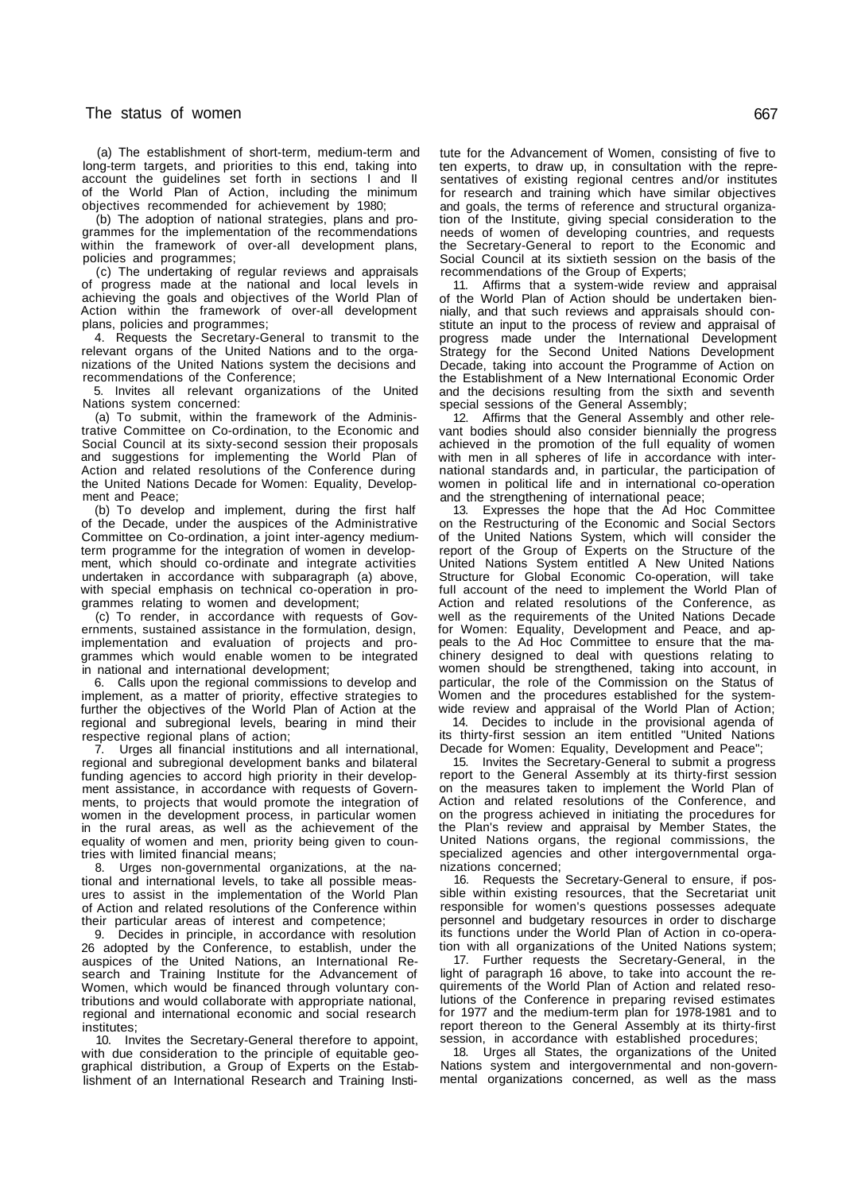(a) The establishment of short-term, medium-term and long-term targets, and priorities to this end, taking into account the guidelines set forth in sections I and II of the World Plan of Action, including the minimum objectives recommended for achievement by 1980;

(b) The adoption of national strategies, plans and programmes for the implementation of the recommendations within the framework of over-all development plans, policies and programmes;

(c) The undertaking of regular reviews and appraisals of progress made at the national and local levels in achieving the goals and objectives of the World Plan of Action within the framework of over-all development plans, policies and programmes;

4. Requests the Secretary-General to transmit to the relevant organs of the United Nations and to the organizations of the United Nations system the decisions and recommendations of the Conference;

5. Invites all relevant organizations of the United Nations system concerned:

(a) To submit, within the framework of the Administrative Committee on Co-ordination, to the Economic and Social Council at its sixty-second session their proposals and suggestions for implementing the World Plan of Action and related resolutions of the Conference during the United Nations Decade for Women: Equality, Development and Peace;

(b) To develop and implement, during the first half of the Decade, under the auspices of the Administrative Committee on Co-ordination, a joint inter-agency mediumterm programme for the integration of women in development, which should co-ordinate and integrate activities undertaken in accordance with subparagraph (a) above, with special emphasis on technical co-operation in programmes relating to women and development;

(c) To render, in accordance with requests of Governments, sustained assistance in the formulation, design, implementation and evaluation of projects and programmes which would enable women to be integrated in national and international development;

6. Calls upon the regional commissions to develop and implement, as a matter of priority, effective strategies to further the objectives of the World Plan of Action at the regional and subregional levels, bearing in mind their respective regional plans of action;

7. Urges all financial institutions and all international, regional and subregional development banks and bilateral funding agencies to accord high priority in their development assistance, in accordance with requests of Governments, to projects that would promote the integration of women in the development process, in particular women in the rural areas, as well as the achievement of the equality of women and men, priority being given to countries with limited financial means;

8. Urges non-governmental organizations, at the national and international levels, to take all possible measures to assist in the implementation of the World Plan of Action and related resolutions of the Conference within their particular areas of interest and competence;

9. Decides in principle, in accordance with resolution 26 adopted by the Conference, to establish, under the auspices of the United Nations, an International Re-search and Training Institute for the Advancement of Women, which would be financed through voluntary contributions and would collaborate with appropriate national, regional and international economic and social research institutes;

10. Invites the Secretary-General therefore to appoint, with due consideration to the principle of equitable geographical distribution, a Group of Experts on the Establishment of an International Research and Training Institute for the Advancement of Women, consisting of five to ten experts, to draw up, in consultation with the representatives of existing regional centres and/or institutes for research and training which have similar objectives and goals, the terms of reference and structural organization of the Institute, giving special consideration to the needs of women of developing countries, and requests the Secretary-General to report to the Economic and Social Council at its sixtieth session on the basis of the recommendations of the Group of Experts;

11. Affirms that a system-wide review and appraisal of the World Plan of Action should be undertaken biennially, and that such reviews and appraisals should constitute an input to the process of review and appraisal of progress made under the International Development Strategy for the Second United Nations Development Decade, taking into account the Programme of Action on the Establishment of a New International Economic Order and the decisions resulting from the sixth and seventh special sessions of the General Assembly;

12. Affirms that the General Assembly and other relevant bodies should also consider biennially the progress achieved in the promotion of the full equality of women with men in all spheres of life in accordance with international standards and, in particular, the participation of women in political life and in international co-operation and the strengthening of international peace;

13. Expresses the hope that the Ad Hoc Committee on the Restructuring of the Economic and Social Sectors of the United Nations System, which will consider the report of the Group of Experts on the Structure of the United Nations System entitled A New United Nations Structure for Global Economic Co-operation, will take full account of the need to implement the World Plan of Action and related resolutions of the Conference, as well as the requirements of the United Nations Decade for Women: Equality, Development and Peace, and ap-peals to the Ad Hoc Committee to ensure that the machinery designed to deal with questions relating to women should be strengthened, taking into account, in particular, the role of the Commission on the Status of Women and the procedures established for the systemwide review and appraisal of the World Plan of Action;

14. Decides to include in the provisional agenda of its thirty-first session an item entitled "United Nations

Decade for Women: Equality, Development and Peace"; 15. Invites the Secretary-General to submit a progress report to the General Assembly at its thirty-first session on the measures taken to implement the World Plan of Action and related resolutions of the Conference, and on the progress achieved in initiating the procedures for the Plan's review and appraisal by Member States, the United Nations organs, the regional commissions, the specialized agencies and other intergovernmental organizations concerned;

16. Requests the Secretary-General to ensure, if possible within existing resources, that the Secretariat unit responsible for women's questions possesses adequate personnel and budgetary resources in order to discharge its functions under the World Plan of Action in co-operation with all organizations of the United Nations system;

17. Further requests the Secretary-General, in the light of paragraph 16 above, to take into account the requirements of the World Plan of Action and related resolutions of the Conference in preparing revised estimates for 1977 and the medium-term plan for 1978-1981 and to report thereon to the General Assembly at its thirty-first session, in accordance with established procedures;

18. Urges all States, the organizations of the United Nations system and intergovernmental and non-governmental organizations concerned, as well as the mass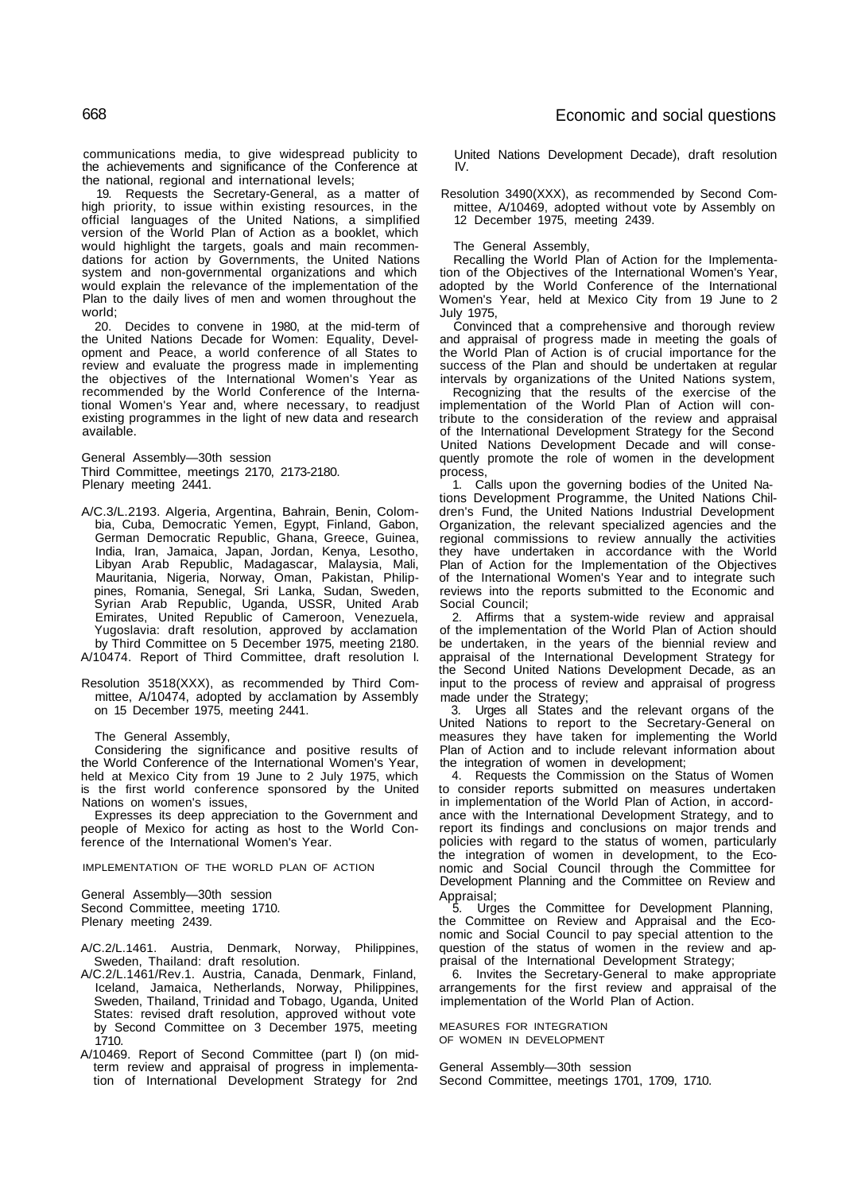19. Requests the Secretary-General, as a matter of high priority, to issue within existing resources, in the official languages of the United Nations, a simplified version of the World Plan of Action as a booklet, which would highlight the targets, goals and main recommendations for action by Governments, the United Nations system and non-governmental organizations and which would explain the relevance of the implementation of the Plan to the daily lives of men and women throughout the world;

20. Decides to convene in 1980, at the mid-term of the United Nations Decade for Women: Equality, Development and Peace, a world conference of all States to review and evaluate the progress made in implementing the objectives of the International Women's Year as recommended by the World Conference of the International Women's Year and, where necessary, to readjust existing programmes in the light of new data and research available.

General Assembly—30th session Third Committee, meetings 2170, 2173-2180. Plenary meeting 2441.

- A/C.3/L.2193. Algeria, Argentina, Bahrain, Benin, Colom-bia, Cuba, Democratic Yemen, Egypt, Finland, Gabon, German Democratic Republic, Ghana, Greece, Guinea, India, Iran, Jamaica, Japan, Jordan, Kenya, Lesotho, Libyan Arab Republic, Madagascar, Malaysia, Mali, Mauritania, Nigeria, Norway, Oman, Pakistan, Philip-pines, Romania, Senegal, Sri Lanka, Sudan, Sweden, Syrian Arab Republic, Uganda, USSR, United Arab Emirates, United Republic of Cameroon, Venezuela, Yugoslavia: draft resolution, approved by acclamation by Third Committee on 5 December 1975, meeting 2180. A/10474. Report of Third Committee, draft resolution I.
- Resolution 3518(XXX), as recommended by Third Committee, A/10474, adopted by acclamation by Assembly on 15 December 1975, meeting 2441.

The General Assembly,

Considering the significance and positive results of the World Conference of the International Women's Year, held at Mexico City from 19 June to 2 July 1975, which is the first world conference sponsored by the United Nations on women's issues,

Expresses its deep appreciation to the Government and people of Mexico for acting as host to the World Conference of the International Women's Year.

IMPLEMENTATION OF THE WORLD PLAN OF ACTION

General Assembly—30th session Second Committee, meeting 1710. Plenary meeting 2439.

- A/C.2/L.1461. Austria, Denmark, Norway, Philippines, Sweden, Thailand: draft resolution.
- A/C.2/L.1461/Rev.1. Austria, Canada, Denmark, Finland, Iceland, Jamaica, Netherlands, Norway, Philippines, Sweden, Thailand, Trinidad and Tobago, Uganda, United States: revised draft resolution, approved without vote by Second Committee on 3 December 1975, meeting 1710.
- A/10469. Report of Second Committee (part I) (on midterm review and appraisal of progress in implementation of International Development Strategy for 2nd

United Nations Development Decade), draft resolution IV.

Resolution 3490(XXX), as recommended by Second Committee, A/10469, adopted without vote by Assembly on 12 December 1975, meeting 2439.

The General Assembly,

Recalling the World Plan of Action for the Implementation of the Objectives of the International Women's Year, adopted by the World Conference of the International Women's Year, held at Mexico City from 19 June to 2 July 1975,

Convinced that a comprehensive and thorough review and appraisal of progress made in meeting the goals of the World Plan of Action is of crucial importance for the success of the Plan and should be undertaken at regular intervals by organizations of the United Nations system,

Recognizing that the results of the exercise of the implementation of the World Plan of Action will contribute to the consideration of the review and appraisal of the International Development Strategy for the Second United Nations Development Decade and will consequently promote the role of women in the development process,

1. Calls upon the governing bodies of the United Nations Development Programme, the United Nations Children's Fund, the United Nations Industrial Development Organization, the relevant specialized agencies and the regional commissions to review annually the activities they have undertaken in accordance with the World Plan of Action for the Implementation of the Objectives of the International Women's Year and to integrate such reviews into the reports submitted to the Economic and Social Council;

2. Affirms that a system-wide review and appraisal of the implementation of the World Plan of Action should be undertaken, in the years of the biennial review and appraisal of the International Development Strategy for the Second United Nations Development Decade, as an input to the process of review and appraisal of progress made under the Strategy;

3. Urges all States and the relevant organs of the United Nations to report to the Secretary-General on measures they have taken for implementing the World Plan of Action and to include relevant information about the integration of women in development;

4. Requests the Commission on the Status of Women to consider reports submitted on measures undertaken in implementation of the World Plan of Action, in accordance with the International Development Strategy, and to report its findings and conclusions on major trends and policies with regard to the status of women, particularly the integration of women in development, to the Economic and Social Council through the Committee for Development Planning and the Committee on Review and Appraisal;

5. Urges the Committee for Development Planning, the Committee on Review and Appraisal and the Economic and Social Council to pay special attention to the question of the status of women in the review and appraisal of the International Development Strategy;

6. Invites the Secretary-General to make appropriate arrangements for the first review and appraisal of the implementation of the World Plan of Action.

MEASURES FOR INTEGRATION OF WOMEN IN DEVELOPMENT

General Assembly—30th session Second Committee, meetings 1701, 1709, 1710.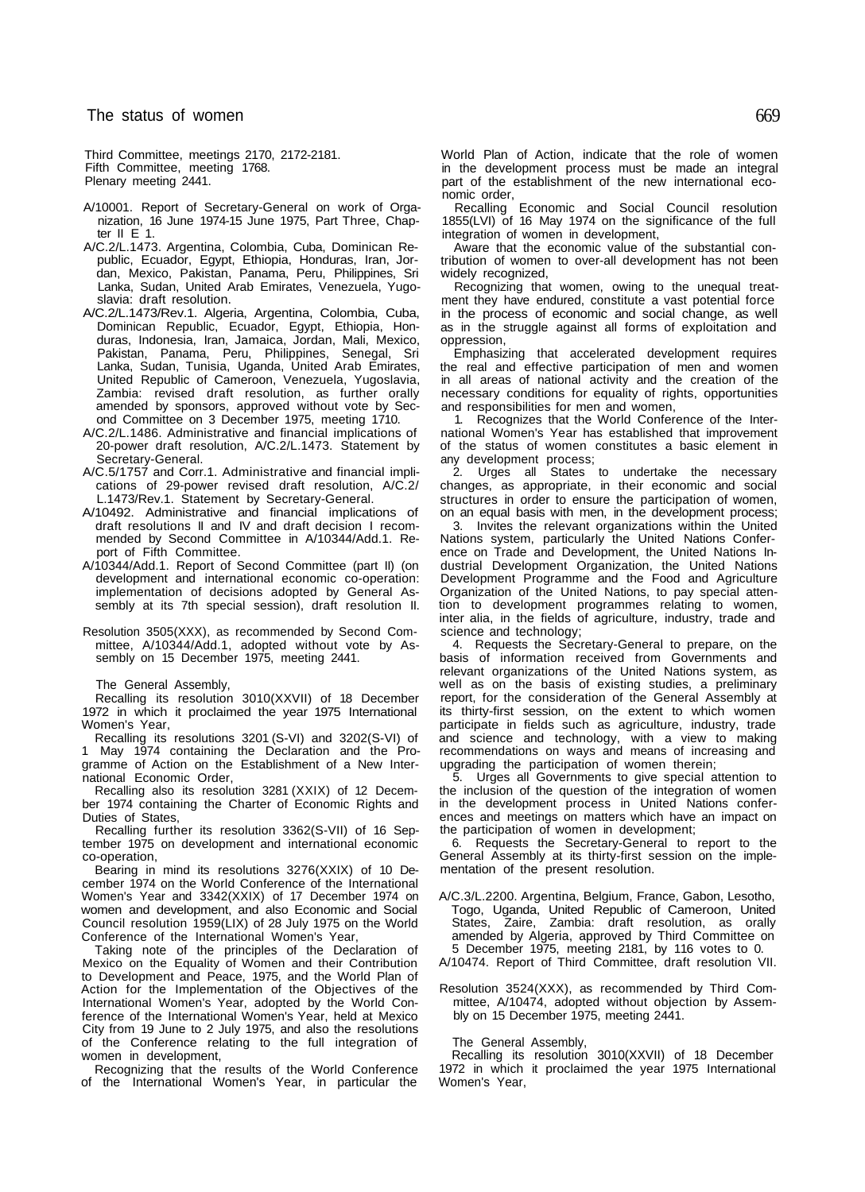Third Committee, meetings 2170, 2172-2181. Fifth Committee, meeting 1768. Plenary meeting 2441.

- A/10001. Report of Secretary-General on work of Organization, 16 June 1974-15 June 1975, Part Three, Chapter  $II$  E 1.
- A/C.2/L.1473. Argentina, Colombia, Cuba, Dominican Republic, Ecuador, Egypt, Ethiopia, Honduras, Iran, Jor-dan, Mexico, Pakistan, Panama, Peru, Philippines, Sri Lanka, Sudan, United Arab Emirates, Venezuela, Yugoslavia: draft resolution.
- A/C.2/L.1473/Rev.1. Algeria, Argentina, Colombia, Cuba, Dominican Republic, Ecuador, Egypt, Ethiopia, Honduras, Indonesia, Iran, Jamaica, Jordan, Mali, Mexico, Pakistan, Panama, Peru, Philippines, Senegal, Sri Lanka, Sudan, Tunisia, Uganda, United Arab Emirates, United Republic of Cameroon, Venezuela, Yugoslavia, Zambia: revised draft resolution, as further orally amended by sponsors, approved without vote by Second Committee on 3 December 1975, meeting 1710.
- A/C.2/L.1486. Administrative and financial implications of 20-power draft resolution, A/C.2/L.1473. Statement by Secretary-General.
- A/C.5/1757 and Corr.1. Administrative and financial implications of 29-power revised draft resolution, A/C.2/ L.1473/Rev.1. Statement by Secretary-General.
- A/10492. Administrative and financial implications of draft resolutions II and IV and draft decision I recommended by Second Committee in A/10344/Add.1. Report of Fifth Committee.
- A/10344/Add.1. Report of Second Committee (part II) (on development and international economic co-operation: implementation of decisions adopted by General Assembly at its 7th special session), draft resolution II.
- Resolution 3505(XXX), as recommended by Second Committee, A/10344/Add.1, adopted without vote by Assembly on 15 December 1975, meeting 2441.

The General Assembly,

Recalling its resolution 3010(XXVII) of 18 December 1972 in which it proclaimed the year 1975 International Women's Year,

Recalling its resolutions 3201 (S-VI) and 3202(S-VI) of 1 May 1974 containing the Declaration and the Programme of Action on the Establishment of a New International Economic Order,

Recalling also its resolution 3281 (XXIX) of 12 December 1974 containing the Charter of Economic Rights and Duties of States,

Recalling further its resolution 3362(S-VII) of 16 September 1975 on development and international economic co-operation,

Bearing in mind its resolutions 3276(XXIX) of 10 December 1974 on the World Conference of the International Women's Year and 3342(XXIX) of 17 December 1974 on women and development, and also Economic and Social Council resolution 1959(LIX) of 28 July 1975 on the World Conference of the International Women's Year,

Taking note of the principles of the Declaration of Mexico on the Equality of Women and their Contribution to Development and Peace, 1975, and the World Plan of Action for the Implementation of the Objectives of the International Women's Year, adopted by the World Conference of the International Women's Year, held at Mexico City from 19 June to 2 July 1975, and also the resolutions of the Conference relating to the full integration of women in development,

Recognizing that the results of the World Conference of the International Women's Year, in particular the World Plan of Action, indicate that the role of women in the development process must be made an integral part of the establishment of the new international economic order,

Recalling Economic and Social Council resolution 1855(LVI) of 16 May 1974 on the significance of the full integration of women in development,

Aware that the economic value of the substantial contribution of women to over-all development has not been widely recognized,

Recognizing that women, owing to the unequal treatment they have endured, constitute a vast potential force in the process of economic and social change, as well as in the struggle against all forms of exploitation and oppression,

Emphasizing that accelerated development requires the real and effective participation of men and women in all areas of national activity and the creation of the necessary conditions for equality of rights, opportunities and responsibilities for men and women,

1. Recognizes that the World Conference of the International Women's Year has established that improvement of the status of women constitutes a basic element in any development process;

2. Urges all States to undertake the necessary changes, as appropriate, in their economic and social structures in order to ensure the participation of women, on an equal basis with men, in the development process;

3. Invites the relevant organizations within the United Nations system, particularly the United Nations Conference on Trade and Development, the United Nations Industrial Development Organization, the United Nations Development Programme and the Food and Agriculture Organization of the United Nations, to pay special attention to development programmes relating to women, inter alia, in the fields of agriculture, industry, trade and science and technology;

4. Requests the Secretary-General to prepare, on the basis of information received from Governments and relevant organizations of the United Nations system, as well as on the basis of existing studies, a preliminary report, for the consideration of the General Assembly at its thirty-first session, on the extent to which women participate in fields such as agriculture, industry, trade and science and technology, with a view to making recommendations on ways and means of increasing and upgrading the participation of women therein;

5. Urges all Governments to give special attention to the inclusion of the question of the integration of women in the development process in United Nations conferences and meetings on matters which have an impact on the participation of women in development;

6. Requests the Secretary-General to report to the General Assembly at its thirty-first session on the implementation of the present resolution.

A/C.3/L.2200. Argentina, Belgium, France, Gabon, Lesotho, Togo, Uganda, United Republic of Cameroon, United Zaire, Zambia: draft resolution, as orally amended by Algeria, approved by Third Committee on 5 December 1975, meeting 2181, by 116 votes to 0.

A/10474. Report of Third Committee, draft resolution VII.

Resolution 3524(XXX), as recommended by Third Committee, A/10474, adopted without objection by Assembly on 15 December 1975, meeting 2441.

The General Assembly,

Recalling its resolution 3010(XXVII) of 18 December 1972 in which it proclaimed the year 1975 International Women's Year,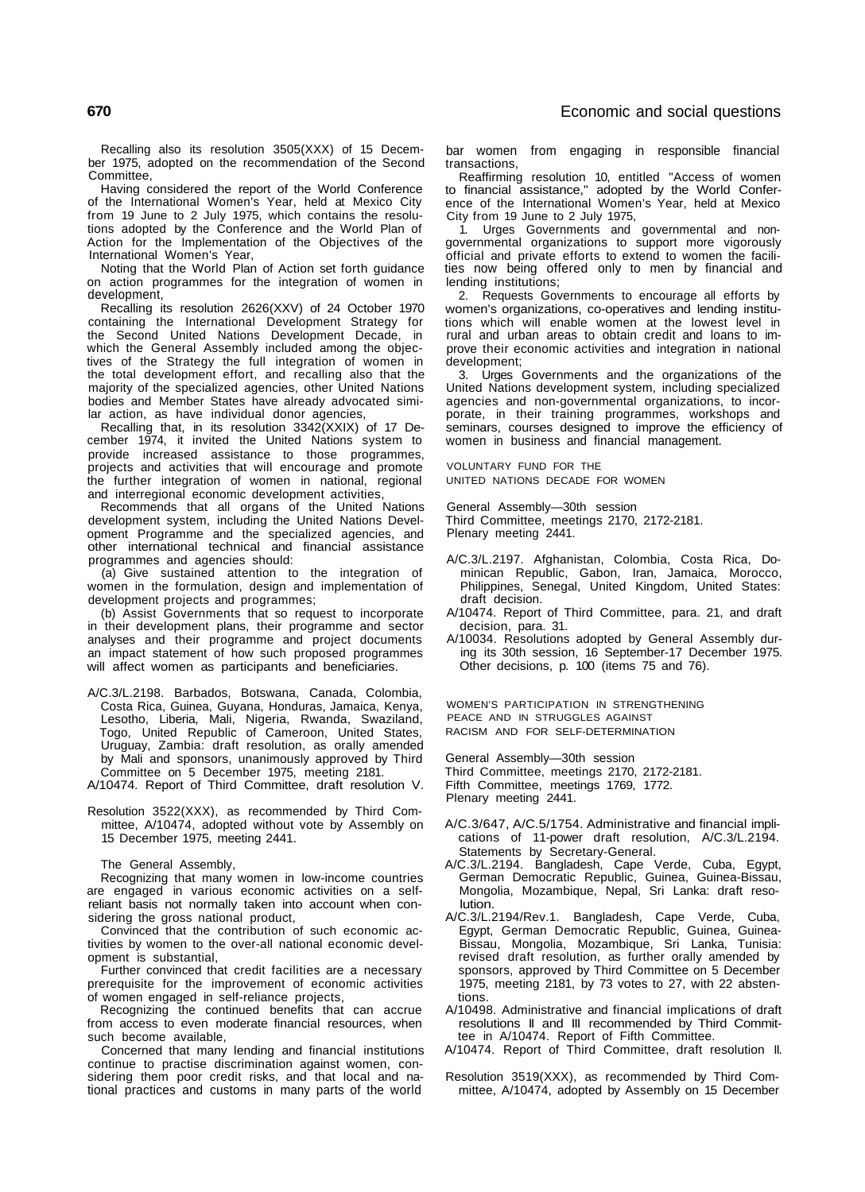ber 1975, adopted on the recommendation of the Second Committee, Having considered the report of the World Conference

of the International Women's Year, held at Mexico City from 19 June to 2 July 1975, which contains the resolutions adopted by the Conference and the World Plan of Action for the Implementation of the Objectives of the International Women's Year,

Noting that the World Plan of Action set forth guidance on action programmes for the integration of women in development,

Recalling its resolution 2626(XXV) of 24 October 1970 containing the International Development Strategy for the Second United Nations Development Decade, in which the General Assembly included among the objectives of the Strategy the full integration of women in the total development effort, and recalling also that the majority of the specialized agencies, other United Nations bodies and Member States have already advocated similar action, as have individual donor agencies,

Recalling that, in its resolution 3342(XXIX) of 17 December 1974, it invited the United Nations system to provide increased assistance to those programmes, projects and activities that will encourage and promote the further integration of women in national, regional and interregional economic development activities,

Recommends that all organs of the United Nations development system, including the United Nations Development Programme and the specialized agencies, and other international technical and financial assistance programmes and agencies should:

(a) Give sustained attention to the integration of women in the formulation, design and implementation of development projects and programmes;

(b) Assist Governments that so request to incorporate in their development plans, their programme and sector analyses and their programme and project documents an impact statement of how such proposed programmes will affect women as participants and beneficiaries.

A/C.3/L.2198. Barbados, Botswana, Canada, Colombia, Costa Rica, Guinea, Guyana, Honduras, Jamaica, Kenya, Lesotho, Liberia, Mali, Nigeria, Rwanda, Swaziland, Togo, United Republic of Cameroon, United States, Uruguay, Zambia: draft resolution, as orally amended by Mali and sponsors, unanimously approved by Third Committee on 5 December 1975, meeting 2181.

A/10474. Report of Third Committee, draft resolution V.

Resolution 3522(XXX), as recommended by Third Committee, A/10474, adopted without vote by Assembly on 15 December 1975, meeting 2441.

The General Assembly,

Recognizing that many women in low-income countries are engaged in various economic activities on a selfreliant basis not normally taken into account when considering the gross national product,

Convinced that the contribution of such economic activities by women to the over-all national economic development is substantial,

Further convinced that credit facilities are a necessary prerequisite for the improvement of economic activities of women engaged in self-reliance projects,

Recognizing the continued benefits that can accrue from access to even moderate financial resources, when such become available,

Concerned that many lending and financial institutions continue to practise discrimination against women, considering them poor credit risks, and that local and national practices and customs in many parts of the world

bar women from engaging in responsible financial transactions,

Reaffirming resolution 10, entitled "Access of women to financial assistance," adopted by the World Conference of the International Women's Year, held at Mexico City from 19 June to 2 July 1975,

1. Urges Governments and governmental and nongovernmental organizations to support more vigorously official and private efforts to extend to women the facilities now being offered only to men by financial and lending institutions;

2. Requests Governments to encourage all efforts by women's organizations, co-operatives and lending institutions which will enable women at the lowest level in rural and urban areas to obtain credit and loans to improve their economic activities and integration in national development;

3. Urges Governments and the organizations of the United Nations development system, including specialized agencies and non-governmental organizations, to incorporate, in their training programmes, workshops and seminars, courses designed to improve the efficiency of women in business and financial management.

VOLUNTARY FUND FOR THE UNITED NATIONS DECADE FOR WOMEN

General Assembly—30th session Third Committee, meetings 2170, 2172-2181. Plenary meeting 2441.

- A/C.3/L.2197. Afghanistan, Colombia, Costa Rica, Dominican Republic, Gabon, Iran, Jamaica, Morocco, Philippines, Senegal, United Kingdom, United States: draft decision.
- A/10474. Report of Third Committee, para. 21, and draft decision, para. 31.
- A/10034. Resolutions adopted by General Assembly during its 30th session, 16 September-17 December 1975. Other decisions, p. 100 (items 75 and 76).

WOMEN'S PARTICIPATION IN STRENGTHENING PEACE AND IN STRUGGLES AGAINST RACISM AND FOR SELF-DETERMINATION

General Assembly—30th session

Third Committee, meetings 2170, 2172-2181. Fifth Committee, meetings 1769, 1772.

Plenary meeting 2441.

- A/C.3/647, A/C.5/1754. Administrative and financial implications of 11-power draft resolution, A/C.3/L.2194. Statements by Secretary-General.
- A/C.3/L.2194. Bangladesh, Cape Verde, Cuba, Egypt, German Democratic Republic, Guinea, Guinea-Bissau, Mongolia, Mozambique, Nepal, Sri Lanka: draft resolution.
- A/C.3/L.2194/Rev.1. Bangladesh, Cape Verde, Cuba, Egypt, German Democratic Republic, Guinea, Guinea-Bissau, Mongolia, Mozambique, Sri Lanka, Tunisia: revised draft resolution, as further orally amended by sponsors, approved by Third Committee on 5 December 1975, meeting 2181, by 73 votes to 27, with 22 abstentions.
- A/10498. Administrative and financial implications of draft resolutions II and III recommended by Third Committee in A/10474. Report of Fifth Committee.
- A/10474. Report of Third Committee, draft resolution II.
- Resolution 3519(XXX), as recommended by Third Committee, A/10474, adopted by Assembly on 15 December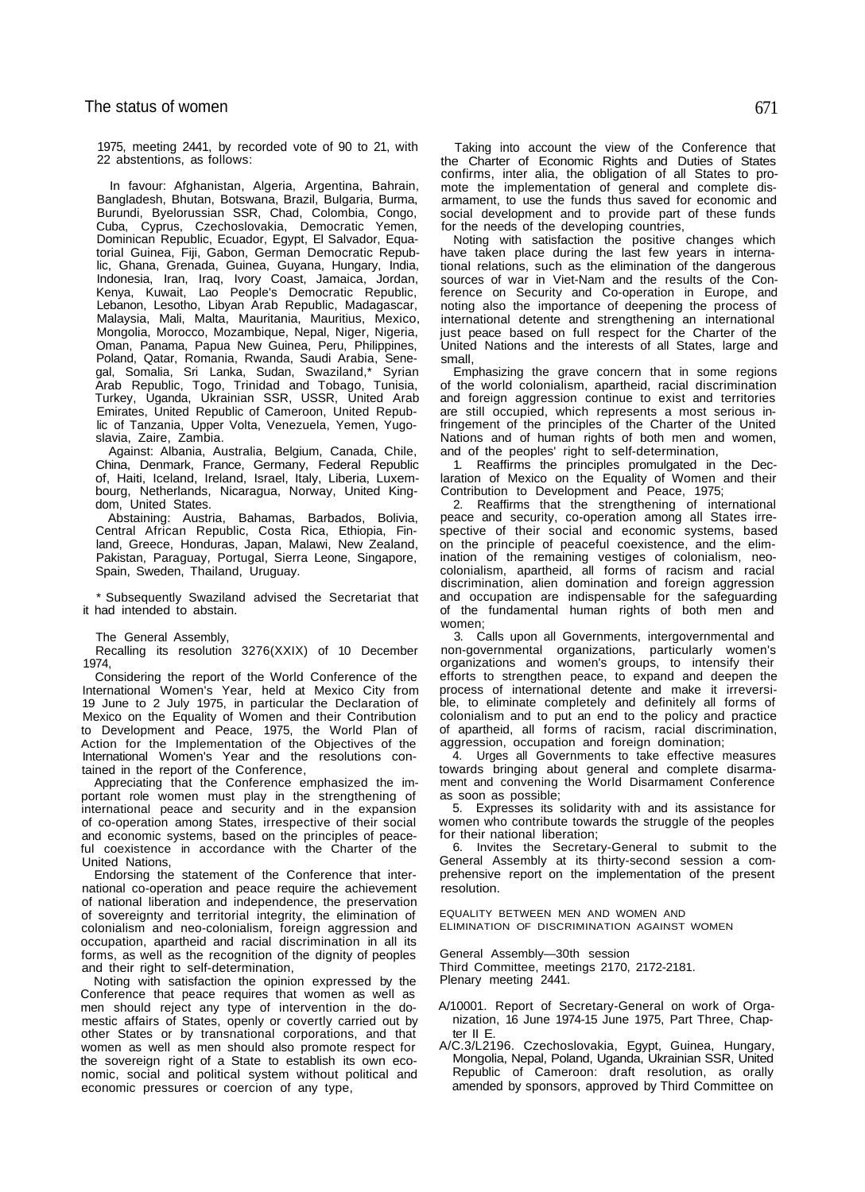# The status of women 671

1975, meeting 2441, by recorded vote of 90 to 21, with 22 abstentions, as follows:

In favour: Afghanistan, Algeria, Argentina, Bahrain, Bangladesh, Bhutan, Botswana, Brazil, Bulgaria, Burma, Burundi, Byelorussian SSR, Chad, Colombia, Congo, Cuba, Cyprus, Czechoslovakia, Democratic Yemen, Dominican Republic, Ecuador, Egypt, El Salvador, Equatorial Guinea, Fiji, Gabon, German Democratic Republic, Ghana, Grenada, Guinea, Guyana, Hungary, India, Indonesia, Iran, Iraq, Ivory Coast, Jamaica, Jordan, Kenya, Kuwait, Lao People's Democratic Republic, Lebanon, Lesotho, Libyan Arab Republic, Madagascar, Malaysia, Mali, Malta, Mauritania, Mauritius, Mexico, Mongolia, Morocco, Mozambique, Nepal, Niger, Nigeria, Oman, Panama, Papua New Guinea, Peru, Philippines, Poland, Qatar, Romania, Rwanda, Saudi Arabia, Senegal, Somalia, Sri Lanka, Sudan, Swaziland,\* Syrian Arab Republic, Togo, Trinidad and Tobago, Tunisia, Turkey, Uganda, Ukrainian SSR, USSR, United Arab Emirates, United Republic of Cameroon, United Republic of Tanzania, Upper Volta, Venezuela, Yemen, Yugoslavia, Zaire, Zambia.

Against: Albania, Australia, Belgium, Canada, Chile, China, Denmark, France, Germany, Federal Republic of, Haiti, Iceland, Ireland, Israel, Italy, Liberia, Luxem-bourg, Netherlands, Nicaragua, Norway, United Kingdom, United States.

Abstaining: Austria, Bahamas, Barbados, Bolivia, Central African Republic, Costa Rica, Ethiopia, Finland, Greece, Honduras, Japan, Malawi, New Zealand, Pakistan, Paraguay, Portugal, Sierra Leone, Singapore, Spain, Sweden, Thailand, Uruguay.

\* Subsequently Swaziland advised the Secretariat that it had intended to abstain.

The General Assembly,

Recalling its resolution 3276(XXIX) of 10 December 1974,

Considering the report of the World Conference of the International Women's Year, held at Mexico City from 19 June to 2 July 1975, in particular the Declaration of Mexico on the Equality of Women and their Contribution to Development and Peace, 1975, the World Plan of Action for the Implementation of the Objectives of the International Women's Year and the resolutions contained in the report of the Conference,

Appreciating that the Conference emphasized the important role women must play in the strengthening of international peace and security and in the expansion of co-operation among States, irrespective of their social and economic systems, based on the principles of peaceful coexistence in accordance with the Charter of the United Nations,

Endorsing the statement of the Conference that international co-operation and peace require the achievement of national liberation and independence, the preservation of sovereignty and territorial integrity, the elimination of colonialism and neo-colonialism, foreign aggression and occupation, apartheid and racial discrimination in all its forms, as well as the recognition of the dignity of peoples and their right to self-determination,

Noting with satisfaction the opinion expressed by the Conference that peace requires that women as well as men should reject any type of intervention in the domestic affairs of States, openly or covertly carried out by other States or by transnational corporations, and that women as well as men should also promote respect for the sovereign right of a State to establish its own economic, social and political system without political and economic pressures or coercion of any type,

Taking into account the view of the Conference that the Charter of Economic Rights and Duties of States confirms, inter alia, the obligation of all States to promote the implementation of general and complete disarmament, to use the funds thus saved for economic and social development and to provide part of these funds for the needs of the developing countries,

Noting with satisfaction the positive changes which have taken place during the last few years in international relations, such as the elimination of the dangerous sources of war in Viet-Nam and the results of the Conference on Security and Co-operation in Europe, and noting also the importance of deepening the process of international detente and strengthening an international just peace based on full respect for the Charter of the United Nations and the interests of all States, large and small,

Emphasizing the grave concern that in some regions of the world colonialism, apartheid, racial discrimination and foreign aggression continue to exist and territories are still occupied, which represents a most serious infringement of the principles of the Charter of the United Nations and of human rights of both men and women, and of the peoples' right to self-determination,

1. Reaffirms the principles promulgated in the Declaration of Mexico on the Equality of Women and their Contribution to Development and Peace, 1975;

2. Reaffirms that the strengthening of international peace and security, co-operation among all States irrespective of their social and economic systems, based on the principle of peaceful coexistence, and the elimination of the remaining vestiges of colonialism, neo-colonialism, apartheid, all forms of racism and racial discrimination, alien domination and foreign aggression and occupation are indispensable for the safeguarding of the fundamental human rights of both men and women;

3. Calls upon all Governments, intergovernmental and non-governmental organizations, particularly women's organizations and women's groups, to intensify their efforts to strengthen peace, to expand and deepen the process of international detente and make it irreversible, to eliminate completely and definitely all forms of colonialism and to put an end to the policy and practice of apartheid, all forms of racism, racial discrimination, aggression, occupation and foreign domination;

4. Urges all Governments to take effective measures towards bringing about general and complete disarma-ment and convening the World Disarmament Conference as soon as possible;

5. Expresses its solidarity with and its assistance for women who contribute towards the struggle of the peoples for their national liberation;

6. Invites the Secretary-General to submit to the General Assembly at its thirty-second session a comprehensive report on the implementation of the present resolution.

EQUALITY BETWEEN MEN AND WOMEN AND ELIMINATION OF DISCRIMINATION AGAINST WOMEN

General Assembly—30th session Third Committee, meetings 2170, 2172-2181. Plenary meeting 2441.

- A/10001. Report of Secretary-General on work of Organization, 16 June 1974-15 June 1975, Part Three, Chapter II E.
- A/C.3/L2196. Czechoslovakia, Egypt, Guinea, Hungary, Mongolia, Nepal, Poland, Uganda, Ukrainian SSR, United Republic of Cameroon: draft resolution, as orally amended by sponsors, approved by Third Committee on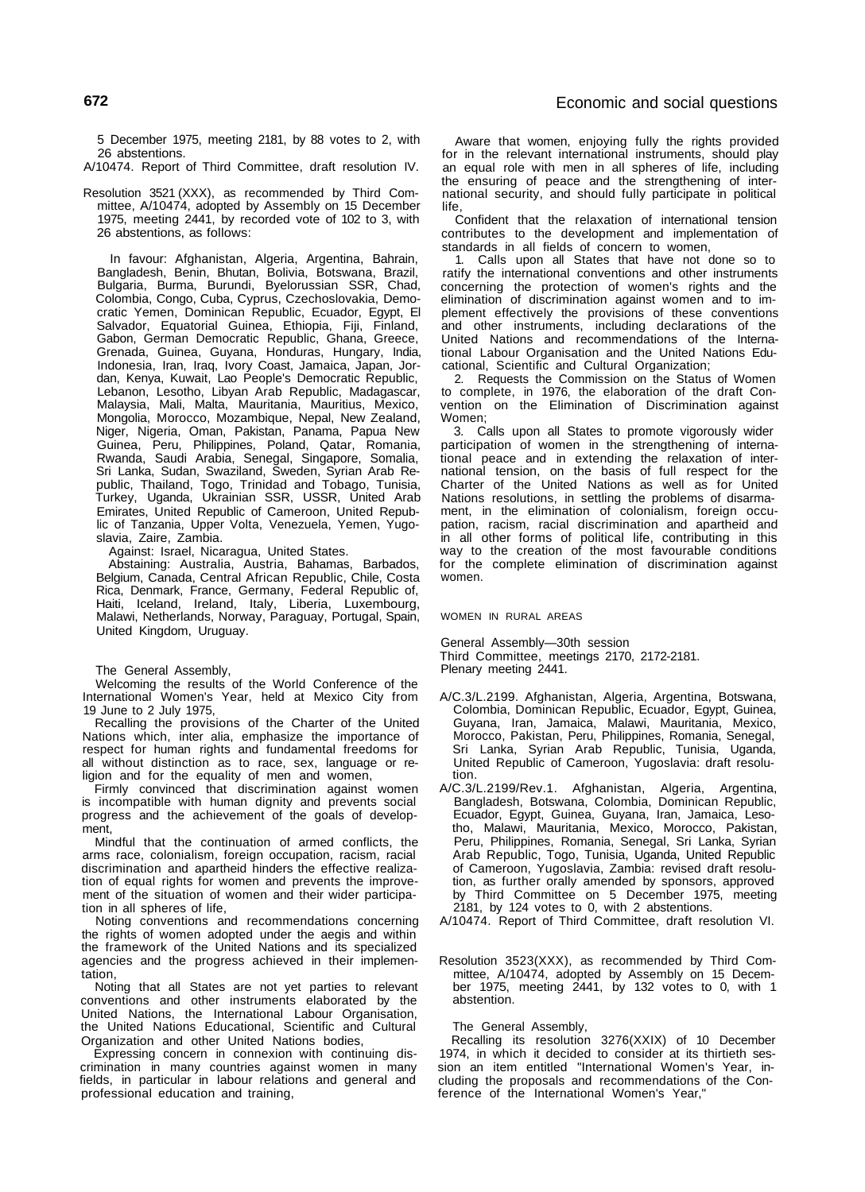5 December 1975, meeting 2181, by 88 votes to 2, with 26 abstentions.

A/10474. Report of Third Committee, draft resolution IV.

Resolution 3521 (XXX), as recommended by Third Committee, A/10474, adopted by Assembly on 15 December 1975, meeting 2441, by recorded vote of 102 to 3, with 26 abstentions, as follows:

In favour: Afghanistan, Algeria, Argentina, Bahrain, Bangladesh, Benin, Bhutan, Bolivia, Botswana, Brazil, Bulgaria, Burma, Burundi, Byelorussian SSR, Chad, Colombia, Congo, Cuba, Cyprus, Czechoslovakia, Democratic Yemen, Dominican Republic, Ecuador, Egypt, El Salvador, Equatorial Guinea, Ethiopia, Fiji, Finland, Gabon, German Democratic Republic, Ghana, Greece, Grenada, Guinea, Guyana, Honduras, Hungary, India, Indonesia, Iran, Iraq, Ivory Coast, Jamaica, Japan, Jor-dan, Kenya, Kuwait, Lao People's Democratic Republic, Lebanon, Lesotho, Libyan Arab Republic, Madagascar, Malaysia, Mali, Malta, Mauritania, Mauritius, Mexico, Mongolia, Morocco, Mozambique, Nepal, New Zealand, Niger, Nigeria, Oman, Pakistan, Panama, Papua New Guinea, Peru, Philippines, Poland, Qatar, Romania, Rwanda, Saudi Arabia, Senegal, Singapore, Somalia, Sri Lanka, Sudan, Swaziland, Sweden, Syrian Arab Re-public, Thailand, Togo, Trinidad and Tobago, Tunisia, Turkey, Uganda, Ukrainian SSR, USSR, United Arab Emirates, United Republic of Cameroon, United Republic of Tanzania, Upper Volta, Venezuela, Yemen, Yugoslavia, Zaire, Zambia.

Against: Israel, Nicaragua, United States.

Abstaining: Australia, Austria, Bahamas, Barbados, Belgium, Canada, Central African Republic, Chile, Costa Rica, Denmark, France, Germany, Federal Republic of, Haiti, Iceland, Ireland, Italy, Liberia, Luxembourg, Malawi, Netherlands, Norway, Paraguay, Portugal, Spain, United Kingdom, Uruguay.

The General Assembly,

Welcoming the results of the World Conference of the International Women's Year, held at Mexico City from 19 June to 2 July 1975,

Recalling the provisions of the Charter of the United Nations which, inter alia, emphasize the importance of respect for human rights and fundamental freedoms for all without distinction as to race, sex, language or religion and for the equality of men and women,

Firmly convinced that discrimination against women is incompatible with human dignity and prevents social progress and the achievement of the goals of development,

Mindful that the continuation of armed conflicts, the arms race, colonialism, foreign occupation, racism, racial discrimination and apartheid hinders the effective realization of equal rights for women and prevents the improvement of the situation of women and their wider participation in all spheres of life,

Noting conventions and recommendations concerning the rights of women adopted under the aegis and within the framework of the United Nations and its specialized agencies and the progress achieved in their implementation,

Noting that all States are not yet parties to relevant conventions and other instruments elaborated by the United Nations, the International Labour Organisation, the United Nations Educational, Scientific and Cultural Organization and other United Nations bodies,

Expressing concern in connexion with continuing discrimination in many countries against women in many fields, in particular in labour relations and general and professional education and training,

Aware that women, enjoying fully the rights provided for in the relevant international instruments, should play an equal role with men in all spheres of life, including the ensuring of peace and the strengthening of international security, and should fully participate in political life,

Confident that the relaxation of international tension contributes to the development and implementation of standards in all fields of concern to women,

1. Calls upon all States that have not done so to ratify the international conventions and other instruments concerning the protection of women's rights and the elimination of discrimination against women and to implement effectively the provisions of these conventions and other instruments, including declarations of the United Nations and recommendations of the International Labour Organisation and the United Nations Educational, Scientific and Cultural Organization;

2. Requests the Commission on the Status of Women to complete, in 1976, the elaboration of the draft Convention on the Elimination of Discrimination against Women;

3. Calls upon all States to promote vigorously wider participation of women in the strengthening of international peace and in extending the relaxation of international tension, on the basis of full respect for the Charter of the United Nations as well as for United Nations resolutions, in settling the problems of disarmament, in the elimination of colonialism, foreign occupation, racism, racial discrimination and apartheid and in all other forms of political life, contributing in this way to the creation of the most favourable conditions for the complete elimination of discrimination against women.

WOMEN IN RURAL AREAS

General Assembly—30th session Third Committee, meetings 2170, 2172-2181. Plenary meeting 2441.

- A/C.3/L.2199. Afghanistan, Algeria, Argentina, Botswana, Colombia, Dominican Republic, Ecuador, Egypt, Guinea, Guyana, Iran, Jamaica, Malawi, Mauritania, Mexico, Morocco, Pakistan, Peru, Philippines, Romania, Senegal, Sri Lanka, Syrian Arab Republic, Tunisia, Uganda, United Republic of Cameroon, Yugoslavia: draft resolution.
- A/C.3/L.2199/Rev.1. Afghanistan, Algeria, Argentina, Bangladesh, Botswana, Colombia, Dominican Republic, Ecuador, Egypt, Guinea, Guyana, Iran, Jamaica, Lesotho, Malawi, Mauritania, Mexico, Morocco, Pakistan, Peru, Philippines, Romania, Senegal, Sri Lanka, Syrian Arab Republic, Togo, Tunisia, Uganda, United Republic of Cameroon, Yugoslavia, Zambia: revised draft resolution, as further orally amended by sponsors, approved by Third Committee on 5 December 1975, meeting 2181, by 124 votes to 0, with 2 abstentions.

A/10474. Report of Third Committee, draft resolution VI.

Resolution 3523(XXX), as recommended by Third Committee, A/10474, adopted by Assembly on 15 December 1975, meeting 2441, by 132 votes to 0, with 1 abstention.

The General Assembly,

Recalling its resolution 3276(XXIX) of 10 December 1974, in which it decided to consider at its thirtieth session an item entitled "International Women's Year, including the proposals and recommendations of the Conference of the International Women's Year.'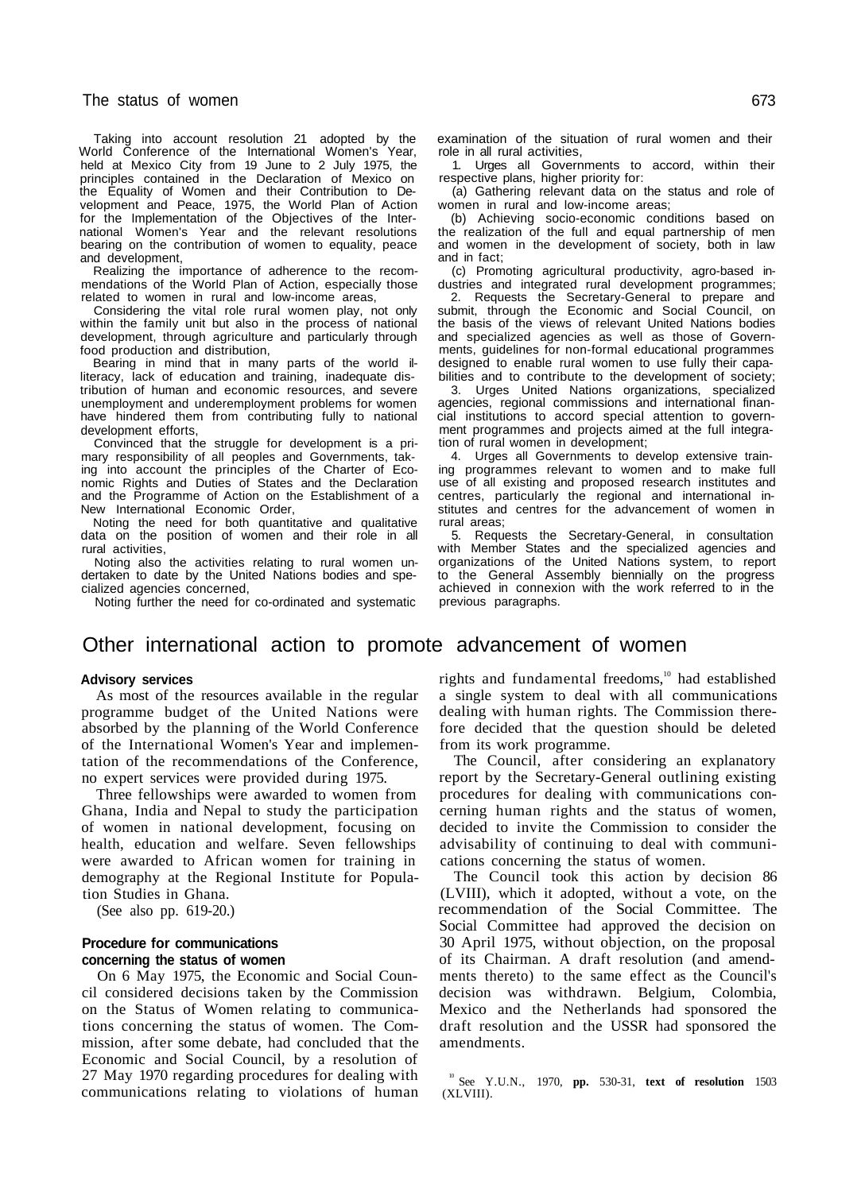Taking into account resolution 21 adopted by the World Conference of the International Women's Year, held at Mexico City from 19 June to 2 July 1975, the principles contained in the Declaration of Mexico on the Equality of Women and their Contribution to Development and Peace, 1975, the World Plan of Action for the Implementation of the Objectives of the International Women's Year and the relevant resolutions bearing on the contribution of women to equality, peace and development,

Realizing the importance of adherence to the recommendations of the World Plan of Action, especially those related to women in rural and low-income areas,

Considering the vital role rural women play, not only within the family unit but also in the process of national development, through agriculture and particularly through food production and distribution,

Bearing in mind that in many parts of the world illiteracy, lack of education and training, inadequate distribution of human and economic resources, and severe unemployment and underemployment problems for women have hindered them from contributing fully to national development efforts,

Convinced that the struggle for development is a primary responsibility of all peoples and Governments, taking into account the principles of the Charter of Economic Rights and Duties of States and the Declaration and the Programme of Action on the Establishment of a New International Economic Order,

Noting the need for both quantitative and qualitative data on the position of women and their role in all rural activities,

Noting also the activities relating to rural women undertaken to date by the United Nations bodies and specialized agencies concerned,

Noting further the need for co-ordinated and systematic

examination of the situation of rural women and their role in all rural activities,

1. Urges all Governments to accord, within their respective plans, higher priority for:

(a) Gathering relevant data on the status and role of women in rural and low-income areas;

(b) Achieving socio-economic conditions based on the realization of the full and equal partnership of men and women in the development of society, both in law and in fact;

(c) Promoting agricultural productivity, agro-based in-dustries and integrated rural development programmes;

2. Requests the Secretary-General to prepare and submit, through the Economic and Social Council, on the basis of the views of relevant United Nations bodies and specialized agencies as well as those of Governments, guidelines for non-formal educational programmes designed to enable rural women to use fully their capabilities and to contribute to the development of society;

3. Urges United Nations organizations, specialized agencies, regional commissions and international financial institutions to accord special attention to government programmes and projects aimed at the full integration of rural women in development;

4. Urges all Governments to develop extensive training programmes relevant to women and to make full use of all existing and proposed research institutes and centres, particularly the regional and international institutes and centres for the advancement of women in rural areas;

5. Requests the Secretary-General, in consultation with Member States and the specialized agencies and organizations of the United Nations system, to report to the General Assembly biennially on the progress achieved in connexion with the work referred to in the previous paragraphs.

# Other international action to promote advancement of women

### **Advisory services**

As most of the resources available in the regular programme budget of the United Nations were absorbed by the planning of the World Conference of the International Women's Year and implementation of the recommendations of the Conference, no expert services were provided during 1975.

Three fellowships were awarded to women from Ghana, India and Nepal to study the participation of women in national development, focusing on health, education and welfare. Seven fellowships were awarded to African women for training in demography at the Regional Institute for Population Studies in Ghana.

(See also pp. 619-20.)

### **Procedure for communications concerning the status of women**

On 6 May 1975, the Economic and Social Council considered decisions taken by the Commission on the Status of Women relating to communications concerning the status of women. The Commission, after some debate, had concluded that the Economic and Social Council, by a resolution of 27 May 1970 regarding procedures for dealing with communications relating to violations of human rights and fundamental freedoms, $10$  had established a single system to deal with all communications dealing with human rights. The Commission therefore decided that the question should be deleted from its work programme.

The Council, after considering an explanatory report by the Secretary-General outlining existing procedures for dealing with communications concerning human rights and the status of women, decided to invite the Commission to consider the advisability of continuing to deal with communications concerning the status of women.

The Council took this action by decision 86 (LVIII), which it adopted, without a vote, on the recommendation of the Social Committee. The Social Committee had approved the decision on 30 April 1975, without objection, on the proposal of its Chairman. A draft resolution (and amendments thereto) to the same effect as the Council's decision was withdrawn. Belgium, Colombia, Mexico and the Netherlands had sponsored the draft resolution and the USSR had sponsored the amendments.

10 See Y.U.N., 1970, **pp.** 530-31, **text of resolution** 1503 (XLVIII).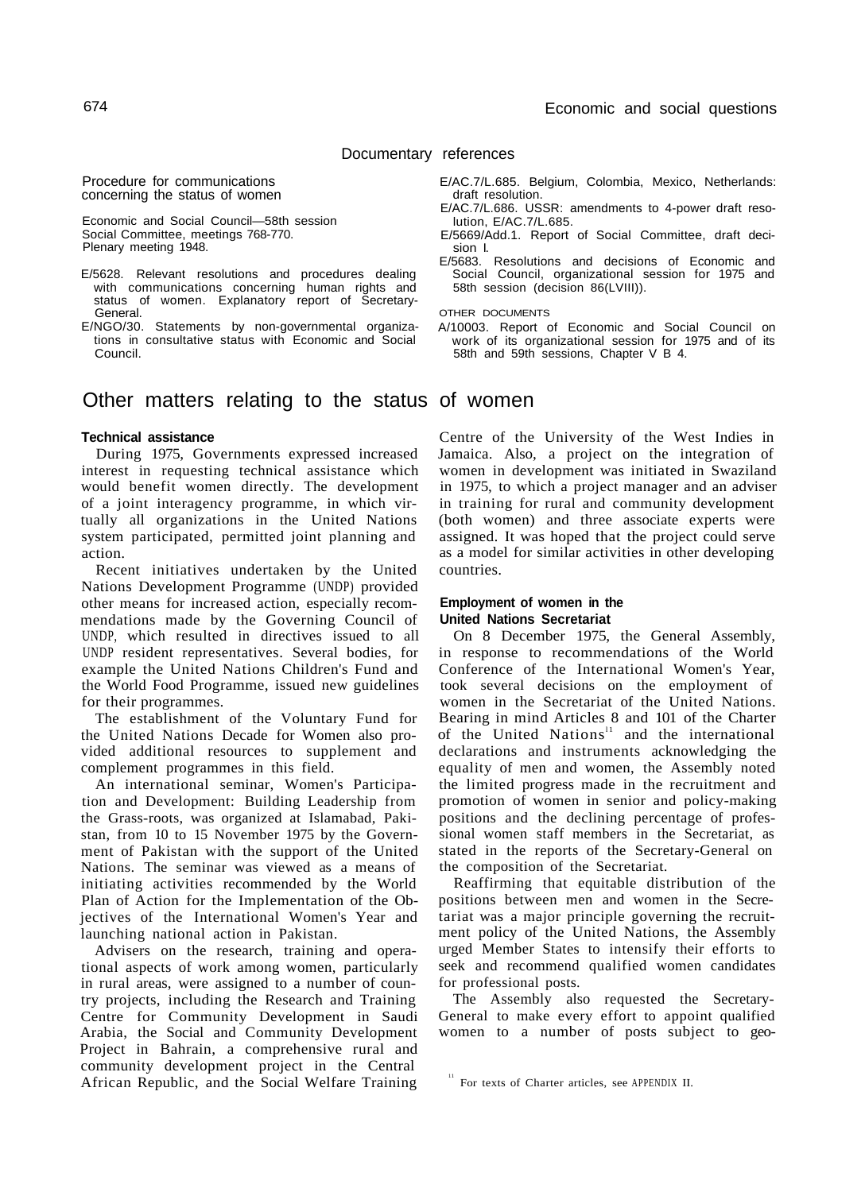#### Documentary references

Procedure for communications concerning the status of women

Economic and Social Council—58th session Social Committee, meetings 768-770. Plenary meeting 1948.

- E/5628. Relevant resolutions and procedures dealing with communications concerning human rights and status of women. Explanatory report of Secretary-General.
- E/NGO/30. Statements by non-governmental organizations in consultative status with Economic and Social Council.

# Other matters relating to the status of women

#### **Technical assistance**

During 1975, Governments expressed increased interest in requesting technical assistance which would benefit women directly. The development of a joint interagency programme, in which virtually all organizations in the United Nations system participated, permitted joint planning and action.

Recent initiatives undertaken by the United Nations Development Programme (UNDP) provided other means for increased action, especially recommendations made by the Governing Council of UNDP, which resulted in directives issued to all UNDP resident representatives. Several bodies, for example the United Nations Children's Fund and the World Food Programme, issued new guidelines for their programmes.

The establishment of the Voluntary Fund for the United Nations Decade for Women also provided additional resources to supplement and complement programmes in this field.

An international seminar, Women's Participation and Development: Building Leadership from the Grass-roots, was organized at Islamabad, Pakistan, from 10 to 15 November 1975 by the Government of Pakistan with the support of the United Nations. The seminar was viewed as a means of initiating activities recommended by the World Plan of Action for the Implementation of the Objectives of the International Women's Year and launching national action in Pakistan.

Advisers on the research, training and operational aspects of work among women, particularly in rural areas, were assigned to a number of country projects, including the Research and Training Centre for Community Development in Saudi Arabia, the Social and Community Development Project in Bahrain, a comprehensive rural and community development project in the Central African Republic, and the Social Welfare Training

E/AC.7/L.685. Belgium, Colombia, Mexico, Netherlands: draft resolution.

- E/AC.7/L.686. USSR: amendments to 4-power draft resolution, E/AC.7/L.685.
- E/5669/Add.1. Report of Social Committee, draft decision I.
- E/5683. Resolutions and decisions of Economic and Social Council, organizational session for 1975 and 58th session (decision 86(LVIII)).

OTHER DOCUMENTS

A/10003. Report of Economic and Social Council on work of its organizational session for 1975 and of its 58th and 59th sessions, Chapter V B 4.

Centre of the University of the West Indies in Jamaica. Also, a project on the integration of women in development was initiated in Swaziland in 1975, to which a project manager and an adviser in training for rural and community development (both women) and three associate experts were assigned. It was hoped that the project could serve as a model for similar activities in other developing countries.

#### **Employment of women in the United Nations Secretariat**

On 8 December 1975, the General Assembly, in response to recommendations of the World Conference of the International Women's Year, took several decisions on the employment of women in the Secretariat of the United Nations. Bearing in mind Articles 8 and 101 of the Charter of the United Nations<sup>11</sup> and the international declarations and instruments acknowledging the equality of men and women, the Assembly noted the limited progress made in the recruitment and promotion of women in senior and policy-making positions and the declining percentage of professional women staff members in the Secretariat, as stated in the reports of the Secretary-General on the composition of the Secretariat.

Reaffirming that equitable distribution of the positions between men and women in the Secretariat was a major principle governing the recruitment policy of the United Nations, the Assembly urged Member States to intensify their efforts to seek and recommend qualified women candidates for professional posts.

The Assembly also requested the Secretary-General to make every effort to appoint qualified women to a number of posts subject to geo-

<sup>&</sup>lt;sup>11</sup> For texts of Charter articles, see APPENDIX II.